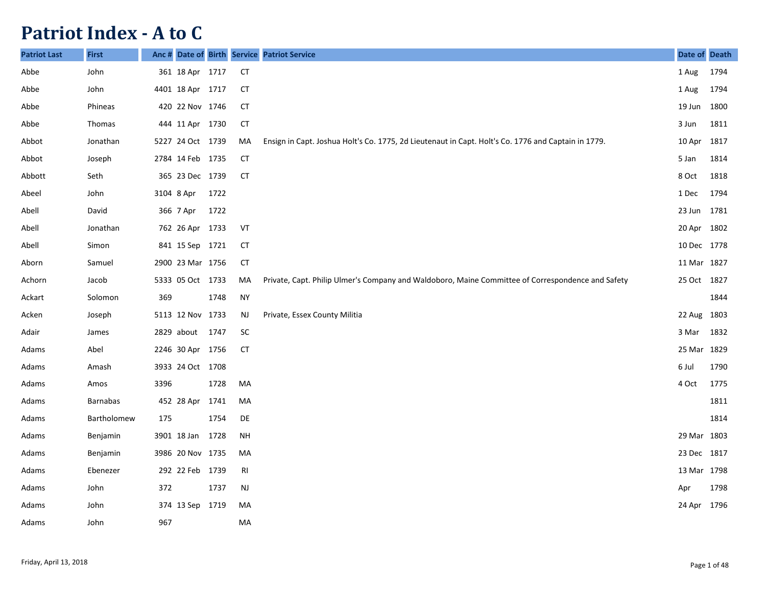## **Patriot Index - A to C**

| <b>Patriot Last</b> | <b>First</b>    | Anc# |                  |      |                | Date of Birth Service Patriot Service                                                               | Date of Death |      |
|---------------------|-----------------|------|------------------|------|----------------|-----------------------------------------------------------------------------------------------------|---------------|------|
| Abbe                | John            |      | 361 18 Apr 1717  |      | <b>CT</b>      |                                                                                                     | 1 Aug         | 1794 |
| Abbe                | John            |      | 4401 18 Apr 1717 |      | CT             |                                                                                                     | 1 Aug         | 1794 |
| Abbe                | Phineas         |      | 420 22 Nov 1746  |      | <b>CT</b>      |                                                                                                     | 19 Jun        | 1800 |
| Abbe                | Thomas          |      | 444 11 Apr 1730  |      | <b>CT</b>      |                                                                                                     | 3 Jun         | 1811 |
| Abbot               | Jonathan        |      | 5227 24 Oct 1739 |      | MA             | Ensign in Capt. Joshua Holt's Co. 1775, 2d Lieutenaut in Capt. Holt's Co. 1776 and Captain in 1779. | 10 Apr        | 1817 |
| Abbot               | Joseph          |      | 2784 14 Feb 1735 |      | <b>CT</b>      |                                                                                                     | 5 Jan         | 1814 |
| Abbott              | Seth            |      | 365 23 Dec 1739  |      | <b>CT</b>      |                                                                                                     | 8 Oct         | 1818 |
| Abeel               | John            |      | 3104 8 Apr       | 1722 |                |                                                                                                     | 1 Dec         | 1794 |
| Abell               | David           |      | 366 7 Apr        | 1722 |                |                                                                                                     | 23 Jun        | 1781 |
| Abell               | Jonathan        |      | 762 26 Apr 1733  |      | VT             |                                                                                                     | 20 Apr        | 1802 |
| Abell               | Simon           |      | 841 15 Sep 1721  |      | CT             |                                                                                                     | 10 Dec 1778   |      |
| Aborn               | Samuel          |      | 2900 23 Mar 1756 |      | CT             |                                                                                                     | 11 Mar 1827   |      |
| Achorn              | Jacob           |      | 5333 05 Oct 1733 |      | MA             | Private, Capt. Philip Ulmer's Company and Waldoboro, Maine Committee of Correspondence and Safety   | 25 Oct 1827   |      |
| Ackart              | Solomon         | 369  |                  | 1748 | <b>NY</b>      |                                                                                                     |               | 1844 |
| Acken               | Joseph          |      | 5113 12 Nov 1733 |      | <b>NJ</b>      | Private, Essex County Militia                                                                       | 22 Aug        | 1803 |
| Adair               | James           |      | 2829 about 1747  |      | <b>SC</b>      |                                                                                                     | 3 Mar         | 1832 |
| Adams               | Abel            |      | 2246 30 Apr 1756 |      | <b>CT</b>      |                                                                                                     | 25 Mar 1829   |      |
| Adams               | Amash           |      | 3933 24 Oct 1708 |      |                |                                                                                                     | 6 Jul         | 1790 |
| Adams               | Amos            | 3396 |                  | 1728 | MA             |                                                                                                     | 4 Oct         | 1775 |
| Adams               | <b>Barnabas</b> |      | 452 28 Apr       | 1741 | MA             |                                                                                                     |               | 1811 |
| Adams               | Bartholomew     | 175  |                  | 1754 | DE             |                                                                                                     |               | 1814 |
| Adams               | Benjamin        |      | 3901 18 Jan      | 1728 | <b>NH</b>      |                                                                                                     | 29 Mar 1803   |      |
| Adams               | Benjamin        |      | 3986 20 Nov 1735 |      | MA             |                                                                                                     | 23 Dec 1817   |      |
| Adams               | Ebenezer        |      | 292 22 Feb 1739  |      | R <sub>l</sub> |                                                                                                     | 13 Mar 1798   |      |
| Adams               | John            | 372  |                  | 1737 | NJ             |                                                                                                     | Apr           | 1798 |
| Adams               | John            |      | 374 13 Sep 1719  |      | MA             |                                                                                                     | 24 Apr 1796   |      |
| Adams               | John            | 967  |                  |      | MA             |                                                                                                     |               |      |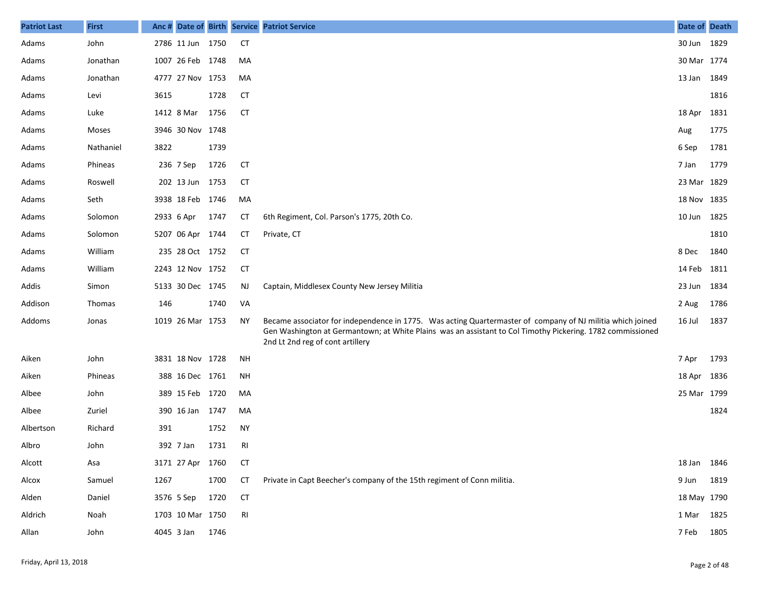| <b>Patriot Last</b> | <b>First</b>  |      |                  |      |           | Anc # Date of Birth Service Patriot Service                                                                                                                                                                                                                  | Date of Death |      |
|---------------------|---------------|------|------------------|------|-----------|--------------------------------------------------------------------------------------------------------------------------------------------------------------------------------------------------------------------------------------------------------------|---------------|------|
| Adams               | John          |      | 2786 11 Jun 1750 |      | <b>CT</b> |                                                                                                                                                                                                                                                              | 30 Jun 1829   |      |
| Adams               | Jonathan      |      | 1007 26 Feb 1748 |      | MA        |                                                                                                                                                                                                                                                              | 30 Mar 1774   |      |
| Adams               | Jonathan      |      | 4777 27 Nov 1753 |      | MA        |                                                                                                                                                                                                                                                              | 13 Jan 1849   |      |
| Adams               | Levi          | 3615 |                  | 1728 | CT        |                                                                                                                                                                                                                                                              |               | 1816 |
| Adams               | Luke          |      | 1412 8 Mar       | 1756 | <b>CT</b> |                                                                                                                                                                                                                                                              | 18 Apr        | 1831 |
| Adams               | Moses         |      | 3946 30 Nov 1748 |      |           |                                                                                                                                                                                                                                                              | Aug           | 1775 |
| Adams               | Nathaniel     | 3822 |                  | 1739 |           |                                                                                                                                                                                                                                                              | 6 Sep         | 1781 |
| Adams               | Phineas       |      | 236 7 Sep        | 1726 | <b>CT</b> |                                                                                                                                                                                                                                                              | 7 Jan         | 1779 |
| Adams               | Roswell       |      | 202 13 Jun       | 1753 | <b>CT</b> |                                                                                                                                                                                                                                                              | 23 Mar 1829   |      |
| Adams               | Seth          |      | 3938 18 Feb 1746 |      | MA        |                                                                                                                                                                                                                                                              | 18 Nov 1835   |      |
| Adams               | Solomon       |      | 2933 6 Apr       | 1747 | СT        | 6th Regiment, Col. Parson's 1775, 20th Co.                                                                                                                                                                                                                   | 10 Jun 1825   |      |
| Adams               | Solomon       |      | 5207 06 Apr 1744 |      | СT        | Private, CT                                                                                                                                                                                                                                                  |               | 1810 |
| Adams               | William       |      | 235 28 Oct 1752  |      | <b>CT</b> |                                                                                                                                                                                                                                                              | 8 Dec         | 1840 |
| Adams               | William       |      | 2243 12 Nov 1752 |      | <b>CT</b> |                                                                                                                                                                                                                                                              | 14 Feb 1811   |      |
| Addis               | Simon         |      | 5133 30 Dec 1745 |      | <b>NJ</b> | Captain, Middlesex County New Jersey Militia                                                                                                                                                                                                                 | 23 Jun 1834   |      |
| Addison             | <b>Thomas</b> | 146  |                  | 1740 | VA        |                                                                                                                                                                                                                                                              | 2 Aug         | 1786 |
| Addoms              | Jonas         |      | 1019 26 Mar 1753 |      | <b>NY</b> | Became associator for independence in 1775. Was acting Quartermaster of company of NJ militia which joined<br>Gen Washington at Germantown; at White Plains was an assistant to Col Timothy Pickering. 1782 commissioned<br>2nd Lt 2nd reg of cont artillery | 16 Jul        | 1837 |
| Aiken               | John          |      | 3831 18 Nov 1728 |      | <b>NH</b> |                                                                                                                                                                                                                                                              | 7 Apr         | 1793 |
| Aiken               | Phineas       |      | 388 16 Dec 1761  |      | <b>NH</b> |                                                                                                                                                                                                                                                              | 18 Apr 1836   |      |
| Albee               | John          |      | 389 15 Feb 1720  |      | MA        |                                                                                                                                                                                                                                                              | 25 Mar 1799   |      |
| Albee               | Zuriel        |      | 390 16 Jan       | 1747 | MA        |                                                                                                                                                                                                                                                              |               | 1824 |
| Albertson           | Richard       | 391  |                  | 1752 | <b>NY</b> |                                                                                                                                                                                                                                                              |               |      |
| Albro               | John          |      | 392 7 Jan        | 1731 | RI        |                                                                                                                                                                                                                                                              |               |      |
| Alcott              | Asa           |      | 3171 27 Apr 1760 |      | <b>CT</b> |                                                                                                                                                                                                                                                              | 18 Jan 1846   |      |
| Alcox               | Samuel        | 1267 |                  | 1700 | <b>CT</b> | Private in Capt Beecher's company of the 15th regiment of Conn militia.                                                                                                                                                                                      | 9 Jun         | 1819 |
| Alden               | Daniel        |      | 3576 5 Sep       | 1720 | <b>CT</b> |                                                                                                                                                                                                                                                              | 18 May 1790   |      |
| Aldrich             | Noah          |      | 1703 10 Mar 1750 |      | RI        |                                                                                                                                                                                                                                                              | 1 Mar 1825    |      |
| Allan               | John          |      | 4045 3 Jan       | 1746 |           |                                                                                                                                                                                                                                                              | 7 Feb         | 1805 |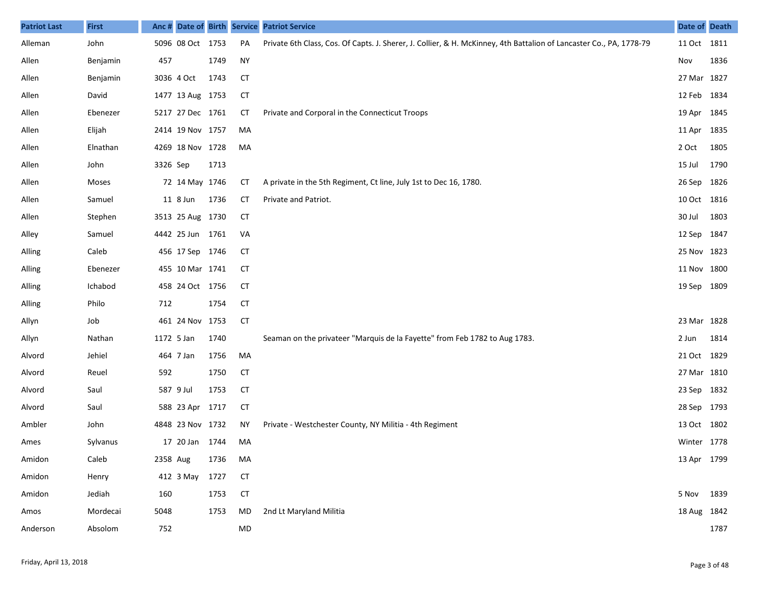| <b>Patriot Last</b> | <b>First</b> | Anc #      |                  |      |           | Date of Birth Service Patriot Service                                                                               | Date of Death |      |
|---------------------|--------------|------------|------------------|------|-----------|---------------------------------------------------------------------------------------------------------------------|---------------|------|
| Alleman             | John         |            | 5096 08 Oct 1753 |      | PA        | Private 6th Class, Cos. Of Capts. J. Sherer, J. Collier, & H. McKinney, 4th Battalion of Lancaster Co., PA, 1778-79 | 11 Oct 1811   |      |
| Allen               | Benjamin     | 457        |                  | 1749 | <b>NY</b> |                                                                                                                     | Nov           | 1836 |
| Allen               | Benjamin     |            | 3036 4 Oct       | 1743 | <b>CT</b> |                                                                                                                     | 27 Mar 1827   |      |
| Allen               | David        |            | 1477 13 Aug 1753 |      | <b>CT</b> |                                                                                                                     | 12 Feb 1834   |      |
| Allen               | Ebenezer     |            | 5217 27 Dec 1761 |      | СT        | Private and Corporal in the Connecticut Troops                                                                      | 19 Apr        | 1845 |
| Allen               | Elijah       |            | 2414 19 Nov 1757 |      | MA        |                                                                                                                     | 11 Apr        | 1835 |
| Allen               | Elnathan     |            | 4269 18 Nov 1728 |      | MA        |                                                                                                                     | 2 Oct         | 1805 |
| Allen               | John         | 3326 Sep   |                  | 1713 |           |                                                                                                                     | 15 Jul        | 1790 |
| Allen               | Moses        |            | 72 14 May 1746   |      | СT        | A private in the 5th Regiment, Ct line, July 1st to Dec 16, 1780.                                                   | 26 Sep        | 1826 |
| Allen               | Samuel       |            | 11 8 Jun         | 1736 | <b>CT</b> | Private and Patriot.                                                                                                | 10 Oct 1816   |      |
| Allen               | Stephen      |            | 3513 25 Aug 1730 |      | <b>CT</b> |                                                                                                                     | 30 Jul        | 1803 |
| Alley               | Samuel       |            | 4442 25 Jun 1761 |      | VA        |                                                                                                                     | 12 Sep        | 1847 |
| Alling              | Caleb        |            | 456 17 Sep 1746  |      | СT        |                                                                                                                     | 25 Nov 1823   |      |
| Alling              | Ebenezer     |            | 455 10 Mar 1741  |      | CТ        |                                                                                                                     | 11 Nov 1800   |      |
| Alling              | Ichabod      |            | 458 24 Oct 1756  |      | <b>CT</b> |                                                                                                                     | 19 Sep 1809   |      |
| Alling              | Philo        | 712        |                  | 1754 | <b>CT</b> |                                                                                                                     |               |      |
| Allyn               | Job          |            | 461 24 Nov 1753  |      | <b>CT</b> |                                                                                                                     | 23 Mar        | 1828 |
| Allyn               | Nathan       | 1172 5 Jan |                  | 1740 |           | Seaman on the privateer "Marquis de la Fayette" from Feb 1782 to Aug 1783.                                          | 2 Jun         | 1814 |
| Alvord              | Jehiel       |            | 464 7 Jan        | 1756 | MA        |                                                                                                                     | 21 Oct 1829   |      |
| Alvord              | Reuel        | 592        |                  | 1750 | <b>CT</b> |                                                                                                                     | 27 Mar 1810   |      |
| Alvord              | Saul         |            | 587 9 Jul        | 1753 | <b>CT</b> |                                                                                                                     | 23 Sep        | 1832 |
| Alvord              | Saul         |            | 588 23 Apr 1717  |      | <b>CT</b> |                                                                                                                     | 28 Sep        | 1793 |
| Ambler              | John         |            | 4848 23 Nov 1732 |      | NΥ        | Private - Westchester County, NY Militia - 4th Regiment                                                             | 13 Oct 1802   |      |
| Ames                | Sylvanus     |            | 17 20 Jan 1744   |      | MA        |                                                                                                                     | Winter 1778   |      |
| Amidon              | Caleb        | 2358 Aug   |                  | 1736 | MA        |                                                                                                                     | 13 Apr 1799   |      |
| Amidon              | Henry        |            | 412 3 May        | 1727 | <b>CT</b> |                                                                                                                     |               |      |
| Amidon              | Jediah       | 160        |                  | 1753 | <b>CT</b> |                                                                                                                     | 5 Nov         | 1839 |
| Amos                | Mordecai     | 5048       |                  | 1753 | MD        | 2nd Lt Maryland Militia                                                                                             | 18 Aug 1842   |      |
| Anderson            | Absolom      | 752        |                  |      | MD        |                                                                                                                     |               | 1787 |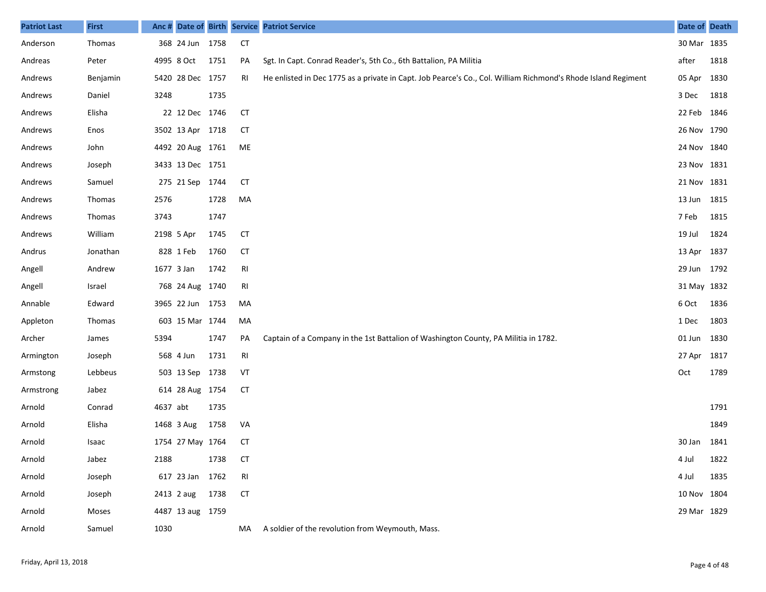| <b>Patriot Last</b> | <b>First</b>  | Anc #      |                  |      |           | Date of Birth Service Patriot Service                                                                         | Date of Death |      |
|---------------------|---------------|------------|------------------|------|-----------|---------------------------------------------------------------------------------------------------------------|---------------|------|
| Anderson            | Thomas        |            | 368 24 Jun 1758  |      | <b>CT</b> |                                                                                                               | 30 Mar 1835   |      |
| Andreas             | Peter         |            | 4995 8 Oct       | 1751 | PA        | Sgt. In Capt. Conrad Reader's, 5th Co., 6th Battalion, PA Militia                                             | after         | 1818 |
| Andrews             | Benjamin      |            | 5420 28 Dec 1757 |      | RI        | He enlisted in Dec 1775 as a private in Capt. Job Pearce's Co., Col. William Richmond's Rhode Island Regiment | 05 Apr        | 1830 |
| Andrews             | Daniel        | 3248       |                  | 1735 |           |                                                                                                               | 3 Dec         | 1818 |
| Andrews             | Elisha        |            | 22 12 Dec 1746   |      | <b>CT</b> |                                                                                                               | 22 Feb        | 1846 |
| Andrews             | Enos          |            | 3502 13 Apr 1718 |      | CТ        |                                                                                                               | 26 Nov 1790   |      |
| Andrews             | John          |            | 4492 20 Aug 1761 |      | ME        |                                                                                                               | 24 Nov 1840   |      |
| Andrews             | Joseph        |            | 3433 13 Dec 1751 |      |           |                                                                                                               | 23 Nov 1831   |      |
| Andrews             | Samuel        |            | 275 21 Sep 1744  |      | СT        |                                                                                                               | 21 Nov 1831   |      |
| Andrews             | <b>Thomas</b> | 2576       |                  | 1728 | MA        |                                                                                                               | 13 Jun        | 1815 |
| Andrews             | <b>Thomas</b> | 3743       |                  | 1747 |           |                                                                                                               | 7 Feb         | 1815 |
| Andrews             | William       |            | 2198 5 Apr       | 1745 | СT        |                                                                                                               | 19 Jul        | 1824 |
| Andrus              | Jonathan      |            | 828 1 Feb        | 1760 | <b>CT</b> |                                                                                                               | 13 Apr        | 1837 |
| Angell              | Andrew        | 1677 3 Jan |                  | 1742 | RI        |                                                                                                               | 29 Jun        | 1792 |
| Angell              | Israel        |            | 768 24 Aug 1740  |      | RI        |                                                                                                               | 31 May 1832   |      |
| Annable             | Edward        |            | 3965 22 Jun 1753 |      | MA        |                                                                                                               | 6 Oct         | 1836 |
| Appleton            | Thomas        |            | 603 15 Mar 1744  |      | MA        |                                                                                                               | 1 Dec         | 1803 |
| Archer              | James         | 5394       |                  | 1747 | PA        | Captain of a Company in the 1st Battalion of Washington County, PA Militia in 1782.                           | 01 Jun        | 1830 |
| Armington           | Joseph        |            | 568 4 Jun        | 1731 | RI        |                                                                                                               | 27 Apr        | 1817 |
| Armstong            | Lebbeus       |            | 503 13 Sep 1738  |      | VT        |                                                                                                               | Oct           | 1789 |
| Armstrong           | Jabez         |            | 614 28 Aug 1754  |      | <b>CT</b> |                                                                                                               |               |      |
| Arnold              | Conrad        | 4637 abt   |                  | 1735 |           |                                                                                                               |               | 1791 |
| Arnold              | Elisha        |            | 1468 3 Aug       | 1758 | VA        |                                                                                                               |               | 1849 |
| Arnold              | Isaac         |            | 1754 27 May 1764 |      | <b>CT</b> |                                                                                                               | 30 Jan        | 1841 |
| Arnold              | Jabez         | 2188       |                  | 1738 | <b>CT</b> |                                                                                                               | 4 Jul         | 1822 |
| Arnold              | Joseph        |            | 617 23 Jan       | 1762 | RI        |                                                                                                               | 4 Jul         | 1835 |
| Arnold              | Joseph        |            | 2413 2 aug       | 1738 | <b>CT</b> |                                                                                                               | 10 Nov 1804   |      |
| Arnold              | Moses         |            | 4487 13 aug 1759 |      |           |                                                                                                               | 29 Mar 1829   |      |
| Arnold              | Samuel        | 1030       |                  |      | MA        | A soldier of the revolution from Weymouth, Mass.                                                              |               |      |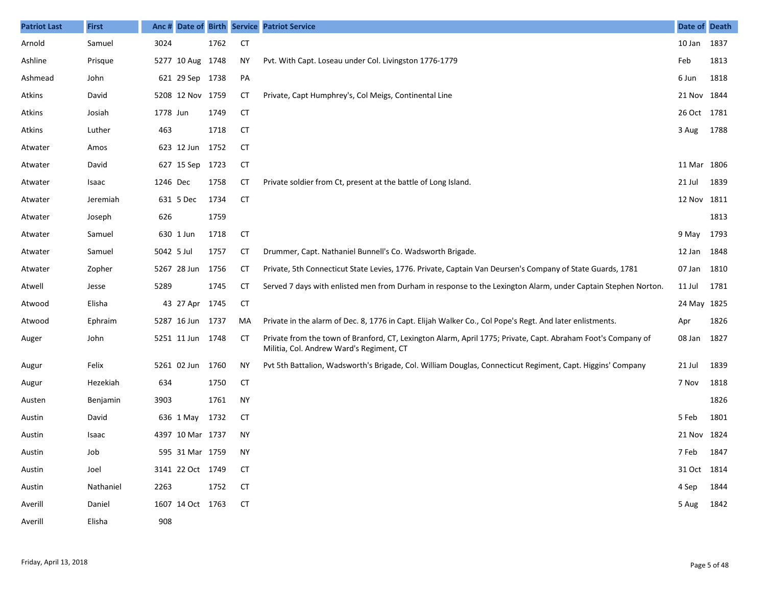| <b>Patriot Last</b> | <b>First</b> | Anc #      |                  |      |           | Date of Birth Service Patriot Service                                                                                                                    | Date of Death |      |
|---------------------|--------------|------------|------------------|------|-----------|----------------------------------------------------------------------------------------------------------------------------------------------------------|---------------|------|
| Arnold              | Samuel       | 3024       |                  | 1762 | <b>CT</b> |                                                                                                                                                          | 10 Jan        | 1837 |
| Ashline             | Prisque      |            | 5277 10 Aug 1748 |      | ΝY        | Pvt. With Capt. Loseau under Col. Livingston 1776-1779                                                                                                   | Feb           | 1813 |
| Ashmead             | John         |            | 621 29 Sep 1738  |      | PA        |                                                                                                                                                          | 6 Jun         | 1818 |
| Atkins              | David        |            | 5208 12 Nov 1759 |      | <b>CT</b> | Private, Capt Humphrey's, Col Meigs, Continental Line                                                                                                    | 21 Nov 1844   |      |
| Atkins              | Josiah       | 1778 Jun   |                  | 1749 | <b>CT</b> |                                                                                                                                                          | 26 Oct 1781   |      |
| Atkins              | Luther       | 463        |                  | 1718 | <b>CT</b> |                                                                                                                                                          | 3 Aug         | 1788 |
| Atwater             | Amos         |            | 623 12 Jun       | 1752 | <b>CT</b> |                                                                                                                                                          |               |      |
| Atwater             | David        |            | 627 15 Sep       | 1723 | <b>CT</b> |                                                                                                                                                          | 11 Mar 1806   |      |
| Atwater             | Isaac        | 1246 Dec   |                  | 1758 | <b>CT</b> | Private soldier from Ct, present at the battle of Long Island.                                                                                           | 21 Jul        | 1839 |
| Atwater             | Jeremiah     |            | 631 5 Dec        | 1734 | <b>CT</b> |                                                                                                                                                          | 12 Nov 1811   |      |
| Atwater             | Joseph       | 626        |                  | 1759 |           |                                                                                                                                                          |               | 1813 |
| Atwater             | Samuel       |            | 630 1 Jun        | 1718 | <b>CT</b> |                                                                                                                                                          | 9 May 1793    |      |
| Atwater             | Samuel       | 5042 5 Jul |                  | 1757 | <b>CT</b> | Drummer, Capt. Nathaniel Bunnell's Co. Wadsworth Brigade.                                                                                                | 12 Jan 1848   |      |
| Atwater             | Zopher       |            | 5267 28 Jun      | 1756 | <b>CT</b> | Private, 5th Connecticut State Levies, 1776. Private, Captain Van Deursen's Company of State Guards, 1781                                                | 07 Jan 1810   |      |
| Atwell              | Jesse        | 5289       |                  | 1745 | <b>CT</b> | Served 7 days with enlisted men from Durham in response to the Lexington Alarm, under Captain Stephen Norton.                                            | 11 Jul        | 1781 |
| Atwood              | Elisha       |            | 43 27 Apr 1745   |      | <b>CT</b> |                                                                                                                                                          | 24 May 1825   |      |
| Atwood              | Ephraim      |            | 5287 16 Jun      | 1737 | MA        | Private in the alarm of Dec. 8, 1776 in Capt. Elijah Walker Co., Col Pope's Regt. And later enlistments.                                                 | Apr           | 1826 |
| Auger               | John         |            | 5251 11 Jun 1748 |      | <b>CT</b> | Private from the town of Branford, CT, Lexington Alarm, April 1775; Private, Capt. Abraham Foot's Company of<br>Militia, Col. Andrew Ward's Regiment, CT | 08 Jan 1827   |      |
| Augur               | Felix        |            | 5261 02 Jun      | 1760 | ΝY        | Pvt 5th Battalion, Wadsworth's Brigade, Col. William Douglas, Connecticut Regiment, Capt. Higgins' Company                                               | 21 Jul        | 1839 |
| Augur               | Hezekiah     | 634        |                  | 1750 | <b>CT</b> |                                                                                                                                                          | 7 Nov         | 1818 |
| Austen              | Benjamin     | 3903       |                  | 1761 | <b>NY</b> |                                                                                                                                                          |               | 1826 |
| Austin              | David        |            | 636 1 May 1732   |      | СT        |                                                                                                                                                          | 5 Feb         | 1801 |
| Austin              | Isaac        |            | 4397 10 Mar 1737 |      | <b>NY</b> |                                                                                                                                                          | 21 Nov 1824   |      |
| Austin              | Job          |            | 595 31 Mar 1759  |      | NY        |                                                                                                                                                          | 7 Feb 1847    |      |
| Austin              | Joel         |            | 3141 22 Oct 1749 |      | СT        |                                                                                                                                                          | 31 Oct 1814   |      |
| Austin              | Nathaniel    | 2263       |                  | 1752 | <b>CT</b> |                                                                                                                                                          | 4 Sep 1844    |      |
| Averill             | Daniel       |            | 1607 14 Oct 1763 |      | CT        |                                                                                                                                                          | 5 Aug 1842    |      |
| Averill             | Elisha       | 908        |                  |      |           |                                                                                                                                                          |               |      |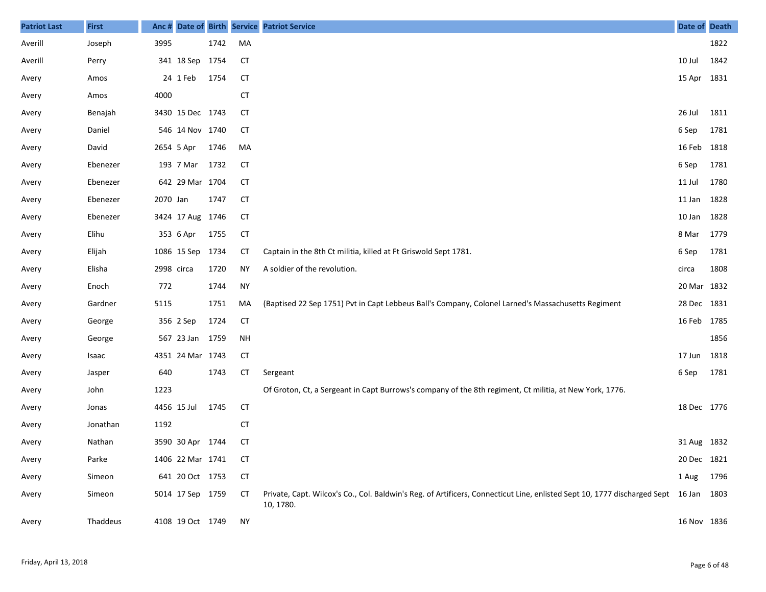| <b>Patriot Last</b> | <b>First</b> |            |                  |      |           | Anc # Date of Birth Service Patriot Service                                                                                                       | Date of Death |      |
|---------------------|--------------|------------|------------------|------|-----------|---------------------------------------------------------------------------------------------------------------------------------------------------|---------------|------|
| Averill             | Joseph       | 3995       |                  | 1742 | MA        |                                                                                                                                                   |               | 1822 |
| Averill             | Perry        |            | 341 18 Sep 1754  |      | <b>CT</b> |                                                                                                                                                   | 10 Jul        | 1842 |
| Avery               | Amos         |            | 24 1 Feb         | 1754 | <b>CT</b> |                                                                                                                                                   | 15 Apr 1831   |      |
| Avery               | Amos         | 4000       |                  |      | <b>CT</b> |                                                                                                                                                   |               |      |
| Avery               | Benajah      |            | 3430 15 Dec 1743 |      | <b>CT</b> |                                                                                                                                                   | 26 Jul        | 1811 |
| Avery               | Daniel       |            | 546 14 Nov 1740  |      | СT        |                                                                                                                                                   | 6 Sep         | 1781 |
| Avery               | David        | 2654 5 Apr |                  | 1746 | MA        |                                                                                                                                                   | 16 Feb 1818   |      |
| Avery               | Ebenezer     |            | 193 7 Mar        | 1732 | <b>CT</b> |                                                                                                                                                   | 6 Sep         | 1781 |
| Avery               | Ebenezer     |            | 642 29 Mar 1704  |      | <b>CT</b> |                                                                                                                                                   | 11 Jul        | 1780 |
| Avery               | Ebenezer     | 2070 Jan   |                  | 1747 | <b>CT</b> |                                                                                                                                                   | 11 Jan        | 1828 |
| Avery               | Ebenezer     |            | 3424 17 Aug 1746 |      | <b>CT</b> |                                                                                                                                                   | 10 Jan        | 1828 |
| Avery               | Elihu        |            | 353 6 Apr        | 1755 | <b>CT</b> |                                                                                                                                                   | 8 Mar         | 1779 |
| Avery               | Elijah       |            | 1086 15 Sep 1734 |      | СT        | Captain in the 8th Ct militia, killed at Ft Griswold Sept 1781.                                                                                   | 6 Sep         | 1781 |
| Avery               | Elisha       | 2998 circa |                  | 1720 | <b>NY</b> | A soldier of the revolution.                                                                                                                      | circa         | 1808 |
| Avery               | Enoch        | 772        |                  | 1744 | <b>NY</b> |                                                                                                                                                   | 20 Mar 1832   |      |
| Avery               | Gardner      | 5115       |                  | 1751 | MA        | (Baptised 22 Sep 1751) Pvt in Capt Lebbeus Ball's Company, Colonel Larned's Massachusetts Regiment                                                | 28 Dec 1831   |      |
| Avery               | George       |            | 356 2 Sep        | 1724 | <b>CT</b> |                                                                                                                                                   | 16 Feb 1785   |      |
| Avery               | George       |            | 567 23 Jan 1759  |      | NH        |                                                                                                                                                   |               | 1856 |
| Avery               | Isaac        |            | 4351 24 Mar 1743 |      | <b>CT</b> |                                                                                                                                                   | 17 Jun 1818   |      |
| Avery               | Jasper       | 640        |                  | 1743 | <b>CT</b> | Sergeant                                                                                                                                          | 6 Sep         | 1781 |
| Avery               | John         | 1223       |                  |      |           | Of Groton, Ct, a Sergeant in Capt Burrows's company of the 8th regiment, Ct militia, at New York, 1776.                                           |               |      |
| Avery               | Jonas        |            | 4456 15 Jul      | 1745 | <b>CT</b> |                                                                                                                                                   | 18 Dec 1776   |      |
| Avery               | Jonathan     | 1192       |                  |      | <b>CT</b> |                                                                                                                                                   |               |      |
| Avery               | Nathan       |            | 3590 30 Apr 1744 |      | <b>CT</b> |                                                                                                                                                   | 31 Aug 1832   |      |
| Avery               | Parke        |            | 1406 22 Mar 1741 |      | <b>CT</b> |                                                                                                                                                   | 20 Dec 1821   |      |
| Avery               | Simeon       |            | 641 20 Oct 1753  |      | <b>CT</b> |                                                                                                                                                   | 1 Aug         | 1796 |
| Avery               | Simeon       |            | 5014 17 Sep 1759 |      | CТ        | Private, Capt. Wilcox's Co., Col. Baldwin's Reg. of Artificers, Connecticut Line, enlisted Sept 10, 1777 discharged Sept 16 Jan 1803<br>10, 1780. |               |      |
| Avery               | Thaddeus     |            | 4108 19 Oct 1749 |      | NY        |                                                                                                                                                   | 16 Nov 1836   |      |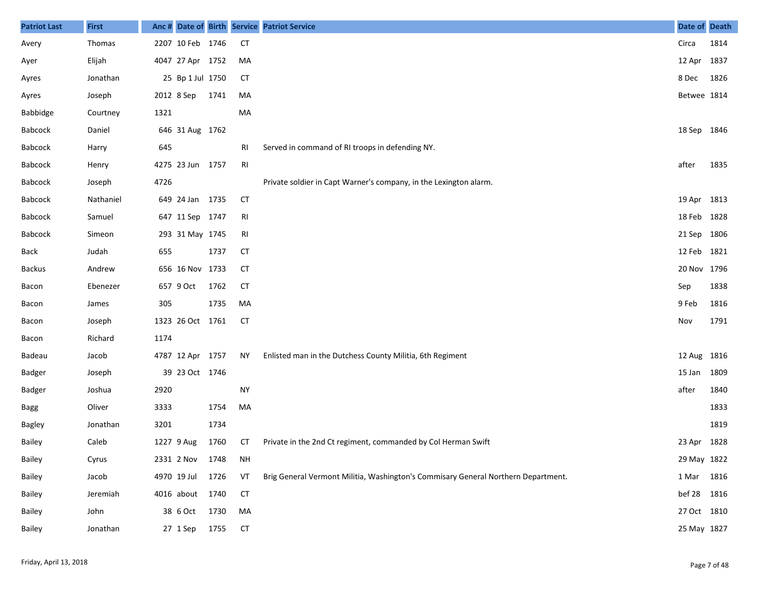| <b>Patriot Last</b> | <b>First</b> |      |                  |      |                | Anc # Date of Birth Service Patriot Service                                       | Date of Death |      |
|---------------------|--------------|------|------------------|------|----------------|-----------------------------------------------------------------------------------|---------------|------|
| Avery               | Thomas       |      | 2207 10 Feb 1746 |      | <b>CT</b>      |                                                                                   | Circa         | 1814 |
| Ayer                | Elijah       |      | 4047 27 Apr 1752 |      | MA             |                                                                                   | 12 Apr 1837   |      |
| Ayres               | Jonathan     |      | 25 Bp 1 Jul 1750 |      | <b>CT</b>      |                                                                                   | 8 Dec         | 1826 |
| Ayres               | Joseph       |      | 2012 8 Sep       | 1741 | MA             |                                                                                   | Betwee 1814   |      |
| <b>Babbidge</b>     | Courtney     | 1321 |                  |      | МA             |                                                                                   |               |      |
| Babcock             | Daniel       |      | 646 31 Aug 1762  |      |                |                                                                                   | 18 Sep 1846   |      |
| Babcock             | Harry        | 645  |                  |      | RI             | Served in command of RI troops in defending NY.                                   |               |      |
| Babcock             | Henry        |      | 4275 23 Jun 1757 |      | RI             |                                                                                   | after         | 1835 |
| Babcock             | Joseph       | 4726 |                  |      |                | Private soldier in Capt Warner's company, in the Lexington alarm.                 |               |      |
| Babcock             | Nathaniel    |      | 649 24 Jan 1735  |      | <b>CT</b>      |                                                                                   | 19 Apr 1813   |      |
| Babcock             | Samuel       |      | 647 11 Sep 1747  |      | R <sub>l</sub> |                                                                                   | 18 Feb 1828   |      |
| Babcock             | Simeon       |      | 293 31 May 1745  |      | RI             |                                                                                   | 21 Sep 1806   |      |
| Back                | Judah        | 655  |                  | 1737 | <b>CT</b>      |                                                                                   | 12 Feb 1821   |      |
| <b>Backus</b>       | Andrew       |      | 656 16 Nov 1733  |      | <b>CT</b>      |                                                                                   | 20 Nov 1796   |      |
| Bacon               | Ebenezer     |      | 657 9 Oct        | 1762 | <b>CT</b>      |                                                                                   | Sep           | 1838 |
| Bacon               | James        | 305  |                  | 1735 | MA             |                                                                                   | 9 Feb         | 1816 |
| Bacon               | Joseph       |      | 1323 26 Oct 1761 |      | <b>CT</b>      |                                                                                   | Nov           | 1791 |
| Bacon               | Richard      | 1174 |                  |      |                |                                                                                   |               |      |
| Badeau              | Jacob        |      | 4787 12 Apr 1757 |      | ΝY             | Enlisted man in the Dutchess County Militia, 6th Regiment                         | 12 Aug 1816   |      |
| Badger              | Joseph       |      | 39 23 Oct 1746   |      |                |                                                                                   | 15 Jan 1809   |      |
| Badger              | Joshua       | 2920 |                  |      | <b>NY</b>      |                                                                                   | after         | 1840 |
| <b>Bagg</b>         | Oliver       | 3333 |                  | 1754 | MA             |                                                                                   |               | 1833 |
| Bagley              | Jonathan     | 3201 |                  | 1734 |                |                                                                                   |               | 1819 |
| Bailey              | Caleb        |      | 1227 9 Aug       | 1760 | СT             | Private in the 2nd Ct regiment, commanded by Col Herman Swift                     | 23 Apr 1828   |      |
| Bailey              | Cyrus        |      | 2331 2 Nov       | 1748 | <b>NH</b>      |                                                                                   | 29 May 1822   |      |
| Bailey              | Jacob        |      | 4970 19 Jul      | 1726 | VT             | Brig General Vermont Militia, Washington's Commisary General Northern Department. | 1 Mar 1816    |      |
| Bailey              | Jeremiah     |      | 4016 about 1740  |      | <b>CT</b>      |                                                                                   | bef 28 1816   |      |
| Bailey              | John         |      | 38 6 Oct         | 1730 | MA             |                                                                                   | 27 Oct 1810   |      |
| Bailey              | Jonathan     |      | 27 1 Sep         | 1755 | <b>CT</b>      |                                                                                   | 25 May 1827   |      |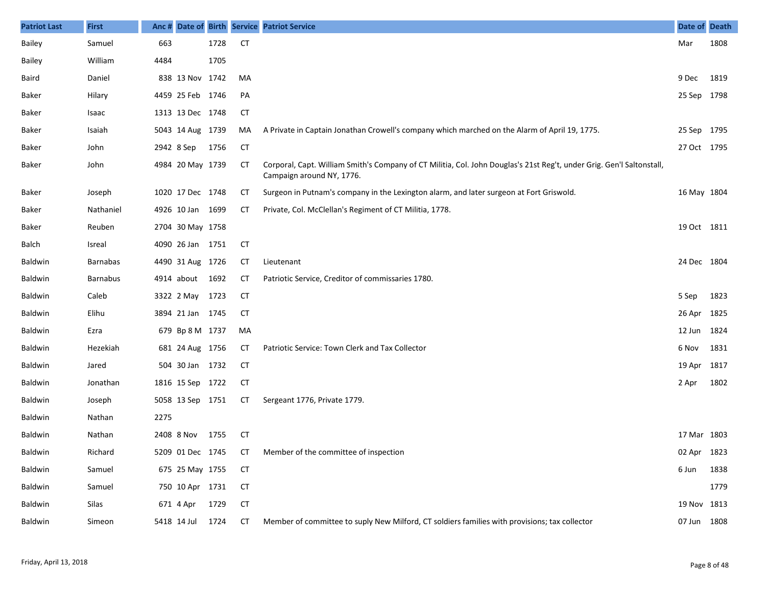| <b>Patriot Last</b> | <b>First</b>    | Anc# |                  |      |           | Date of Birth Service Patriot Service                                                                                                              | Date of Death |      |
|---------------------|-----------------|------|------------------|------|-----------|----------------------------------------------------------------------------------------------------------------------------------------------------|---------------|------|
| Bailey              | Samuel          | 663  |                  | 1728 | <b>CT</b> |                                                                                                                                                    | Mar           | 1808 |
| Bailey              | William         | 4484 |                  | 1705 |           |                                                                                                                                                    |               |      |
| Baird               | Daniel          |      | 838 13 Nov 1742  |      | MA        |                                                                                                                                                    | 9 Dec         | 1819 |
| Baker               | Hilary          |      | 4459 25 Feb 1746 |      | PA        |                                                                                                                                                    | 25 Sep        | 1798 |
| Baker               | Isaac           |      | 1313 13 Dec 1748 |      | <b>CT</b> |                                                                                                                                                    |               |      |
| Baker               | Isaiah          |      | 5043 14 Aug 1739 |      | MA        | A Private in Captain Jonathan Crowell's company which marched on the Alarm of April 19, 1775.                                                      | 25 Sep        | 1795 |
| Baker               | John            |      | 2942 8 Sep       | 1756 | <b>CT</b> |                                                                                                                                                    | 27 Oct 1795   |      |
| Baker               | John            |      | 4984 20 May 1739 |      | CТ        | Corporal, Capt. William Smith's Company of CT Militia, Col. John Douglas's 21st Reg't, under Grig. Gen'l Saltonstall,<br>Campaign around NY, 1776. |               |      |
| Baker               | Joseph          |      | 1020 17 Dec 1748 |      | СT        | Surgeon in Putnam's company in the Lexington alarm, and later surgeon at Fort Griswold.                                                            | 16 May 1804   |      |
| Baker               | Nathaniel       |      | 4926 10 Jan 1699 |      | СT        | Private, Col. McClellan's Regiment of CT Militia, 1778.                                                                                            |               |      |
| <b>Baker</b>        | Reuben          |      | 2704 30 May 1758 |      |           |                                                                                                                                                    | 19 Oct 1811   |      |
| Balch               | Isreal          |      | 4090 26 Jan 1751 |      | <b>CT</b> |                                                                                                                                                    |               |      |
| Baldwin             | <b>Barnabas</b> |      | 4490 31 Aug 1726 |      | СT        | Lieutenant                                                                                                                                         | 24 Dec 1804   |      |
| Baldwin             | <b>Barnabus</b> |      | 4914 about       | 1692 | CТ        | Patriotic Service, Creditor of commissaries 1780.                                                                                                  |               |      |
| Baldwin             | Caleb           |      | 3322 2 May       | 1723 | <b>CT</b> |                                                                                                                                                    | 5 Sep         | 1823 |
| Baldwin             | Elihu           |      | 3894 21 Jan 1745 |      | СT        |                                                                                                                                                    | 26 Apr        | 1825 |
| Baldwin             | Ezra            |      | 679 Bp 8 M 1737  |      | MA        |                                                                                                                                                    | 12 Jun        | 1824 |
| Baldwin             | Hezekiah        |      | 681 24 Aug 1756  |      | СT        | Patriotic Service: Town Clerk and Tax Collector                                                                                                    | 6 Nov         | 1831 |
| Baldwin             | Jared           |      | 504 30 Jan 1732  |      | <b>CT</b> |                                                                                                                                                    | 19 Apr        | 1817 |
| Baldwin             | Jonathan        |      | 1816 15 Sep 1722 |      | СT        |                                                                                                                                                    | 2 Apr         | 1802 |
| Baldwin             | Joseph          |      | 5058 13 Sep 1751 |      | СT        | Sergeant 1776, Private 1779.                                                                                                                       |               |      |
| <b>Baldwin</b>      | Nathan          | 2275 |                  |      |           |                                                                                                                                                    |               |      |
| Baldwin             | Nathan          |      | 2408 8 Nov       | 1755 | CT        |                                                                                                                                                    | 17 Mar 1803   |      |
| Baldwin             | Richard         |      |                  |      |           | 5209 01 Dec 1745 CT Member of the committee of inspection                                                                                          | 02 Apr 1823   |      |
| Baldwin             | Samuel          |      | 675 25 May 1755  |      | CT        |                                                                                                                                                    | 6 Jun         | 1838 |
| Baldwin             | Samuel          |      | 750 10 Apr 1731  |      | <b>CT</b> |                                                                                                                                                    |               | 1779 |
| Baldwin             | Silas           |      | 671 4 Apr        | 1729 | <b>CT</b> |                                                                                                                                                    | 19 Nov 1813   |      |
| Baldwin             | Simeon          |      | 5418 14 Jul      | 1724 | CT        | Member of committee to suply New Milford, CT soldiers families with provisions; tax collector                                                      | 07 Jun 1808   |      |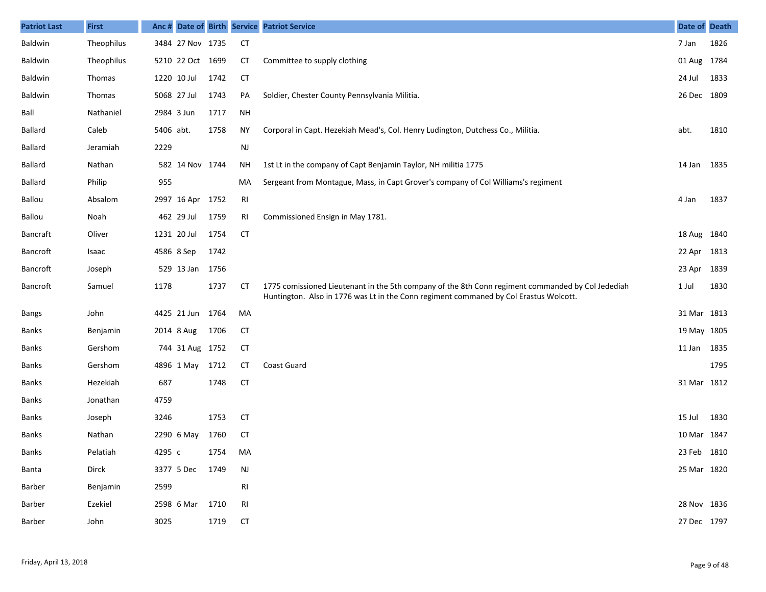| <b>Patriot Last</b> | <b>First</b> | Anc#       |                  |      |                | Date of Birth Service Patriot Service                                                                                                                                                      | Date of Death |      |
|---------------------|--------------|------------|------------------|------|----------------|--------------------------------------------------------------------------------------------------------------------------------------------------------------------------------------------|---------------|------|
| Baldwin             | Theophilus   |            | 3484 27 Nov 1735 |      | <b>CT</b>      |                                                                                                                                                                                            | 7 Jan         | 1826 |
| Baldwin             | Theophilus   |            | 5210 22 Oct 1699 |      | <b>CT</b>      | Committee to supply clothing                                                                                                                                                               | 01 Aug 1784   |      |
| Baldwin             | Thomas       |            | 1220 10 Jul      | 1742 | <b>CT</b>      |                                                                                                                                                                                            | 24 Jul        | 1833 |
| Baldwin             | Thomas       |            | 5068 27 Jul      | 1743 | PA             | Soldier, Chester County Pennsylvania Militia.                                                                                                                                              | 26 Dec 1809   |      |
| Ball                | Nathaniel    | 2984 3 Jun |                  | 1717 | <b>NH</b>      |                                                                                                                                                                                            |               |      |
| <b>Ballard</b>      | Caleb        | 5406 abt.  |                  | 1758 | <b>NY</b>      | Corporal in Capt. Hezekiah Mead's, Col. Henry Ludington, Dutchess Co., Militia.                                                                                                            | abt.          | 1810 |
| <b>Ballard</b>      | Jeramiah     | 2229       |                  |      | $\mathsf{NJ}$  |                                                                                                                                                                                            |               |      |
| <b>Ballard</b>      | Nathan       |            | 582 14 Nov 1744  |      | <b>NH</b>      | 1st Lt in the company of Capt Benjamin Taylor, NH militia 1775                                                                                                                             | 14 Jan 1835   |      |
| <b>Ballard</b>      | Philip       | 955        |                  |      | MA             | Sergeant from Montague, Mass, in Capt Grover's company of Col Williams's regiment                                                                                                          |               |      |
| Ballou              | Absalom      |            | 2997 16 Apr 1752 |      | R <sub>l</sub> |                                                                                                                                                                                            | 4 Jan         | 1837 |
| Ballou              | Noah         |            | 462 29 Jul       | 1759 | RI             | Commissioned Ensign in May 1781.                                                                                                                                                           |               |      |
| <b>Bancraft</b>     | Oliver       |            | 1231 20 Jul      | 1754 | <b>CT</b>      |                                                                                                                                                                                            | 18 Aug 1840   |      |
| Bancroft            | Isaac        |            | 4586 8 Sep       | 1742 |                |                                                                                                                                                                                            | 22 Apr 1813   |      |
| Bancroft            | Joseph       |            | 529 13 Jan       | 1756 |                |                                                                                                                                                                                            | 23 Apr 1839   |      |
| Bancroft            | Samuel       | 1178       |                  | 1737 | <b>CT</b>      | 1775 comissioned Lieutenant in the 5th company of the 8th Conn regiment commanded by Col Jedediah<br>Huntington. Also in 1776 was Lt in the Conn regiment commaned by Col Erastus Wolcott. | 1 Jul         | 1830 |
| <b>Bangs</b>        | John         |            | 4425 21 Jun 1764 |      | MA             |                                                                                                                                                                                            | 31 Mar 1813   |      |
| <b>Banks</b>        | Benjamin     |            | 2014 8 Aug       | 1706 | <b>CT</b>      |                                                                                                                                                                                            | 19 May 1805   |      |
| <b>Banks</b>        | Gershom      |            | 744 31 Aug 1752  |      | <b>CT</b>      |                                                                                                                                                                                            | 11 Jan 1835   |      |
| <b>Banks</b>        | Gershom      |            | 4896 1 May       | 1712 | СT             | Coast Guard                                                                                                                                                                                |               | 1795 |
| <b>Banks</b>        | Hezekiah     | 687        |                  | 1748 | <b>CT</b>      |                                                                                                                                                                                            | 31 Mar 1812   |      |
| Banks               | Jonathan     | 4759       |                  |      |                |                                                                                                                                                                                            |               |      |
| Banks               | Joseph       | 3246       |                  | 1753 | <b>CT</b>      |                                                                                                                                                                                            | 15 Jul        | 1830 |
| Banks               | Nathan       |            | 2290 6 May       | 1760 | <b>CT</b>      |                                                                                                                                                                                            | 10 Mar 1847   |      |
| Banks               | Pelatiah     | 4295 c     |                  | 1754 | MA             |                                                                                                                                                                                            | 23 Feb 1810   |      |
| Banta               | Dirck        |            | 3377 5 Dec 1749  |      | NJ             |                                                                                                                                                                                            | 25 Mar 1820   |      |
| Barber              | Benjamin     | 2599       |                  |      | RI             |                                                                                                                                                                                            |               |      |
| Barber              | Ezekiel      |            | 2598 6 Mar 1710  |      | RI             |                                                                                                                                                                                            | 28 Nov 1836   |      |
| Barber              | John         | 3025       |                  | 1719 | <b>CT</b>      |                                                                                                                                                                                            | 27 Dec 1797   |      |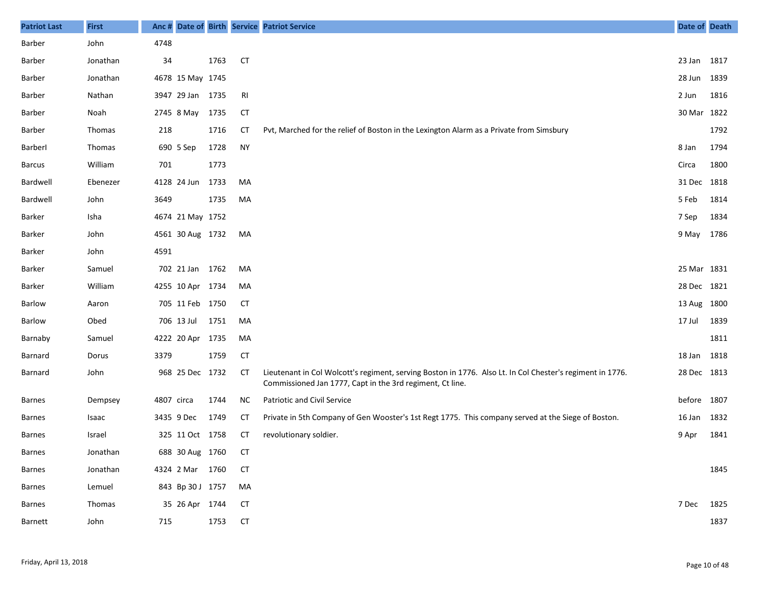| <b>Patriot Last</b> | <b>First</b>  |            |                  |      |           | Anc # Date of Birth Service Patriot Service                                                                                                                            | Date of Death |      |
|---------------------|---------------|------------|------------------|------|-----------|------------------------------------------------------------------------------------------------------------------------------------------------------------------------|---------------|------|
| Barber              | John          | 4748       |                  |      |           |                                                                                                                                                                        |               |      |
| Barber              | Jonathan      | 34         |                  | 1763 | <b>CT</b> |                                                                                                                                                                        | 23 Jan        | 1817 |
| Barber              | Jonathan      |            | 4678 15 May 1745 |      |           |                                                                                                                                                                        | 28 Jun        | 1839 |
| Barber              | Nathan        |            | 3947 29 Jan 1735 |      | RI        |                                                                                                                                                                        | 2 Jun         | 1816 |
| Barber              | Noah          |            | 2745 8 May       | 1735 | <b>CT</b> |                                                                                                                                                                        | 30 Mar        | 1822 |
| Barber              | <b>Thomas</b> | 218        |                  | 1716 | CТ        | Pvt, Marched for the relief of Boston in the Lexington Alarm as a Private from Simsbury                                                                                |               | 1792 |
| Barberl             | Thomas        |            | 690 5 Sep        | 1728 | <b>NY</b> |                                                                                                                                                                        | 8 Jan         | 1794 |
| <b>Barcus</b>       | William       | 701        |                  | 1773 |           |                                                                                                                                                                        | Circa         | 1800 |
| Bardwell            | Ebenezer      |            | 4128 24 Jun      | 1733 | MA        |                                                                                                                                                                        | 31 Dec 1818   |      |
| Bardwell            | John          | 3649       |                  | 1735 | MA        |                                                                                                                                                                        | 5 Feb         | 1814 |
| Barker              | Isha          |            | 4674 21 May 1752 |      |           |                                                                                                                                                                        | 7 Sep         | 1834 |
| <b>Barker</b>       | John          |            | 4561 30 Aug 1732 |      | MA        |                                                                                                                                                                        | 9 May         | 1786 |
| Barker              | John          | 4591       |                  |      |           |                                                                                                                                                                        |               |      |
| <b>Barker</b>       | Samuel        |            | 702 21 Jan 1762  |      | MA        |                                                                                                                                                                        | 25 Mar 1831   |      |
| Barker              | William       |            | 4255 10 Apr 1734 |      | MA        |                                                                                                                                                                        | 28 Dec 1821   |      |
| Barlow              | Aaron         |            | 705 11 Feb 1750  |      | CT        |                                                                                                                                                                        | 13 Aug 1800   |      |
| Barlow              | Obed          |            | 706 13 Jul       | 1751 | MA        |                                                                                                                                                                        | 17 Jul        | 1839 |
| Barnaby             | Samuel        |            | 4222 20 Apr 1735 |      | MA        |                                                                                                                                                                        |               | 1811 |
| Barnard             | Dorus         | 3379       |                  | 1759 | <b>CT</b> |                                                                                                                                                                        | 18 Jan        | 1818 |
| Barnard             | John          |            | 968 25 Dec 1732  |      | <b>CT</b> | Lieutenant in Col Wolcott's regiment, serving Boston in 1776. Also Lt. In Col Chester's regiment in 1776.<br>Commissioned Jan 1777, Capt in the 3rd regiment, Ct line. | 28 Dec 1813   |      |
| <b>Barnes</b>       | Dempsey       | 4807 circa |                  | 1744 | <b>NC</b> | Patriotic and Civil Service                                                                                                                                            | before        | 1807 |
| <b>Barnes</b>       | Isaac         |            | 3435 9 Dec       | 1749 | <b>CT</b> | Private in 5th Company of Gen Wooster's 1st Regt 1775. This company served at the Siege of Boston.                                                                     | 16 Jan        | 1832 |
| <b>Barnes</b>       | Israel        |            | 325 11 Oct 1758  |      | <b>CT</b> | revolutionary soldier.                                                                                                                                                 | 9 Apr         | 1841 |
| Barnes              | Jonathan      |            | 688 30 Aug 1760  |      | CT        |                                                                                                                                                                        |               |      |
| Barnes              | Jonathan      |            | 4324 2 Mar 1760  |      | CТ        |                                                                                                                                                                        |               | 1845 |
| Barnes              | Lemuel        |            | 843 Bp 30 J 1757 |      | MA        |                                                                                                                                                                        |               |      |
| Barnes              | Thomas        |            | 35 26 Apr 1744   |      | <b>CT</b> |                                                                                                                                                                        | 7 Dec         | 1825 |
| Barnett             | John          | 715        |                  | 1753 | <b>CT</b> |                                                                                                                                                                        |               | 1837 |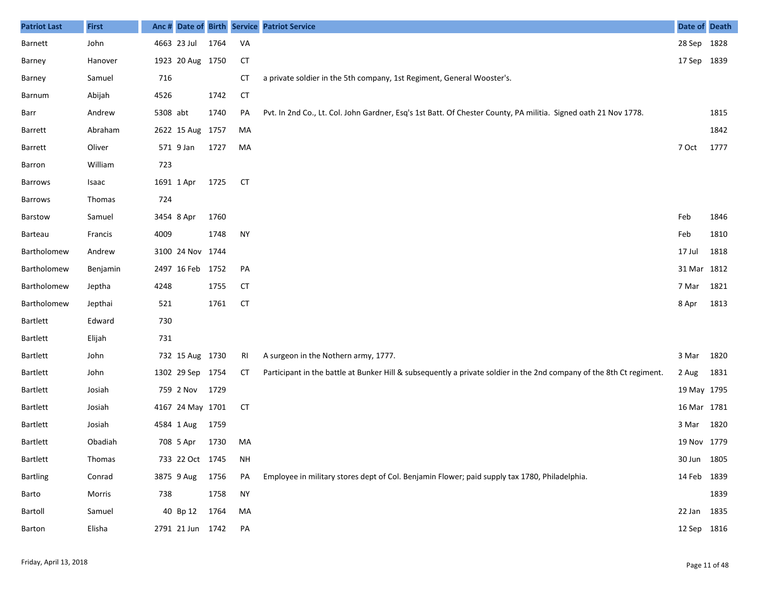| <b>Patriot Last</b> | <b>First</b> |          |                  |      |           | Anc # Date of Birth Service Patriot Service                                                                          | Date of Death |      |
|---------------------|--------------|----------|------------------|------|-----------|----------------------------------------------------------------------------------------------------------------------|---------------|------|
| <b>Barnett</b>      | John         |          | 4663 23 Jul      | 1764 | VA        |                                                                                                                      | 28 Sep 1828   |      |
| Barney              | Hanover      |          | 1923 20 Aug 1750 |      | <b>CT</b> |                                                                                                                      | 17 Sep 1839   |      |
| Barney              | Samuel       | 716      |                  |      | <b>CT</b> | a private soldier in the 5th company, 1st Regiment, General Wooster's.                                               |               |      |
| Barnum              | Abijah       | 4526     |                  | 1742 | <b>CT</b> |                                                                                                                      |               |      |
| Barr                | Andrew       | 5308 abt |                  | 1740 | PA        | Pvt. In 2nd Co., Lt. Col. John Gardner, Esq's 1st Batt. Of Chester County, PA militia. Signed oath 21 Nov 1778.      |               | 1815 |
| Barrett             | Abraham      |          | 2622 15 Aug 1757 |      | MA        |                                                                                                                      |               | 1842 |
| Barrett             | Oliver       |          | 571 9 Jan        | 1727 | MA        |                                                                                                                      | 7 Oct         | 1777 |
| Barron              | William      | 723      |                  |      |           |                                                                                                                      |               |      |
| <b>Barrows</b>      | Isaac        |          | 1691 1 Apr       | 1725 | <b>CT</b> |                                                                                                                      |               |      |
| Barrows             | Thomas       | 724      |                  |      |           |                                                                                                                      |               |      |
| Barstow             | Samuel       |          | 3454 8 Apr       | 1760 |           |                                                                                                                      | Feb           | 1846 |
| Barteau             | Francis      | 4009     |                  | 1748 | <b>NY</b> |                                                                                                                      | Feb           | 1810 |
| Bartholomew         | Andrew       |          | 3100 24 Nov 1744 |      |           |                                                                                                                      | 17 Jul        | 1818 |
| Bartholomew         | Benjamin     |          | 2497 16 Feb 1752 |      | PA        |                                                                                                                      | 31 Mar 1812   |      |
| Bartholomew         | Jeptha       | 4248     |                  | 1755 | <b>CT</b> |                                                                                                                      | 7 Mar         | 1821 |
| Bartholomew         | Jepthai      | 521      |                  | 1761 | <b>CT</b> |                                                                                                                      | 8 Apr         | 1813 |
| Bartlett            | Edward       | 730      |                  |      |           |                                                                                                                      |               |      |
| <b>Bartlett</b>     | Elijah       | 731      |                  |      |           |                                                                                                                      |               |      |
| Bartlett            | John         |          | 732 15 Aug 1730  |      | -RI       | A surgeon in the Nothern army, 1777.                                                                                 | 3 Mar         | 1820 |
| <b>Bartlett</b>     | John         |          | 1302 29 Sep 1754 |      | СT        | Participant in the battle at Bunker Hill & subsequently a private soldier in the 2nd company of the 8th Ct regiment. | 2 Aug         | 1831 |
| Bartlett            | Josiah       |          | 759 2 Nov        | 1729 |           |                                                                                                                      | 19 May 1795   |      |
| <b>Bartlett</b>     | Josiah       |          | 4167 24 May 1701 |      | <b>CT</b> |                                                                                                                      | 16 Mar 1781   |      |
| <b>Bartlett</b>     | Josiah       |          | 4584 1 Aug       | 1759 |           |                                                                                                                      | 3 Mar         | 1820 |
| Bartlett            | Obadiah      |          | 708 5 Apr        | 1730 | MA        |                                                                                                                      | 19 Nov 1779   |      |
| Bartlett            | Thomas       |          | 733 22 Oct 1745  |      | <b>NH</b> |                                                                                                                      | 30 Jun 1805   |      |
| <b>Bartling</b>     | Conrad       |          | 3875 9 Aug       | 1756 | PA        | Employee in military stores dept of Col. Benjamin Flower; paid supply tax 1780, Philadelphia.                        | 14 Feb 1839   |      |
| Barto               | Morris       | 738      |                  | 1758 | <b>NY</b> |                                                                                                                      |               | 1839 |
| Bartoll             | Samuel       |          | 40 Bp 12         | 1764 | MA        |                                                                                                                      | 22 Jan 1835   |      |
| Barton              | Elisha       |          | 2791 21 Jun 1742 |      | PA        |                                                                                                                      | 12 Sep 1816   |      |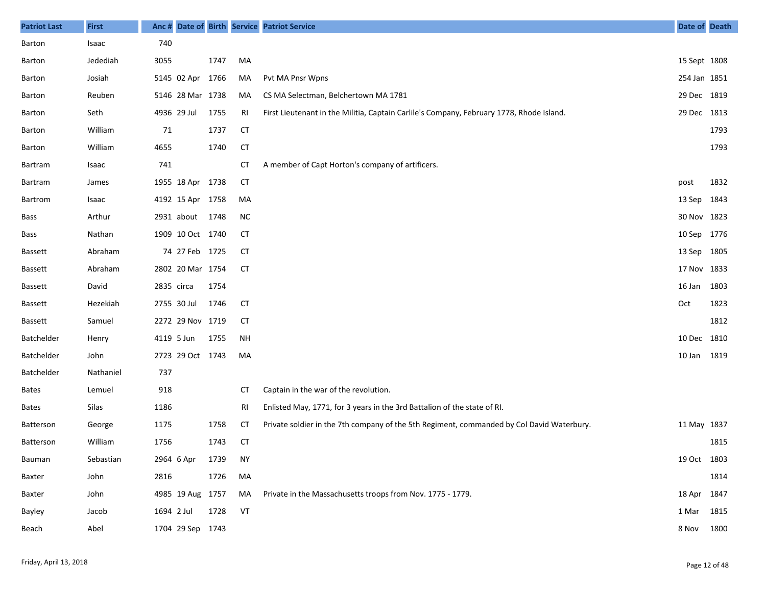| <b>Patriot Last</b> | <b>First</b> | Anc#        |                  |      |           | Date of Birth Service Patriot Service                                                     | Date of Death |      |
|---------------------|--------------|-------------|------------------|------|-----------|-------------------------------------------------------------------------------------------|---------------|------|
| Barton              | Isaac        | 740         |                  |      |           |                                                                                           |               |      |
| Barton              | Jedediah     | 3055        |                  | 1747 | MA        |                                                                                           | 15 Sept 1808  |      |
| Barton              | Josiah       |             | 5145 02 Apr      | 1766 | MA        | Pvt MA Pnsr Wpns                                                                          | 254 Jan 1851  |      |
| Barton              | Reuben       |             | 5146 28 Mar 1738 |      | MA        | CS MA Selectman, Belchertown MA 1781                                                      | 29 Dec 1819   |      |
| Barton              | Seth         | 4936 29 Jul |                  | 1755 | RI        | First Lieutenant in the Militia, Captain Carlile's Company, February 1778, Rhode Island.  | 29 Dec 1813   |      |
| Barton              | William      | 71          |                  | 1737 | <b>CT</b> |                                                                                           |               | 1793 |
| Barton              | William      | 4655        |                  | 1740 | <b>CT</b> |                                                                                           |               | 1793 |
| Bartram             | Isaac        | 741         |                  |      | <b>CT</b> | A member of Capt Horton's company of artificers.                                          |               |      |
| Bartram             | James        |             | 1955 18 Apr 1738 |      | <b>CT</b> |                                                                                           | post          | 1832 |
| Bartrom             | Isaac        |             | 4192 15 Apr 1758 |      | MA        |                                                                                           | 13 Sep 1843   |      |
| Bass                | Arthur       |             | 2931 about       | 1748 | <b>NC</b> |                                                                                           | 30 Nov 1823   |      |
| Bass                | Nathan       |             | 1909 10 Oct 1740 |      | СT        |                                                                                           | 10 Sep 1776   |      |
| <b>Bassett</b>      | Abraham      |             | 74 27 Feb 1725   |      | CT        |                                                                                           | 13 Sep 1805   |      |
| <b>Bassett</b>      | Abraham      |             | 2802 20 Mar 1754 |      | <b>CT</b> |                                                                                           | 17 Nov 1833   |      |
| <b>Bassett</b>      | David        | 2835 circa  |                  | 1754 |           |                                                                                           | 16 Jan        | 1803 |
| <b>Bassett</b>      | Hezekiah     | 2755 30 Jul |                  | 1746 | <b>CT</b> |                                                                                           | Oct           | 1823 |
| <b>Bassett</b>      | Samuel       |             | 2272 29 Nov 1719 |      | <b>CT</b> |                                                                                           |               | 1812 |
| Batchelder          | Henry        | 4119 5 Jun  |                  | 1755 | <b>NH</b> |                                                                                           | 10 Dec 1810   |      |
| Batchelder          | John         |             | 2723 29 Oct 1743 |      | MA        |                                                                                           | 10 Jan 1819   |      |
| Batchelder          | Nathaniel    | 737         |                  |      |           |                                                                                           |               |      |
| <b>Bates</b>        | Lemuel       | 918         |                  |      | <b>CT</b> | Captain in the war of the revolution.                                                     |               |      |
| <b>Bates</b>        | Silas        | 1186        |                  |      | RI        | Enlisted May, 1771, for 3 years in the 3rd Battalion of the state of RI.                  |               |      |
| Batterson           | George       | 1175        |                  | 1758 | СT        | Private soldier in the 7th company of the 5th Regiment, commanded by Col David Waterbury. | 11 May 1837   |      |
| Batterson           | William      | 1756        |                  | 1743 | <b>CT</b> |                                                                                           |               | 1815 |
| Bauman              | Sebastian    | 2964 6 Apr  |                  | 1739 | <b>NY</b> |                                                                                           | 19 Oct 1803   |      |
| Baxter              | John         | 2816        |                  | 1726 | MA        |                                                                                           |               | 1814 |
| Baxter              | John         |             | 4985 19 Aug 1757 |      | MA        | Private in the Massachusetts troops from Nov. 1775 - 1779.                                | 18 Apr 1847   |      |
| Bayley              | Jacob        | 1694 2 Jul  |                  | 1728 | VT        |                                                                                           | 1 Mar 1815    |      |
| Beach               | Abel         |             | 1704 29 Sep 1743 |      |           |                                                                                           | 8 Nov 1800    |      |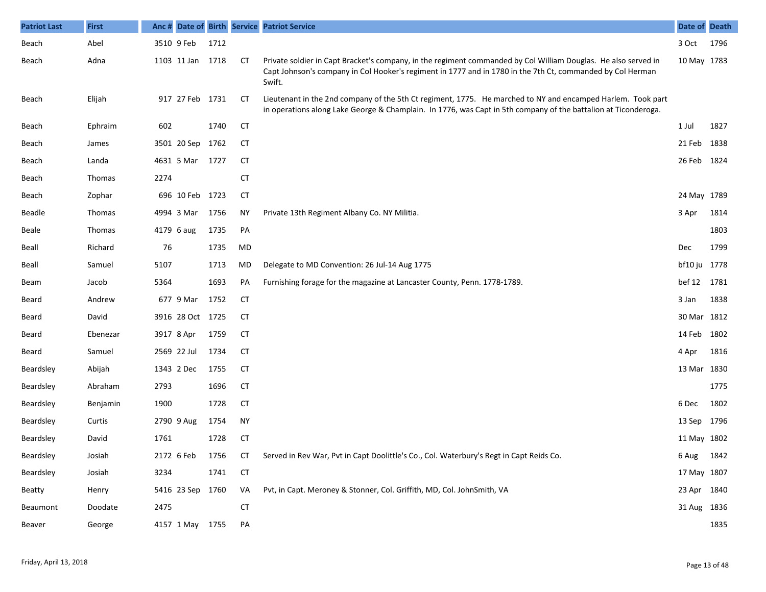| <b>Patriot Last</b> | <b>First</b> |      |                  |      |           | Anc # Date of Birth Service Patriot Service                                                                                                                                                                                            | Date of Death |      |
|---------------------|--------------|------|------------------|------|-----------|----------------------------------------------------------------------------------------------------------------------------------------------------------------------------------------------------------------------------------------|---------------|------|
| Beach               | Abel         |      | 3510 9 Feb       | 1712 |           |                                                                                                                                                                                                                                        | 3 Oct         | 1796 |
| Beach               | Adna         |      | 1103 11 Jan 1718 |      | CТ        | Private soldier in Capt Bracket's company, in the regiment commanded by Col William Douglas. He also served in<br>Capt Johnson's company in Col Hooker's regiment in 1777 and in 1780 in the 7th Ct, commanded by Col Herman<br>Swift. | 10 May 1783   |      |
| Beach               | Elijah       |      | 917 27 Feb 1731  |      | <b>CT</b> | Lieutenant in the 2nd company of the 5th Ct regiment, 1775. He marched to NY and encamped Harlem. Took part<br>in operations along Lake George & Champlain. In 1776, was Capt in 5th company of the battalion at Ticonderoga.          |               |      |
| Beach               | Ephraim      | 602  |                  | 1740 | <b>CT</b> |                                                                                                                                                                                                                                        | 1 Jul         | 1827 |
| Beach               | James        |      | 3501 20 Sep 1762 |      | <b>CT</b> |                                                                                                                                                                                                                                        | 21 Feb        | 1838 |
| Beach               | Landa        |      | 4631 5 Mar       | 1727 | <b>CT</b> |                                                                                                                                                                                                                                        | 26 Feb        | 1824 |
| Beach               | Thomas       | 2274 |                  |      | <b>CT</b> |                                                                                                                                                                                                                                        |               |      |
| Beach               | Zophar       |      | 696 10 Feb 1723  |      | CT        |                                                                                                                                                                                                                                        | 24 May 1789   |      |
| <b>Beadle</b>       | Thomas       |      | 4994 3 Mar       | 1756 | ΝY        | Private 13th Regiment Albany Co. NY Militia.                                                                                                                                                                                           | 3 Apr         | 1814 |
| <b>Beale</b>        | Thomas       |      | 4179 6 aug       | 1735 | PA        |                                                                                                                                                                                                                                        |               | 1803 |
| Beall               | Richard      | 76   |                  | 1735 | MD        |                                                                                                                                                                                                                                        | <b>Dec</b>    | 1799 |
| Beall               | Samuel       | 5107 |                  | 1713 | MD        | Delegate to MD Convention: 26 Jul-14 Aug 1775                                                                                                                                                                                          | bf10 ju 1778  |      |
| Beam                | Jacob        | 5364 |                  | 1693 | PA        | Furnishing forage for the magazine at Lancaster County, Penn. 1778-1789.                                                                                                                                                               | bef 12        | 1781 |
| Beard               | Andrew       |      | 677 9 Mar        | 1752 | <b>CT</b> |                                                                                                                                                                                                                                        | 3 Jan         | 1838 |
| Beard               | David        |      | 3916 28 Oct 1725 |      | СT        |                                                                                                                                                                                                                                        | 30 Mar 1812   |      |
| Beard               | Ebenezar     |      | 3917 8 Apr       | 1759 | <b>CT</b> |                                                                                                                                                                                                                                        | 14 Feb        | 1802 |
| Beard               | Samuel       |      | 2569 22 Jul      | 1734 | СT        |                                                                                                                                                                                                                                        | 4 Apr         | 1816 |
| Beardsley           | Abijah       |      | 1343 2 Dec       | 1755 | <b>CT</b> |                                                                                                                                                                                                                                        | 13 Mar 1830   |      |
| Beardsley           | Abraham      | 2793 |                  | 1696 | <b>CT</b> |                                                                                                                                                                                                                                        |               | 1775 |
| Beardsley           | Benjamin     | 1900 |                  | 1728 | <b>CT</b> |                                                                                                                                                                                                                                        | 6 Dec         | 1802 |
| Beardsley           | Curtis       |      | 2790 9 Aug       | 1754 | <b>NY</b> |                                                                                                                                                                                                                                        | 13 Sep 1796   |      |
| Beardsley           | David        | 1761 |                  | 1728 | <b>CT</b> |                                                                                                                                                                                                                                        | 11 May 1802   |      |
| Beardsley           | Josiah       |      | 2172 6 Feb       | 1756 | <b>CT</b> | Served in Rev War, Pvt in Capt Doolittle's Co., Col. Waterbury's Regt in Capt Reids Co.                                                                                                                                                | 6 Aug         | 1842 |
| Beardsley           | Josiah       | 3234 |                  | 1741 | <b>CT</b> |                                                                                                                                                                                                                                        | 17 May 1807   |      |
| Beatty              | Henry        |      | 5416 23 Sep 1760 |      | VA        | Pvt, in Capt. Meroney & Stonner, Col. Griffith, MD, Col. JohnSmith, VA                                                                                                                                                                 | 23 Apr 1840   |      |
| Beaumont            | Doodate      | 2475 |                  |      | <b>CT</b> |                                                                                                                                                                                                                                        | 31 Aug 1836   |      |
| Beaver              | George       |      | 4157 1 May 1755  |      | PA        |                                                                                                                                                                                                                                        |               | 1835 |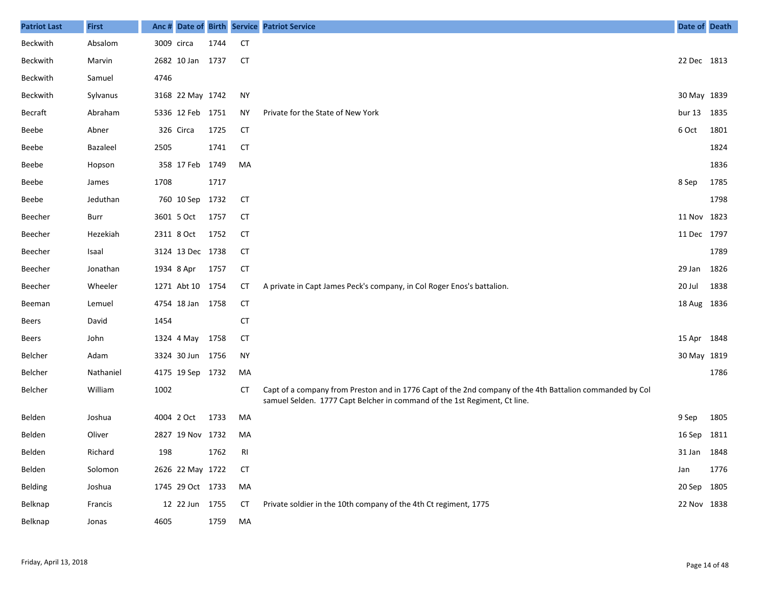| <b>Patriot Last</b> | <b>First</b> | Anc #      |                  |      |           | Date of Birth Service Patriot Service                                                                                                                                                 | Date of Death     |      |
|---------------------|--------------|------------|------------------|------|-----------|---------------------------------------------------------------------------------------------------------------------------------------------------------------------------------------|-------------------|------|
| Beckwith            | Absalom      | 3009 circa |                  | 1744 | <b>CT</b> |                                                                                                                                                                                       |                   |      |
| Beckwith            | Marvin       |            | 2682 10 Jan 1737 |      | CT        |                                                                                                                                                                                       | 22 Dec 1813       |      |
| Beckwith            | Samuel       | 4746       |                  |      |           |                                                                                                                                                                                       |                   |      |
| Beckwith            | Sylvanus     |            | 3168 22 May 1742 |      | NY        |                                                                                                                                                                                       | 30 May 1839       |      |
| Becraft             | Abraham      |            | 5336 12 Feb 1751 |      | <b>NY</b> | Private for the State of New York                                                                                                                                                     | bur <sub>13</sub> | 1835 |
| Beebe               | Abner        |            | 326 Circa        | 1725 | CT        |                                                                                                                                                                                       | 6 Oct             | 1801 |
| Beebe               | Bazaleel     | 2505       |                  | 1741 | CT        |                                                                                                                                                                                       |                   | 1824 |
| Beebe               | Hopson       |            | 358 17 Feb 1749  |      | MA        |                                                                                                                                                                                       |                   | 1836 |
| Beebe               | James        | 1708       |                  | 1717 |           |                                                                                                                                                                                       | 8 Sep             | 1785 |
| Beebe               | Jeduthan     |            | 760 10 Sep 1732  |      | СT        |                                                                                                                                                                                       |                   | 1798 |
| Beecher             | Burr         |            | 3601 5 Oct       | 1757 | <b>CT</b> |                                                                                                                                                                                       | 11 Nov            | 1823 |
| Beecher             | Hezekiah     |            | 2311 8 Oct       | 1752 | CT        |                                                                                                                                                                                       | 11 Dec 1797       |      |
| Beecher             | Isaal        |            | 3124 13 Dec 1738 |      | <b>CT</b> |                                                                                                                                                                                       |                   | 1789 |
| Beecher             | Jonathan     |            | 1934 8 Apr       | 1757 | <b>CT</b> |                                                                                                                                                                                       | 29 Jan            | 1826 |
| Beecher             | Wheeler      |            | 1271 Abt 10 1754 |      | СT        | A private in Capt James Peck's company, in Col Roger Enos's battalion.                                                                                                                | 20 Jul            | 1838 |
| Beeman              | Lemuel       |            | 4754 18 Jan 1758 |      | CT        |                                                                                                                                                                                       | 18 Aug 1836       |      |
| Beers               | David        | 1454       |                  |      | <b>CT</b> |                                                                                                                                                                                       |                   |      |
| Beers               | John         |            | 1324 4 May       | 1758 | CT        |                                                                                                                                                                                       | 15 Apr            | 1848 |
| Belcher             | Adam         |            | 3324 30 Jun 1756 |      | <b>NY</b> |                                                                                                                                                                                       | 30 May 1819       |      |
| Belcher             | Nathaniel    |            | 4175 19 Sep 1732 |      | MA        |                                                                                                                                                                                       |                   | 1786 |
| Belcher             | William      | 1002       |                  |      | СT        | Capt of a company from Preston and in 1776 Capt of the 2nd company of the 4th Battalion commanded by Col<br>samuel Selden. 1777 Capt Belcher in command of the 1st Regiment, Ct line. |                   |      |
| Belden              | Joshua       |            | 4004 2 Oct       | 1733 | MA        |                                                                                                                                                                                       | 9 Sep             | 1805 |
| Belden              | Oliver       |            | 2827 19 Nov 1732 |      | MA        |                                                                                                                                                                                       | 16 Sep            | 1811 |
| Belden              | Richard      | 198        |                  | 1762 | RI        |                                                                                                                                                                                       | 31 Jan 1848       |      |
| Belden              | Solomon      |            | 2626 22 May 1722 |      | <b>CT</b> |                                                                                                                                                                                       | Jan               | 1776 |
| Belding             | Joshua       |            | 1745 29 Oct 1733 |      | MA        |                                                                                                                                                                                       | 20 Sep 1805       |      |
| Belknap             | Francis      |            | 12 22 Jun 1755   |      | <b>CT</b> | Private soldier in the 10th company of the 4th Ct regiment, 1775                                                                                                                      | 22 Nov 1838       |      |
| Belknap             | Jonas        | 4605       |                  | 1759 | MA        |                                                                                                                                                                                       |                   |      |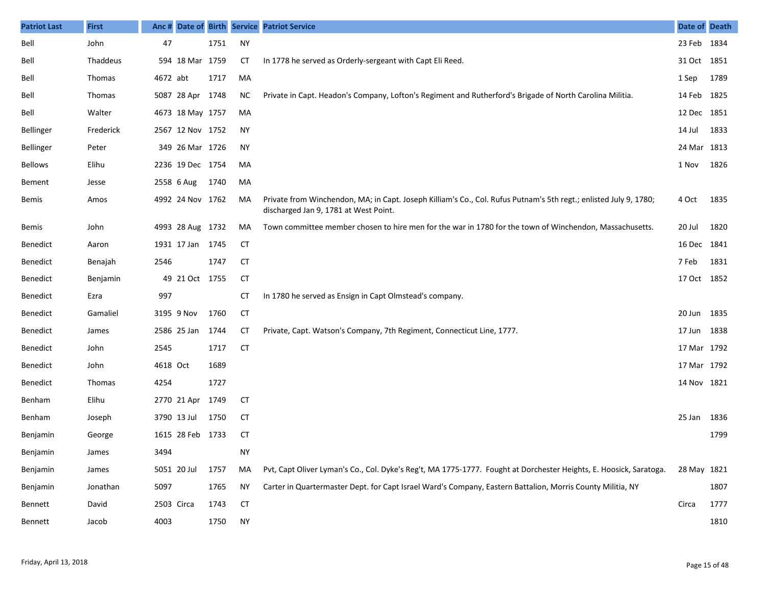| <b>Patriot Last</b> | <b>First</b>  | Anc #       |                  |      |           | Date of Birth Service Patriot Service                                                                                                                      | Date of Death |      |
|---------------------|---------------|-------------|------------------|------|-----------|------------------------------------------------------------------------------------------------------------------------------------------------------------|---------------|------|
| Bell                | John          | 47          |                  | 1751 | <b>NY</b> |                                                                                                                                                            | 23 Feb 1834   |      |
| Bell                | Thaddeus      |             | 594 18 Mar 1759  |      | СT        | In 1778 he served as Orderly-sergeant with Capt Eli Reed.                                                                                                  | 31 Oct 1851   |      |
| Bell                | Thomas        | 4672 abt    |                  | 1717 | MA        |                                                                                                                                                            | 1 Sep         | 1789 |
| Bell                | <b>Thomas</b> |             | 5087 28 Apr 1748 |      | ΝC        | Private in Capt. Headon's Company, Lofton's Regiment and Rutherford's Brigade of North Carolina Militia.                                                   | 14 Feb 1825   |      |
| Bell                | Walter        |             | 4673 18 May 1757 |      | MA        |                                                                                                                                                            | 12 Dec 1851   |      |
| Bellinger           | Frederick     |             | 2567 12 Nov 1752 |      | NY.       |                                                                                                                                                            | 14 Jul        | 1833 |
| Bellinger           | Peter         |             | 349 26 Mar 1726  |      | NY        |                                                                                                                                                            | 24 Mar 1813   |      |
| <b>Bellows</b>      | Elihu         |             | 2236 19 Dec 1754 |      | MA        |                                                                                                                                                            | 1 Nov         | 1826 |
| Bement              | Jesse         |             | 2558 6 Aug       | 1740 | MA        |                                                                                                                                                            |               |      |
| Bemis               | Amos          |             | 4992 24 Nov 1762 |      | MA        | Private from Winchendon, MA; in Capt. Joseph Killiam's Co., Col. Rufus Putnam's 5th regt.; enlisted July 9, 1780;<br>discharged Jan 9, 1781 at West Point. | 4 Oct         | 1835 |
| Bemis               | John          |             | 4993 28 Aug 1732 |      | MA        | Town committee member chosen to hire men for the war in 1780 for the town of Winchendon, Massachusetts.                                                    | 20 Jul        | 1820 |
| Benedict            | Aaron         |             | 1931 17 Jan 1745 |      | <b>CT</b> |                                                                                                                                                            | 16 Dec 1841   |      |
| Benedict            | Benajah       | 2546        |                  | 1747 | <b>CT</b> |                                                                                                                                                            | 7 Feb         | 1831 |
| Benedict            | Benjamin      |             | 49 21 Oct 1755   |      | <b>CT</b> |                                                                                                                                                            | 17 Oct 1852   |      |
| Benedict            | Ezra          | 997         |                  |      | СT        | In 1780 he served as Ensign in Capt Olmstead's company.                                                                                                    |               |      |
| Benedict            | Gamaliel      |             | 3195 9 Nov       | 1760 | <b>CT</b> |                                                                                                                                                            | 20 Jun 1835   |      |
| Benedict            | James         |             | 2586 25 Jan      | 1744 | СT        | Private, Capt. Watson's Company, 7th Regiment, Connecticut Line, 1777.                                                                                     | 17 Jun 1838   |      |
| Benedict            | John          | 2545        |                  | 1717 | <b>CT</b> |                                                                                                                                                            | 17 Mar 1792   |      |
| Benedict            | John          | 4618 Oct    |                  | 1689 |           |                                                                                                                                                            | 17 Mar 1792   |      |
| Benedict            | Thomas        | 4254        |                  | 1727 |           |                                                                                                                                                            | 14 Nov 1821   |      |
| Benham              | Elihu         |             | 2770 21 Apr      | 1749 | <b>CT</b> |                                                                                                                                                            |               |      |
| Benham              | Joseph        | 3790 13 Jul |                  | 1750 | <b>CT</b> |                                                                                                                                                            | 25 Jan        | 1836 |
| Benjamin            | George        |             | 1615 28 Feb 1733 |      | CT        |                                                                                                                                                            |               | 1799 |
| Benjamin            | James         | 3494        |                  |      | ΝY        |                                                                                                                                                            |               |      |
| Benjamin            | James         | 5051 20 Jul |                  | 1757 | MA        | Pvt, Capt Oliver Lyman's Co., Col. Dyke's Reg't, MA 1775-1777. Fought at Dorchester Heights, E. Hoosick, Saratoga.                                         | 28 May 1821   |      |
| Benjamin            | Jonathan      | 5097        |                  | 1765 | <b>NY</b> | Carter in Quartermaster Dept. for Capt Israel Ward's Company, Eastern Battalion, Morris County Militia, NY                                                 |               | 1807 |
| Bennett             | David         | 2503 Circa  |                  | 1743 | <b>CT</b> |                                                                                                                                                            | Circa         | 1777 |
| Bennett             | Jacob         | 4003        |                  | 1750 | <b>NY</b> |                                                                                                                                                            |               | 1810 |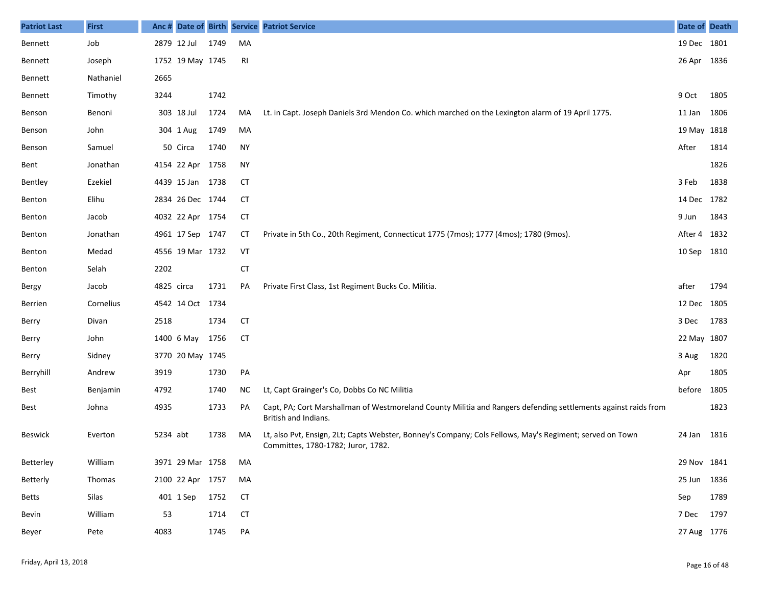| <b>Patriot Last</b> | <b>First</b> | Anc #      |                  |      |           | Date of Birth Service Patriot Service                                                                                                          | Date of Death |      |
|---------------------|--------------|------------|------------------|------|-----------|------------------------------------------------------------------------------------------------------------------------------------------------|---------------|------|
| Bennett             | Job          |            | 2879 12 Jul      | 1749 | MA        |                                                                                                                                                | 19 Dec 1801   |      |
| Bennett             | Joseph       |            | 1752 19 May 1745 |      | RI        |                                                                                                                                                | 26 Apr 1836   |      |
| Bennett             | Nathaniel    | 2665       |                  |      |           |                                                                                                                                                |               |      |
| Bennett             | Timothy      | 3244       |                  | 1742 |           |                                                                                                                                                | 9 Oct         | 1805 |
| Benson              | Benoni       |            | 303 18 Jul       | 1724 | MA        | Lt. in Capt. Joseph Daniels 3rd Mendon Co. which marched on the Lexington alarm of 19 April 1775.                                              | 11 Jan        | 1806 |
| Benson              | John         |            | 304 1 Aug        | 1749 | MA        |                                                                                                                                                | 19 May 1818   |      |
| Benson              | Samuel       |            | 50 Circa         | 1740 | <b>NY</b> |                                                                                                                                                | After         | 1814 |
| Bent                | Jonathan     |            | 4154 22 Apr 1758 |      | <b>NY</b> |                                                                                                                                                |               | 1826 |
| Bentley             | Ezekiel      |            | 4439 15 Jan 1738 |      | CT        |                                                                                                                                                | 3 Feb         | 1838 |
| Benton              | Elihu        |            | 2834 26 Dec 1744 |      | CT        |                                                                                                                                                | 14 Dec 1782   |      |
| Benton              | Jacob        |            | 4032 22 Apr 1754 |      | <b>CT</b> |                                                                                                                                                | 9 Jun         | 1843 |
| Benton              | Jonathan     |            | 4961 17 Sep 1747 |      | СT        | Private in 5th Co., 20th Regiment, Connecticut 1775 (7mos); 1777 (4mos); 1780 (9mos).                                                          | After 4 1832  |      |
| Benton              | Medad        |            | 4556 19 Mar 1732 |      | VT        |                                                                                                                                                | 10 Sep        | 1810 |
| Benton              | Selah        | 2202       |                  |      | <b>CT</b> |                                                                                                                                                |               |      |
| Bergy               | Jacob        | 4825 circa |                  | 1731 | PA        | Private First Class, 1st Regiment Bucks Co. Militia.                                                                                           | after         | 1794 |
| Berrien             | Cornelius    |            | 4542 14 Oct 1734 |      |           |                                                                                                                                                | 12 Dec 1805   |      |
| Berry               | Divan        | 2518       |                  | 1734 | CT        |                                                                                                                                                | 3 Dec         | 1783 |
| Berry               | John         |            | 1400 6 May       | 1756 | <b>CT</b> |                                                                                                                                                | 22 May 1807   |      |
| Berry               | Sidney       |            | 3770 20 May 1745 |      |           |                                                                                                                                                | 3 Aug         | 1820 |
| Berryhill           | Andrew       | 3919       |                  | 1730 | PA        |                                                                                                                                                | Apr           | 1805 |
| Best                | Benjamin     | 4792       |                  | 1740 | ΝC        | Lt, Capt Grainger's Co, Dobbs Co NC Militia                                                                                                    | before        | 1805 |
| Best                | Johna        | 4935       |                  | 1733 | PA        | Capt, PA; Cort Marshallman of Westmoreland County Militia and Rangers defending settlements against raids from<br>British and Indians.         |               | 1823 |
| Beswick             | Everton      | 5234 abt   |                  | 1738 | MA        | Lt, also Pvt, Ensign, 2Lt; Capts Webster, Bonney's Company; Cols Fellows, May's Regiment; served on Town<br>Committes, 1780-1782; Juror, 1782. | 24 Jan        | 1816 |
| Betterley           | William      |            | 3971 29 Mar 1758 |      | MA        |                                                                                                                                                | 29 Nov 1841   |      |
| Betterly            | Thomas       |            | 2100 22 Apr 1757 |      | МA        |                                                                                                                                                | 25 Jun 1836   |      |
| Betts               | Silas        |            | 401 1 Sep        | 1752 | <b>CT</b> |                                                                                                                                                | Sep           | 1789 |
| Bevin               | William      | 53         |                  | 1714 | <b>CT</b> |                                                                                                                                                | 7 Dec         | 1797 |
| Beyer               | Pete         | 4083       |                  | 1745 | PA        |                                                                                                                                                | 27 Aug 1776   |      |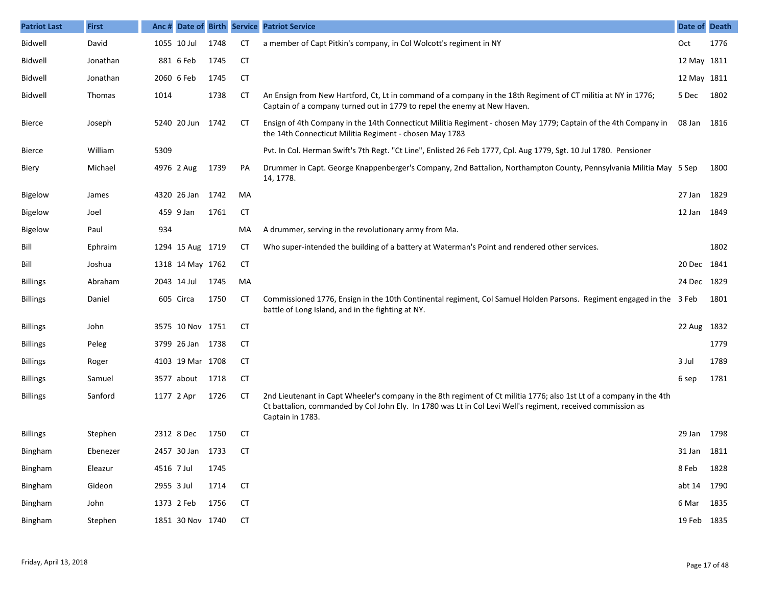| <b>Patriot Last</b> | <b>First</b> | Anc #      |                  |      |           | Date of Birth Service Patriot Service                                                                                                                                                                                                                   | Date of Death |      |
|---------------------|--------------|------------|------------------|------|-----------|---------------------------------------------------------------------------------------------------------------------------------------------------------------------------------------------------------------------------------------------------------|---------------|------|
| Bidwell             | David        |            | 1055 10 Jul      | 1748 | CT        | a member of Capt Pitkin's company, in Col Wolcott's regiment in NY                                                                                                                                                                                      | Oct           | 1776 |
| Bidwell             | Jonathan     |            | 881 6 Feb        | 1745 | <b>CT</b> |                                                                                                                                                                                                                                                         | 12 May 1811   |      |
| Bidwell             | Jonathan     |            | 2060 6 Feb       | 1745 | <b>CT</b> |                                                                                                                                                                                                                                                         | 12 May 1811   |      |
| Bidwell             | Thomas       | 1014       |                  | 1738 | CТ        | An Ensign from New Hartford, Ct, Lt in command of a company in the 18th Regiment of CT militia at NY in 1776;<br>Captain of a company turned out in 1779 to repel the enemy at New Haven.                                                               | 5 Dec         | 1802 |
| <b>Bierce</b>       | Joseph       |            | 5240 20 Jun 1742 |      | CТ        | Ensign of 4th Company in the 14th Connecticut Militia Regiment - chosen May 1779; Captain of the 4th Company in<br>the 14th Connecticut Militia Regiment - chosen May 1783                                                                              | 08 Jan 1816   |      |
| Bierce              | William      | 5309       |                  |      |           | Pvt. In Col. Herman Swift's 7th Regt. "Ct Line", Enlisted 26 Feb 1777, Cpl. Aug 1779, Sgt. 10 Jul 1780. Pensioner                                                                                                                                       |               |      |
| Biery               | Michael      |            | 4976 2 Aug       | 1739 | PA        | Drummer in Capt. George Knappenberger's Company, 2nd Battalion, Northampton County, Pennsylvania Militia May 5 Sep<br>14, 1778.                                                                                                                         |               | 1800 |
| <b>Bigelow</b>      | James        |            | 4320 26 Jan      | 1742 | MA        |                                                                                                                                                                                                                                                         | 27 Jan 1829   |      |
| <b>Bigelow</b>      | Joel         |            | 459 9 Jan        | 1761 | <b>CT</b> |                                                                                                                                                                                                                                                         | 12 Jan 1849   |      |
| <b>Bigelow</b>      | Paul         | 934        |                  |      | MA        | A drummer, serving in the revolutionary army from Ma.                                                                                                                                                                                                   |               |      |
| Bill                | Ephraim      |            | 1294 15 Aug 1719 |      | CТ        | Who super-intended the building of a battery at Waterman's Point and rendered other services.                                                                                                                                                           |               | 1802 |
| Bill                | Joshua       |            | 1318 14 May 1762 |      | <b>CT</b> |                                                                                                                                                                                                                                                         | 20 Dec 1841   |      |
| <b>Billings</b>     | Abraham      |            | 2043 14 Jul      | 1745 | MA        |                                                                                                                                                                                                                                                         | 24 Dec 1829   |      |
| <b>Billings</b>     | Daniel       |            | 605 Circa        | 1750 | СT        | Commissioned 1776, Ensign in the 10th Continental regiment, Col Samuel Holden Parsons. Regiment engaged in the 3 Feb<br>battle of Long Island, and in the fighting at NY.                                                                               |               | 1801 |
| <b>Billings</b>     | John         |            | 3575 10 Nov 1751 |      | CТ        |                                                                                                                                                                                                                                                         | 22 Aug 1832   |      |
| <b>Billings</b>     | Peleg        |            | 3799 26 Jan 1738 |      | CТ        |                                                                                                                                                                                                                                                         |               | 1779 |
| <b>Billings</b>     | Roger        |            | 4103 19 Mar 1708 |      | CТ        |                                                                                                                                                                                                                                                         | 3 Jul         | 1789 |
| <b>Billings</b>     | Samuel       |            | 3577 about       | 1718 | <b>CT</b> |                                                                                                                                                                                                                                                         | 6 sep         | 1781 |
| <b>Billings</b>     | Sanford      |            | 1177 2 Apr       | 1726 | CТ        | 2nd Lieutenant in Capt Wheeler's company in the 8th regiment of Ct militia 1776; also 1st Lt of a company in the 4th<br>Ct battalion, commanded by Col John Ely. In 1780 was Lt in Col Levi Well's regiment, received commission as<br>Captain in 1783. |               |      |
| <b>Billings</b>     | Stephen      |            | 2312 8 Dec       | 1750 | СT        |                                                                                                                                                                                                                                                         | 29 Jan 1798   |      |
| Bingham             | Ebenezer     |            | 2457 30 Jan 1733 |      | CT        |                                                                                                                                                                                                                                                         | 31 Jan 1811   |      |
| Bingham             | Eleazur      | 4516 7 Jul |                  | 1745 |           |                                                                                                                                                                                                                                                         | 8 Feb 1828    |      |
| Bingham             | Gideon       | 2955 3 Jul |                  | 1714 | <b>CT</b> |                                                                                                                                                                                                                                                         | abt 14 1790   |      |
| Bingham             | John         |            | 1373 2 Feb       | 1756 | <b>CT</b> |                                                                                                                                                                                                                                                         | 6 Mar 1835    |      |
| Bingham             | Stephen      |            | 1851 30 Nov 1740 |      | <b>CT</b> |                                                                                                                                                                                                                                                         | 19 Feb 1835   |      |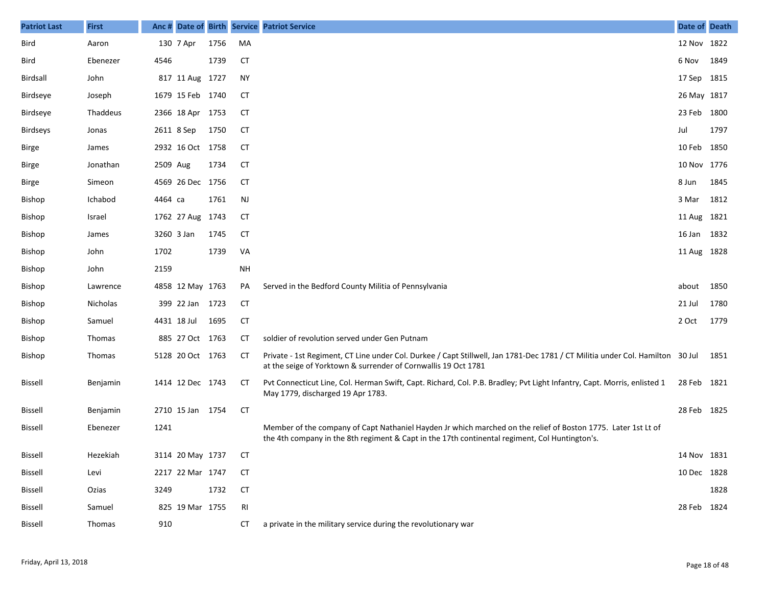| <b>Patriot Last</b> | <b>First</b> |             |                  |      |           | Anc # Date of Birth Service Patriot Service                                                                                                                                                                     | Date of Death |      |
|---------------------|--------------|-------------|------------------|------|-----------|-----------------------------------------------------------------------------------------------------------------------------------------------------------------------------------------------------------------|---------------|------|
| Bird                | Aaron        |             | 130 7 Apr        | 1756 | MA        |                                                                                                                                                                                                                 | 12 Nov 1822   |      |
| Bird                | Ebenezer     | 4546        |                  | 1739 | <b>CT</b> |                                                                                                                                                                                                                 | 6 Nov         | 1849 |
| Birdsall            | John         |             | 817 11 Aug 1727  |      | NY        |                                                                                                                                                                                                                 | 17 Sep 1815   |      |
| Birdseye            | Joseph       |             | 1679 15 Feb 1740 |      | СT        |                                                                                                                                                                                                                 | 26 May 1817   |      |
| Birdseye            | Thaddeus     |             | 2366 18 Apr 1753 |      | <b>CT</b> |                                                                                                                                                                                                                 | 23 Feb 1800   |      |
| <b>Birdseys</b>     | Jonas        | 2611 8 Sep  |                  | 1750 | СT        |                                                                                                                                                                                                                 | Jul           | 1797 |
| Birge               | James        |             | 2932 16 Oct 1758 |      | <b>CT</b> |                                                                                                                                                                                                                 | 10 Feb 1850   |      |
| Birge               | Jonathan     | 2509 Aug    |                  | 1734 | СT        |                                                                                                                                                                                                                 | 10 Nov 1776   |      |
| <b>Birge</b>        | Simeon       |             | 4569 26 Dec 1756 |      | <b>CT</b> |                                                                                                                                                                                                                 | 8 Jun         | 1845 |
| Bishop              | Ichabod      | 4464 са     |                  | 1761 | NJ        |                                                                                                                                                                                                                 | 3 Mar         | 1812 |
| Bishop              | Israel       |             | 1762 27 Aug 1743 |      | CT        |                                                                                                                                                                                                                 | 11 Aug 1821   |      |
| Bishop              | James        | 3260 3 Jan  |                  | 1745 | СT        |                                                                                                                                                                                                                 | 16 Jan        | 1832 |
| Bishop              | John         | 1702        |                  | 1739 | VA        |                                                                                                                                                                                                                 | 11 Aug 1828   |      |
| Bishop              | John         | 2159        |                  |      | <b>NH</b> |                                                                                                                                                                                                                 |               |      |
| Bishop              | Lawrence     |             | 4858 12 May 1763 |      | PA        | Served in the Bedford County Militia of Pennsylvania                                                                                                                                                            | about         | 1850 |
| Bishop              | Nicholas     |             | 399 22 Jan 1723  |      | СT        |                                                                                                                                                                                                                 | 21 Jul        | 1780 |
| Bishop              | Samuel       | 4431 18 Jul |                  | 1695 | <b>CT</b> |                                                                                                                                                                                                                 | 2 Oct         | 1779 |
| Bishop              | Thomas       |             | 885 27 Oct 1763  |      | CT        | soldier of revolution served under Gen Putnam                                                                                                                                                                   |               |      |
| Bishop              | Thomas       |             | 5128 20 Oct 1763 |      | CT        | Private - 1st Regiment, CT Line under Col. Durkee / Capt Stillwell, Jan 1781-Dec 1781 / CT Militia under Col. Hamilton 30 Jul<br>at the seige of Yorktown & surrender of Cornwallis 19 Oct 1781                 |               | 1851 |
| Bissell             | Benjamin     |             | 1414 12 Dec 1743 |      | CТ        | Pvt Connecticut Line, Col. Herman Swift, Capt. Richard, Col. P.B. Bradley; Pvt Light Infantry, Capt. Morris, enlisted 1<br>May 1779, discharged 19 Apr 1783.                                                    | 28 Feb 1821   |      |
| Bissell             | Benjamin     |             | 2710 15 Jan 1754 |      | <b>CT</b> |                                                                                                                                                                                                                 | 28 Feb 1825   |      |
| Bissell             | Ebenezer     | 1241        |                  |      |           | Member of the company of Capt Nathaniel Hayden Jr which marched on the relief of Boston 1775. Later 1st Lt of<br>the 4th company in the 8th regiment & Capt in the 17th continental regiment, Col Huntington's. |               |      |
| Bissell             | Hezekiah     |             | 3114 20 May 1737 |      | CT        |                                                                                                                                                                                                                 | 14 Nov 1831   |      |
| Bissell             | Levi         |             | 2217 22 Mar 1747 |      | <b>CT</b> |                                                                                                                                                                                                                 | 10 Dec 1828   |      |
| <b>Bissell</b>      | Ozias        | 3249        |                  | 1732 | <b>CT</b> |                                                                                                                                                                                                                 |               | 1828 |
| <b>Bissell</b>      | Samuel       |             | 825 19 Mar 1755  |      | RI        |                                                                                                                                                                                                                 | 28 Feb 1824   |      |
| <b>Bissell</b>      | Thomas       | 910         |                  |      | СT        | a private in the military service during the revolutionary war                                                                                                                                                  |               |      |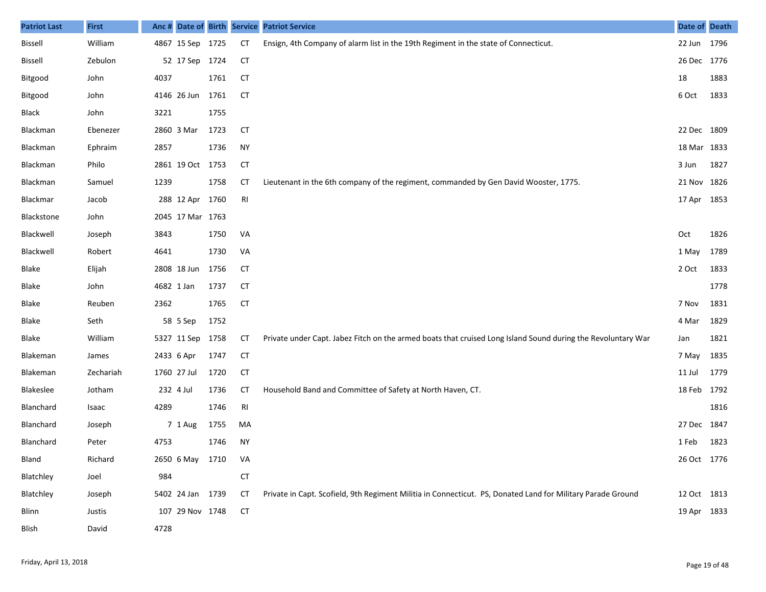| <b>Patriot Last</b> | <b>First</b> | Anc #      |                  |      |                | Date of Birth Service Patriot Service                                                                        | Date of Death |      |
|---------------------|--------------|------------|------------------|------|----------------|--------------------------------------------------------------------------------------------------------------|---------------|------|
| <b>Bissell</b>      | William      |            | 4867 15 Sep 1725 |      | <b>CT</b>      | Ensign, 4th Company of alarm list in the 19th Regiment in the state of Connecticut.                          | 22 Jun 1796   |      |
| <b>Bissell</b>      | Zebulon      |            | 52 17 Sep 1724   |      | <b>CT</b>      |                                                                                                              | 26 Dec 1776   |      |
| Bitgood             | John         | 4037       |                  | 1761 | <b>CT</b>      |                                                                                                              | 18            | 1883 |
| Bitgood             | John         |            | 4146 26 Jun      | 1761 | <b>CT</b>      |                                                                                                              | 6 Oct         | 1833 |
| Black               | John         | 3221       |                  | 1755 |                |                                                                                                              |               |      |
| Blackman            | Ebenezer     |            | 2860 3 Mar       | 1723 | <b>CT</b>      |                                                                                                              | 22 Dec 1809   |      |
| Blackman            | Ephraim      | 2857       |                  | 1736 | <b>NY</b>      |                                                                                                              | 18 Mar 1833   |      |
| Blackman            | Philo        |            | 2861 19 Oct 1753 |      | <b>CT</b>      |                                                                                                              | 3 Jun         | 1827 |
| Blackman            | Samuel       | 1239       |                  | 1758 | <b>CT</b>      | Lieutenant in the 6th company of the regiment, commanded by Gen David Wooster, 1775.                         | 21 Nov 1826   |      |
| Blackmar            | Jacob        |            | 288 12 Apr 1760  |      | RI             |                                                                                                              | 17 Apr 1853   |      |
| Blackstone          | John         |            | 2045 17 Mar 1763 |      |                |                                                                                                              |               |      |
| Blackwell           | Joseph       | 3843       |                  | 1750 | VA             |                                                                                                              | Oct           | 1826 |
| Blackwell           | Robert       | 4641       |                  | 1730 | VA             |                                                                                                              | 1 May         | 1789 |
| Blake               | Elijah       |            | 2808 18 Jun      | 1756 | <b>CT</b>      |                                                                                                              | 2 Oct         | 1833 |
| Blake               | John         | 4682 1 Jan |                  | 1737 | <b>CT</b>      |                                                                                                              |               | 1778 |
| Blake               | Reuben       | 2362       |                  | 1765 | <b>CT</b>      |                                                                                                              | 7 Nov         | 1831 |
| Blake               | Seth         |            | 58 5 Sep         | 1752 |                |                                                                                                              | 4 Mar         | 1829 |
| Blake               | William      |            | 5327 11 Sep      | 1758 | <b>CT</b>      | Private under Capt. Jabez Fitch on the armed boats that cruised Long Island Sound during the Revoluntary War | Jan           | 1821 |
| Blakeman            | James        |            | 2433 6 Apr       | 1747 | <b>CT</b>      |                                                                                                              | 7 May         | 1835 |
| Blakeman            | Zechariah    |            | 1760 27 Jul      | 1720 | <b>CT</b>      |                                                                                                              | 11 Jul        | 1779 |
| Blakeslee           | Jotham       |            | 232 4 Jul        | 1736 | <b>CT</b>      | Household Band and Committee of Safety at North Haven, CT.                                                   | 18 Feb 1792   |      |
| Blanchard           | Isaac        | 4289       |                  | 1746 | R <sub>l</sub> |                                                                                                              |               | 1816 |
| Blanchard           | Joseph       |            | 7 1 Aug          | 1755 | MA             |                                                                                                              | 27 Dec 1847   |      |
| Blanchard           | Peter        | 4753       |                  | 1746 | <b>NY</b>      |                                                                                                              | 1 Feb         | 1823 |
| Bland               | Richard      |            | 2650 6 May 1710  |      | VA             |                                                                                                              | 26 Oct 1776   |      |
| Blatchley           | Joel         | 984        |                  |      | <b>CT</b>      |                                                                                                              |               |      |
| Blatchley           | Joseph       |            | 5402 24 Jan 1739 |      | <b>CT</b>      | Private in Capt. Scofield, 9th Regiment Militia in Connecticut. PS, Donated Land for Military Parade Ground  | 12 Oct 1813   |      |
| <b>Blinn</b>        | Justis       |            | 107 29 Nov 1748  |      | <b>CT</b>      |                                                                                                              | 19 Apr 1833   |      |
| Blish               | David        | 4728       |                  |      |                |                                                                                                              |               |      |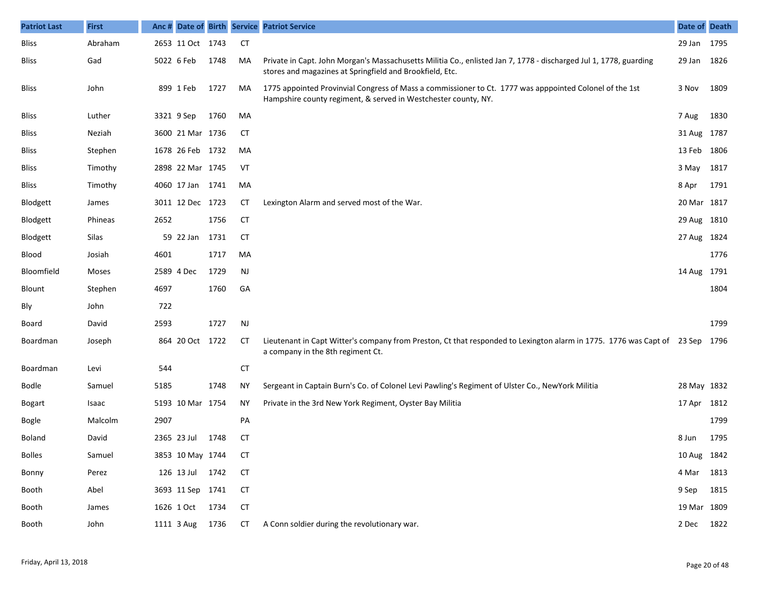| <b>Patriot Last</b> | <b>First</b> | Anc# |                  |      |           | Date of Birth Service Patriot Service                                                                                                                                         | Date of Death |      |
|---------------------|--------------|------|------------------|------|-----------|-------------------------------------------------------------------------------------------------------------------------------------------------------------------------------|---------------|------|
| <b>Bliss</b>        | Abraham      |      | 2653 11 Oct 1743 |      | <b>CT</b> |                                                                                                                                                                               | 29 Jan 1795   |      |
| <b>Bliss</b>        | Gad          |      | 5022 6 Feb       | 1748 | MA        | Private in Capt. John Morgan's Massachusetts Militia Co., enlisted Jan 7, 1778 - discharged Jul 1, 1778, guarding<br>stores and magazines at Springfield and Brookfield, Etc. | 29 Jan        | 1826 |
| <b>Bliss</b>        | John         |      | 899 1 Feb        | 1727 | MA        | 1775 appointed Provinvial Congress of Mass a commissioner to Ct. 1777 was apppointed Colonel of the 1st<br>Hampshire county regiment, & served in Westchester county, NY.     | 3 Nov         | 1809 |
| <b>Bliss</b>        | Luther       |      | 3321 9 Sep       | 1760 | MA        |                                                                                                                                                                               | 7 Aug         | 1830 |
| <b>Bliss</b>        | Neziah       |      | 3600 21 Mar 1736 |      | CТ        |                                                                                                                                                                               | 31 Aug 1787   |      |
| <b>Bliss</b>        | Stephen      |      | 1678 26 Feb 1732 |      | MA        |                                                                                                                                                                               | 13 Feb        | 1806 |
| <b>Bliss</b>        | Timothy      |      | 2898 22 Mar 1745 |      | VT        |                                                                                                                                                                               | 3 May         | 1817 |
| <b>Bliss</b>        | Timothy      |      | 4060 17 Jan 1741 |      | MA        |                                                                                                                                                                               | 8 Apr         | 1791 |
| Blodgett            | James        |      | 3011 12 Dec 1723 |      | <b>CT</b> | Lexington Alarm and served most of the War.                                                                                                                                   | 20 Mar        | 1817 |
| Blodgett            | Phineas      | 2652 |                  | 1756 | CT        |                                                                                                                                                                               | 29 Aug        | 1810 |
| Blodgett            | Silas        |      | 59 22 Jan        | 1731 | <b>CT</b> |                                                                                                                                                                               | 27 Aug        | 1824 |
| Blood               | Josiah       | 4601 |                  | 1717 | MA        |                                                                                                                                                                               |               | 1776 |
| Bloomfield          | Moses        |      | 2589 4 Dec       | 1729 | <b>NJ</b> |                                                                                                                                                                               | 14 Aug        | 1791 |
| Blount              | Stephen      | 4697 |                  | 1760 | GA        |                                                                                                                                                                               |               | 1804 |
| Bly                 | John         | 722  |                  |      |           |                                                                                                                                                                               |               |      |
| Board               | David        | 2593 |                  | 1727 | <b>NJ</b> |                                                                                                                                                                               |               | 1799 |
| Boardman            | Joseph       |      | 864 20 Oct 1722  |      | <b>CT</b> | Lieutenant in Capt Witter's company from Preston, Ct that responded to Lexington alarm in 1775. 1776 was Capt of 23 Sep<br>a company in the 8th regiment Ct.                  |               | 1796 |
| Boardman            | Levi         | 544  |                  |      | <b>CT</b> |                                                                                                                                                                               |               |      |
| <b>Bodle</b>        | Samuel       | 5185 |                  | 1748 | ΝY        | Sergeant in Captain Burn's Co. of Colonel Levi Pawling's Regiment of Ulster Co., NewYork Militia                                                                              | 28 May 1832   |      |
| <b>Bogart</b>       | Isaac        |      | 5193 10 Mar 1754 |      | ΝY        | Private in the 3rd New York Regiment, Oyster Bay Militia                                                                                                                      | 17 Apr 1812   |      |
| Bogle               | Malcolm      | 2907 |                  |      | PA        |                                                                                                                                                                               |               | 1799 |
| Boland              | David        |      | 2365 23 Jul      | 1748 | СT        |                                                                                                                                                                               | 8 Jun         | 1795 |
| <b>Bolles</b>       | Samuel       |      | 3853 10 May 1744 |      | СT        |                                                                                                                                                                               | 10 Aug 1842   |      |
| Bonny               | Perez        |      | 126 13 Jul 1742  |      | CT        |                                                                                                                                                                               | 4 Mar         | 1813 |
| Booth               | Abel         |      | 3693 11 Sep 1741 |      | <b>CT</b> |                                                                                                                                                                               | 9 Sep         | 1815 |
| Booth               | James        |      | 1626 1 Oct 1734  |      | <b>CT</b> |                                                                                                                                                                               | 19 Mar 1809   |      |
| Booth               | John         |      | 1111 3 Aug       | 1736 | CT        | A Conn soldier during the revolutionary war.                                                                                                                                  | 2 Dec         | 1822 |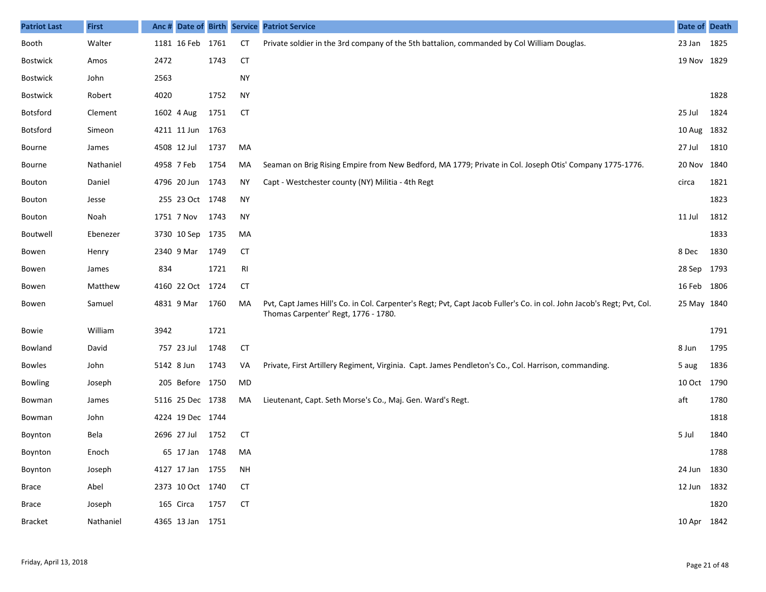| <b>Patriot Last</b> | <b>First</b> | Anc # |                  |      |           | Date of Birth Service Patriot Service                                                                                                                          | Date of Death |      |
|---------------------|--------------|-------|------------------|------|-----------|----------------------------------------------------------------------------------------------------------------------------------------------------------------|---------------|------|
| Booth               | Walter       |       | 1181 16 Feb 1761 |      | <b>CT</b> | Private soldier in the 3rd company of the 5th battalion, commanded by Col William Douglas.                                                                     | 23 Jan 1825   |      |
| <b>Bostwick</b>     | Amos         | 2472  |                  | 1743 | <b>CT</b> |                                                                                                                                                                | 19 Nov 1829   |      |
| <b>Bostwick</b>     | John         | 2563  |                  |      | <b>NY</b> |                                                                                                                                                                |               |      |
| Bostwick            | Robert       | 4020  |                  | 1752 | <b>NY</b> |                                                                                                                                                                |               | 1828 |
| Botsford            | Clement      |       | 1602 4 Aug       | 1751 | <b>CT</b> |                                                                                                                                                                | 25 Jul        | 1824 |
| <b>Botsford</b>     | Simeon       |       | 4211 11 Jun      | 1763 |           |                                                                                                                                                                | 10 Aug 1832   |      |
| Bourne              | James        |       | 4508 12 Jul      | 1737 | MA        |                                                                                                                                                                | 27 Jul        | 1810 |
| Bourne              | Nathaniel    |       | 4958 7 Feb       | 1754 | MA        | Seaman on Brig Rising Empire from New Bedford, MA 1779; Private in Col. Joseph Otis' Company 1775-1776.                                                        | 20 Nov 1840   |      |
| Bouton              | Daniel       |       | 4796 20 Jun      | 1743 | <b>NY</b> | Capt - Westchester county (NY) Militia - 4th Regt                                                                                                              | circa         | 1821 |
| Bouton              | Jesse        |       | 255 23 Oct 1748  |      | <b>NY</b> |                                                                                                                                                                |               | 1823 |
| Bouton              | Noah         |       | 1751 7 Nov       | 1743 | <b>NY</b> |                                                                                                                                                                | 11 Jul        | 1812 |
| Boutwell            | Ebenezer     |       | 3730 10 Sep 1735 |      | MA        |                                                                                                                                                                |               | 1833 |
| Bowen               | Henry        |       | 2340 9 Mar       | 1749 | <b>CT</b> |                                                                                                                                                                | 8 Dec         | 1830 |
| Bowen               | James        | 834   |                  | 1721 | RI        |                                                                                                                                                                | 28 Sep 1793   |      |
| Bowen               | Matthew      |       | 4160 22 Oct 1724 |      | <b>CT</b> |                                                                                                                                                                | 16 Feb 1806   |      |
| Bowen               | Samuel       |       | 4831 9 Mar       | 1760 | MA        | Pvt, Capt James Hill's Co. in Col. Carpenter's Regt; Pvt, Capt Jacob Fuller's Co. in col. John Jacob's Regt; Pvt, Col.<br>Thomas Carpenter' Regt, 1776 - 1780. | 25 May 1840   |      |
| Bowie               | William      | 3942  |                  | 1721 |           |                                                                                                                                                                |               | 1791 |
| Bowland             | David        |       | 757 23 Jul       | 1748 | <b>CT</b> |                                                                                                                                                                | 8 Jun         | 1795 |
| <b>Bowles</b>       | John         |       | 5142 8 Jun       | 1743 | VA        | Private, First Artillery Regiment, Virginia. Capt. James Pendleton's Co., Col. Harrison, commanding.                                                           | 5 aug         | 1836 |
| <b>Bowling</b>      | Joseph       |       | 205 Before 1750  |      | MD        |                                                                                                                                                                | 10 Oct 1790   |      |
| Bowman              | James        |       | 5116 25 Dec 1738 |      | MA        | Lieutenant, Capt. Seth Morse's Co., Maj. Gen. Ward's Regt.                                                                                                     | aft           | 1780 |
| Bowman              | John         |       | 4224 19 Dec 1744 |      |           |                                                                                                                                                                |               | 1818 |
| Boynton             | Bela         |       | 2696 27 Jul      | 1752 | <b>CT</b> |                                                                                                                                                                | 5 Jul         | 1840 |
| Boynton             | Enoch        |       | 65 17 Jan 1748   |      | MA        |                                                                                                                                                                |               | 1788 |
| Boynton             | Joseph       |       | 4127 17 Jan 1755 |      | <b>NH</b> |                                                                                                                                                                | 24 Jun 1830   |      |
| <b>Brace</b>        | Abel         |       | 2373 10 Oct 1740 |      | <b>CT</b> |                                                                                                                                                                | 12 Jun 1832   |      |
| <b>Brace</b>        | Joseph       |       | 165 Circa 1757   |      | <b>CT</b> |                                                                                                                                                                |               | 1820 |
| <b>Bracket</b>      | Nathaniel    |       | 4365 13 Jan 1751 |      |           |                                                                                                                                                                | 10 Apr 1842   |      |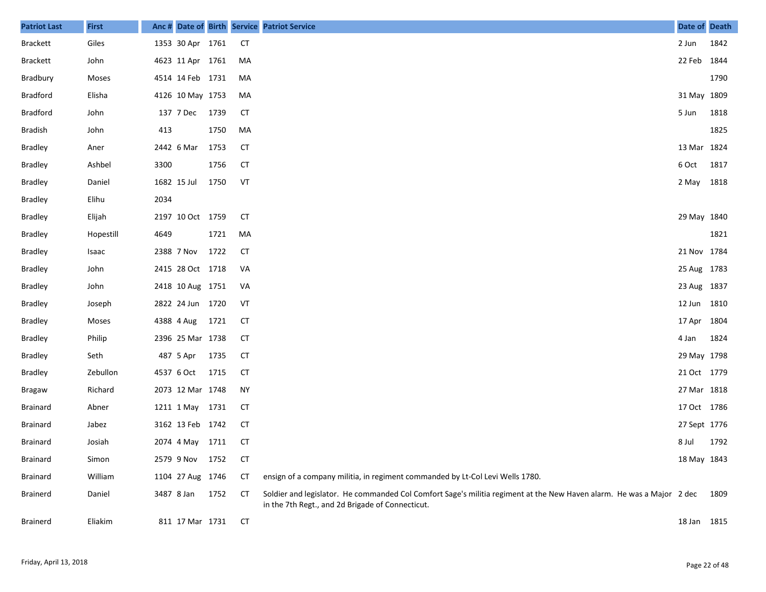| <b>Patriot Last</b> | <b>First</b> | Anc # |                  |      |           | Date of Birth Service Patriot Service                                                                                                                                     | Date of Death |      |
|---------------------|--------------|-------|------------------|------|-----------|---------------------------------------------------------------------------------------------------------------------------------------------------------------------------|---------------|------|
| <b>Brackett</b>     | Giles        |       | 1353 30 Apr 1761 |      | <b>CT</b> |                                                                                                                                                                           | 2 Jun         | 1842 |
| <b>Brackett</b>     | John         |       | 4623 11 Apr 1761 |      | MA        |                                                                                                                                                                           | 22 Feb 1844   |      |
| Bradbury            | Moses        |       | 4514 14 Feb 1731 |      | MA        |                                                                                                                                                                           |               | 1790 |
| <b>Bradford</b>     | Elisha       |       | 4126 10 May 1753 |      | MA        |                                                                                                                                                                           | 31 May 1809   |      |
| <b>Bradford</b>     | John         |       | 137 7 Dec        | 1739 | <b>CT</b> |                                                                                                                                                                           | 5 Jun         | 1818 |
| <b>Bradish</b>      | John         | 413   |                  | 1750 | MA        |                                                                                                                                                                           |               | 1825 |
| <b>Bradley</b>      | Aner         |       | 2442 6 Mar       | 1753 | <b>CT</b> |                                                                                                                                                                           | 13 Mar 1824   |      |
| <b>Bradley</b>      | Ashbel       | 3300  |                  | 1756 | <b>CT</b> |                                                                                                                                                                           | 6 Oct         | 1817 |
| <b>Bradley</b>      | Daniel       |       | 1682 15 Jul      | 1750 | VT        |                                                                                                                                                                           | 2 May 1818    |      |
| <b>Bradley</b>      | Elihu        | 2034  |                  |      |           |                                                                                                                                                                           |               |      |
| <b>Bradley</b>      | Elijah       |       | 2197 10 Oct 1759 |      | <b>CT</b> |                                                                                                                                                                           | 29 May 1840   |      |
| <b>Bradley</b>      | Hopestill    | 4649  |                  | 1721 | MA        |                                                                                                                                                                           |               | 1821 |
| <b>Bradley</b>      | Isaac        |       | 2388 7 Nov       | 1722 | <b>CT</b> |                                                                                                                                                                           | 21 Nov 1784   |      |
| <b>Bradley</b>      | John         |       | 2415 28 Oct 1718 |      | VA        |                                                                                                                                                                           | 25 Aug 1783   |      |
| <b>Bradley</b>      | John         |       | 2418 10 Aug 1751 |      | VA        |                                                                                                                                                                           | 23 Aug 1837   |      |
| <b>Bradley</b>      | Joseph       |       | 2822 24 Jun 1720 |      | VT        |                                                                                                                                                                           | 12 Jun 1810   |      |
| <b>Bradley</b>      | Moses        |       | 4388 4 Aug       | 1721 | CT        |                                                                                                                                                                           | 17 Apr        | 1804 |
| <b>Bradley</b>      | Philip       |       | 2396 25 Mar 1738 |      | CT        |                                                                                                                                                                           | 4 Jan         | 1824 |
| <b>Bradley</b>      | Seth         |       | 487 5 Apr        | 1735 | <b>CT</b> |                                                                                                                                                                           | 29 May 1798   |      |
| <b>Bradley</b>      | Zebullon     |       | 4537 6 Oct       | 1715 | <b>CT</b> |                                                                                                                                                                           | 21 Oct 1779   |      |
| Bragaw              | Richard      |       | 2073 12 Mar 1748 |      | <b>NY</b> |                                                                                                                                                                           | 27 Mar 1818   |      |
| <b>Brainard</b>     | Abner        |       | 1211 1 May 1731  |      | CT        |                                                                                                                                                                           | 17 Oct 1786   |      |
| <b>Brainard</b>     | Jabez        |       | 3162 13 Feb 1742 |      | CT        |                                                                                                                                                                           | 27 Sept 1776  |      |
| <b>Brainard</b>     | Josiah       |       | 2074 4 May 1711  |      | CТ        |                                                                                                                                                                           | 8 Jul         | 1792 |
| <b>Brainard</b>     | Simon        |       | 2579 9 Nov 1752  |      | <b>CT</b> |                                                                                                                                                                           | 18 May 1843   |      |
| Brainard            | William      |       | 1104 27 Aug 1746 |      | СT        | ensign of a company militia, in regiment commanded by Lt-Col Levi Wells 1780.                                                                                             |               |      |
| <b>Brainerd</b>     | Daniel       |       | 3487 8 Jan       | 1752 | CT        | Soldier and legislator. He commanded Col Comfort Sage's militia regiment at the New Haven alarm. He was a Major 2 dec<br>in the 7th Regt., and 2d Brigade of Connecticut. |               | 1809 |
| Brainerd            | Eliakim      |       | 811 17 Mar 1731  |      | <b>CT</b> |                                                                                                                                                                           | 18 Jan 1815   |      |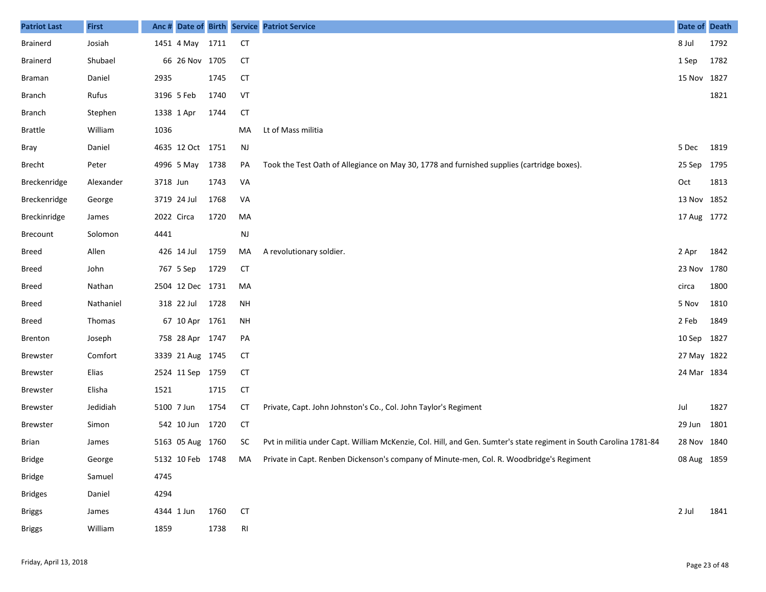| <b>Patriot Last</b> | <b>First</b>  | Anc #    |                  |      |                | Date of Birth Service Patriot Service                                                                              | Date of Death |      |
|---------------------|---------------|----------|------------------|------|----------------|--------------------------------------------------------------------------------------------------------------------|---------------|------|
| Brainerd            | Josiah        |          | 1451 4 May 1711  |      | CT             |                                                                                                                    | 8 Jul         | 1792 |
| <b>Brainerd</b>     | Shubael       |          | 66 26 Nov 1705   |      | <b>CT</b>      |                                                                                                                    | 1 Sep         | 1782 |
| <b>Braman</b>       | Daniel        | 2935     |                  | 1745 | <b>CT</b>      |                                                                                                                    | 15 Nov 1827   |      |
| <b>Branch</b>       | Rufus         |          | 3196 5 Feb       | 1740 | VT             |                                                                                                                    |               | 1821 |
| <b>Branch</b>       | Stephen       |          | 1338 1 Apr       | 1744 | <b>CT</b>      |                                                                                                                    |               |      |
| <b>Brattle</b>      | William       | 1036     |                  |      | MA             | Lt of Mass militia                                                                                                 |               |      |
| Bray                | Daniel        |          | 4635 12 Oct 1751 |      | <b>NJ</b>      |                                                                                                                    | 5 Dec         | 1819 |
| Brecht              | Peter         |          | 4996 5 May       | 1738 | PA             | Took the Test Oath of Allegiance on May 30, 1778 and furnished supplies (cartridge boxes).                         | 25 Sep        | 1795 |
| Breckenridge        | Alexander     | 3718 Jun |                  | 1743 | VA             |                                                                                                                    | Oct           | 1813 |
| Breckenridge        | George        |          | 3719 24 Jul      | 1768 | VA             |                                                                                                                    | 13 Nov 1852   |      |
| Breckinridge        | James         |          | 2022 Circa       | 1720 | MA             |                                                                                                                    | 17 Aug 1772   |      |
| <b>Brecount</b>     | Solomon       | 4441     |                  |      | NJ             |                                                                                                                    |               |      |
| Breed               | Allen         |          | 426 14 Jul       | 1759 | MA             | A revolutionary soldier.                                                                                           | 2 Apr         | 1842 |
| Breed               | John          |          | 767 5 Sep        | 1729 | <b>CT</b>      |                                                                                                                    | 23 Nov        | 1780 |
| Breed               | Nathan        |          | 2504 12 Dec 1731 |      | MA             |                                                                                                                    | circa         | 1800 |
| Breed               | Nathaniel     |          | 318 22 Jul       | 1728 | NH             |                                                                                                                    | 5 Nov         | 1810 |
| Breed               | <b>Thomas</b> |          | 67 10 Apr 1761   |      | <b>NH</b>      |                                                                                                                    | 2 Feb         | 1849 |
| <b>Brenton</b>      | Joseph        |          | 758 28 Apr 1747  |      | PA             |                                                                                                                    | 10 Sep        | 1827 |
| <b>Brewster</b>     | Comfort       |          | 3339 21 Aug 1745 |      | <b>CT</b>      |                                                                                                                    | 27 May 1822   |      |
| <b>Brewster</b>     | Elias         |          | 2524 11 Sep 1759 |      | <b>CT</b>      |                                                                                                                    | 24 Mar 1834   |      |
| Brewster            | Elisha        | 1521     |                  | 1715 | <b>CT</b>      |                                                                                                                    |               |      |
| <b>Brewster</b>     | Jedidiah      |          | 5100 7 Jun       | 1754 | <b>CT</b>      | Private, Capt. John Johnston's Co., Col. John Taylor's Regiment                                                    | Jul           | 1827 |
| <b>Brewster</b>     | Simon         |          | 542 10 Jun       | 1720 | <b>CT</b>      |                                                                                                                    | 29 Jun        | 1801 |
| <b>Brian</b>        | James         |          | 5163 05 Aug 1760 |      | SC             | Pvt in militia under Capt. William McKenzie, Col. Hill, and Gen. Sumter's state regiment in South Carolina 1781-84 | 28 Nov 1840   |      |
| <b>Bridge</b>       | George        |          | 5132 10 Feb 1748 |      | MA             | Private in Capt. Renben Dickenson's company of Minute-men, Col. R. Woodbridge's Regiment                           | 08 Aug 1859   |      |
| <b>Bridge</b>       | Samuel        | 4745     |                  |      |                |                                                                                                                    |               |      |
| <b>Bridges</b>      | Daniel        | 4294     |                  |      |                |                                                                                                                    |               |      |
| <b>Briggs</b>       | James         |          | 4344 1 Jun       | 1760 | <b>CT</b>      |                                                                                                                    | 2 Jul         | 1841 |
| <b>Briggs</b>       | William       | 1859     |                  | 1738 | R <sub>l</sub> |                                                                                                                    |               |      |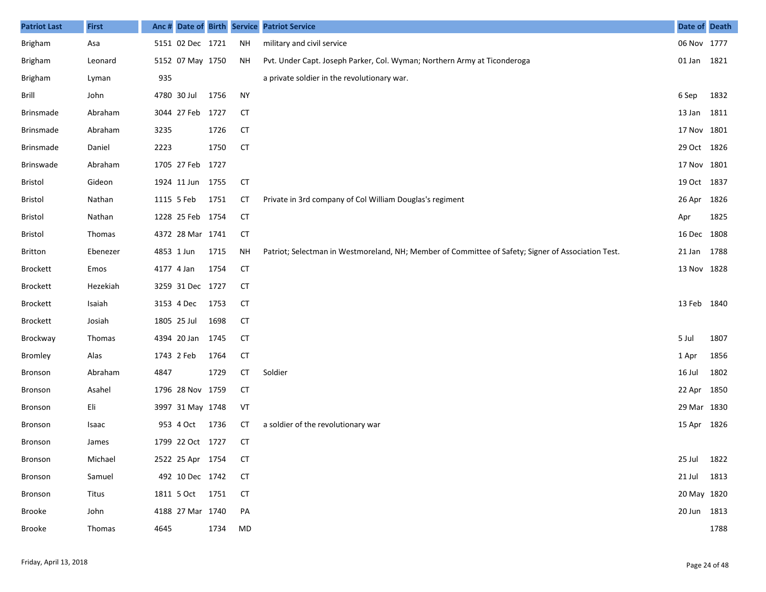| <b>Patriot Last</b> | <b>First</b>  | Anc #       |                  |      |           | Date of Birth Service Patriot Service                                                              | Date of Death |      |
|---------------------|---------------|-------------|------------------|------|-----------|----------------------------------------------------------------------------------------------------|---------------|------|
| <b>Brigham</b>      | Asa           |             | 5151 02 Dec 1721 |      | NH        | military and civil service                                                                         | 06 Nov 1777   |      |
| <b>Brigham</b>      | Leonard       |             | 5152 07 May 1750 |      | ΝH        | Pvt. Under Capt. Joseph Parker, Col. Wyman; Northern Army at Ticonderoga                           | 01 Jan 1821   |      |
| <b>Brigham</b>      | Lyman         | 935         |                  |      |           | a private soldier in the revolutionary war.                                                        |               |      |
| Brill               | John          |             | 4780 30 Jul      | 1756 | <b>NY</b> |                                                                                                    | 6 Sep         | 1832 |
| Brinsmade           | Abraham       |             | 3044 27 Feb 1727 |      | <b>CT</b> |                                                                                                    | 13 Jan        | 1811 |
| Brinsmade           | Abraham       | 3235        |                  | 1726 | <b>CT</b> |                                                                                                    | 17 Nov 1801   |      |
| Brinsmade           | Daniel        | 2223        |                  | 1750 | <b>CT</b> |                                                                                                    | 29 Oct 1826   |      |
| Brinswade           | Abraham       |             | 1705 27 Feb 1727 |      |           |                                                                                                    | 17 Nov 1801   |      |
| Bristol             | Gideon        |             | 1924 11 Jun 1755 |      | <b>CT</b> |                                                                                                    | 19 Oct 1837   |      |
| Bristol             | Nathan        | 1115 5 Feb  |                  | 1751 | CT        | Private in 3rd company of Col William Douglas's regiment                                           | 26 Apr        | 1826 |
| Bristol             | Nathan        |             | 1228 25 Feb 1754 |      | CT        |                                                                                                    | Apr           | 1825 |
| Bristol             | <b>Thomas</b> |             | 4372 28 Mar 1741 |      | CT        |                                                                                                    | 16 Dec        | 1808 |
| <b>Britton</b>      | Ebenezer      | 4853 1 Jun  |                  | 1715 | <b>NH</b> | Patriot; Selectman in Westmoreland, NH; Member of Committee of Safety; Signer of Association Test. | 21 Jan        | 1788 |
| <b>Brockett</b>     | Emos          | 4177 4 Jan  |                  | 1754 | CT        |                                                                                                    | 13 Nov 1828   |      |
| Brockett            | Hezekiah      |             | 3259 31 Dec 1727 |      | <b>CT</b> |                                                                                                    |               |      |
| <b>Brockett</b>     | Isaiah        |             | 3153 4 Dec       | 1753 | CT        |                                                                                                    | 13 Feb        | 1840 |
| Brockett            | Josiah        | 1805 25 Jul |                  | 1698 | CT        |                                                                                                    |               |      |
| Brockway            | <b>Thomas</b> |             | 4394 20 Jan      | 1745 | CT        |                                                                                                    | 5 Jul         | 1807 |
| <b>Bromley</b>      | Alas          | 1743 2 Feb  |                  | 1764 | <b>CT</b> |                                                                                                    | 1 Apr         | 1856 |
| Bronson             | Abraham       | 4847        |                  | 1729 | CT        | Soldier                                                                                            | 16 Jul        | 1802 |
| Bronson             | Asahel        |             | 1796 28 Nov 1759 |      | <b>CT</b> |                                                                                                    | 22 Apr        | 1850 |
| Bronson             | Eli           |             | 3997 31 May 1748 |      | VT        |                                                                                                    | 29 Mar 1830   |      |
| Bronson             | Isaac         |             | 953 4 Oct        | 1736 | СT        | a soldier of the revolutionary war                                                                 | 15 Apr 1826   |      |
| Bronson             | James         |             | 1799 22 Oct 1727 |      | СT        |                                                                                                    |               |      |
| Bronson             | Michael       |             | 2522 25 Apr 1754 |      | <b>CT</b> |                                                                                                    | 25 Jul        | 1822 |
| Bronson             | Samuel        |             | 492 10 Dec 1742  |      | <b>CT</b> |                                                                                                    | 21 Jul        | 1813 |
| Bronson             | Titus         |             | 1811 5 Oct 1751  |      | <b>CT</b> |                                                                                                    | 20 May 1820   |      |
| Brooke              | John          |             | 4188 27 Mar 1740 |      | PA        |                                                                                                    | 20 Jun 1813   |      |
| Brooke              | Thomas        | 4645        |                  | 1734 | MD        |                                                                                                    |               | 1788 |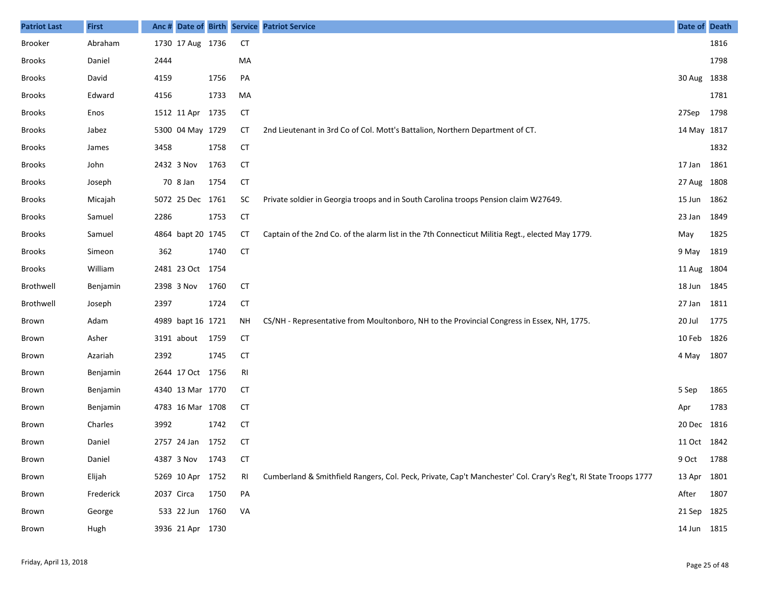| <b>Patriot Last</b> | <b>First</b> |            |                   |      |           | Anc # Date of Birth Service Patriot Service                                                                     | Date of Death |      |
|---------------------|--------------|------------|-------------------|------|-----------|-----------------------------------------------------------------------------------------------------------------|---------------|------|
| <b>Brooker</b>      | Abraham      |            | 1730 17 Aug 1736  |      | <b>CT</b> |                                                                                                                 |               | 1816 |
| <b>Brooks</b>       | Daniel       | 2444       |                   |      | MA        |                                                                                                                 |               | 1798 |
| <b>Brooks</b>       | David        | 4159       |                   | 1756 | PA        |                                                                                                                 | 30 Aug 1838   |      |
| <b>Brooks</b>       | Edward       | 4156       |                   | 1733 | MA        |                                                                                                                 |               | 1781 |
| <b>Brooks</b>       | Enos         |            | 1512 11 Apr 1735  |      | <b>CT</b> |                                                                                                                 | 27Sep         | 1798 |
| <b>Brooks</b>       | Jabez        |            | 5300 04 May 1729  |      | CТ        | 2nd Lieutenant in 3rd Co of Col. Mott's Battalion, Northern Department of CT.                                   | 14 May 1817   |      |
| <b>Brooks</b>       | James        | 3458       |                   | 1758 | <b>CT</b> |                                                                                                                 |               | 1832 |
| <b>Brooks</b>       | John         |            | 2432 3 Nov        | 1763 | <b>CT</b> |                                                                                                                 | 17 Jan 1861   |      |
| <b>Brooks</b>       | Joseph       |            | 70 8 Jan          | 1754 | <b>CT</b> |                                                                                                                 | 27 Aug 1808   |      |
| <b>Brooks</b>       | Micajah      |            | 5072 25 Dec 1761  |      | <b>SC</b> | Private soldier in Georgia troops and in South Carolina troops Pension claim W27649.                            | 15 Jun 1862   |      |
| <b>Brooks</b>       | Samuel       | 2286       |                   | 1753 | <b>CT</b> |                                                                                                                 | 23 Jan        | 1849 |
| <b>Brooks</b>       | Samuel       |            | 4864 bapt 20 1745 |      | <b>CT</b> | Captain of the 2nd Co. of the alarm list in the 7th Connecticut Militia Regt., elected May 1779.                | May           | 1825 |
| Brooks              | Simeon       | 362        |                   | 1740 | <b>CT</b> |                                                                                                                 | 9 May         | 1819 |
| Brooks              | William      |            | 2481 23 Oct 1754  |      |           |                                                                                                                 | 11 Aug 1804   |      |
| Brothwell           | Benjamin     |            | 2398 3 Nov        | 1760 | <b>CT</b> |                                                                                                                 | 18 Jun 1845   |      |
| Brothwell           | Joseph       | 2397       |                   | 1724 | <b>CT</b> |                                                                                                                 | 27 Jan 1811   |      |
| Brown               | Adam         |            | 4989 bapt 16 1721 |      | <b>NH</b> | CS/NH - Representative from Moultonboro, NH to the Provincial Congress in Essex, NH, 1775.                      | 20 Jul        | 1775 |
| Brown               | Asher        |            | 3191 about 1759   |      | <b>CT</b> |                                                                                                                 | 10 Feb 1826   |      |
| Brown               | Azariah      | 2392       |                   | 1745 | <b>CT</b> |                                                                                                                 | 4 May         | 1807 |
| Brown               | Benjamin     |            | 2644 17 Oct 1756  |      | RI        |                                                                                                                 |               |      |
| Brown               | Benjamin     |            | 4340 13 Mar 1770  |      | <b>CT</b> |                                                                                                                 | 5 Sep         | 1865 |
| Brown               | Benjamin     |            | 4783 16 Mar 1708  |      | CT        |                                                                                                                 | Apr           | 1783 |
| Brown               | Charles      | 3992       |                   | 1742 | <b>CT</b> |                                                                                                                 | 20 Dec 1816   |      |
| Brown               | Daniel       |            | 2757 24 Jan 1752  |      | CТ        |                                                                                                                 | 11 Oct 1842   |      |
| Brown               | Daniel       |            | 4387 3 Nov 1743   |      | <b>CT</b> |                                                                                                                 | 9 Oct 1788    |      |
| Brown               | Elijah       |            | 5269 10 Apr 1752  |      | RI        | Cumberland & Smithfield Rangers, Col. Peck, Private, Cap't Manchester' Col. Crary's Reg't, RI State Troops 1777 | 13 Apr 1801   |      |
| Brown               | Frederick    | 2037 Circa |                   | 1750 | PA        |                                                                                                                 | After         | 1807 |
| Brown               | George       |            | 533 22 Jun 1760   |      | VA        |                                                                                                                 | 21 Sep 1825   |      |
| Brown               | Hugh         |            | 3936 21 Apr 1730  |      |           |                                                                                                                 | 14 Jun 1815   |      |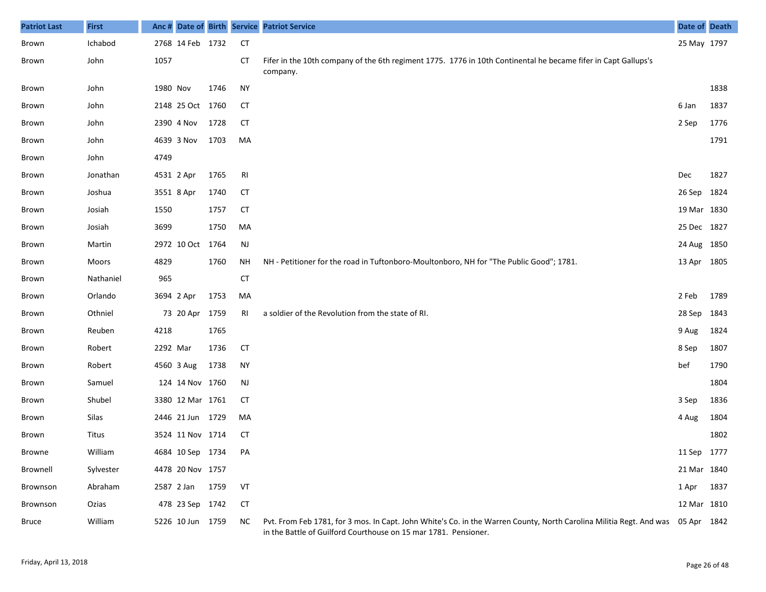| <b>Patriot Last</b> | <b>First</b> | Anc #      |                  |      |           | Date of Birth Service Patriot Service                                                                                                                                                              | Date of Death |      |
|---------------------|--------------|------------|------------------|------|-----------|----------------------------------------------------------------------------------------------------------------------------------------------------------------------------------------------------|---------------|------|
| Brown               | Ichabod      |            | 2768 14 Feb 1732 |      | CT        |                                                                                                                                                                                                    | 25 May 1797   |      |
| Brown               | John         | 1057       |                  |      | CТ        | Fifer in the 10th company of the 6th regiment 1775. 1776 in 10th Continental he became fifer in Capt Gallups's<br>company.                                                                         |               |      |
| Brown               | John         | 1980 Nov   |                  | 1746 | <b>NY</b> |                                                                                                                                                                                                    |               | 1838 |
| Brown               | John         |            | 2148 25 Oct 1760 |      | СT        |                                                                                                                                                                                                    | 6 Jan         | 1837 |
| Brown               | John         |            | 2390 4 Nov       | 1728 | CT        |                                                                                                                                                                                                    | 2 Sep         | 1776 |
| Brown               | John         |            | 4639 3 Nov       | 1703 | MA        |                                                                                                                                                                                                    |               | 1791 |
| Brown               | John         | 4749       |                  |      |           |                                                                                                                                                                                                    |               |      |
| Brown               | Jonathan     | 4531 2 Apr |                  | 1765 | RI        |                                                                                                                                                                                                    | Dec           | 1827 |
| Brown               | Joshua       |            | 3551 8 Apr       | 1740 | CT        |                                                                                                                                                                                                    | 26 Sep        | 1824 |
| Brown               | Josiah       | 1550       |                  | 1757 | CT        |                                                                                                                                                                                                    | 19 Mar 1830   |      |
| Brown               | Josiah       | 3699       |                  | 1750 | MA        |                                                                                                                                                                                                    | 25 Dec 1827   |      |
| Brown               | Martin       |            | 2972 10 Oct 1764 |      | <b>NJ</b> |                                                                                                                                                                                                    | 24 Aug 1850   |      |
| Brown               | Moors        | 4829       |                  | 1760 | ΝH        | NH - Petitioner for the road in Tuftonboro-Moultonboro, NH for "The Public Good"; 1781.                                                                                                            | 13 Apr 1805   |      |
| Brown               | Nathaniel    | 965        |                  |      | <b>CT</b> |                                                                                                                                                                                                    |               |      |
| Brown               | Orlando      |            | 3694 2 Apr       | 1753 | MA        |                                                                                                                                                                                                    | 2 Feb         | 1789 |
| Brown               | Othniel      |            | 73 20 Apr        | 1759 | RI        | a soldier of the Revolution from the state of RI.                                                                                                                                                  | 28 Sep        | 1843 |
| Brown               | Reuben       | 4218       |                  | 1765 |           |                                                                                                                                                                                                    | 9 Aug         | 1824 |
| Brown               | Robert       | 2292 Mar   |                  | 1736 | <b>CT</b> |                                                                                                                                                                                                    | 8 Sep         | 1807 |
| Brown               | Robert       |            | 4560 3 Aug       | 1738 | <b>NY</b> |                                                                                                                                                                                                    | bef           | 1790 |
| Brown               | Samuel       |            | 124 14 Nov 1760  |      | NJ        |                                                                                                                                                                                                    |               | 1804 |
| Brown               | Shubel       |            | 3380 12 Mar 1761 |      | CT        |                                                                                                                                                                                                    | 3 Sep         | 1836 |
| Brown               | Silas        |            | 2446 21 Jun 1729 |      | MA        |                                                                                                                                                                                                    | 4 Aug         | 1804 |
| Brown               | Titus        |            | 3524 11 Nov 1714 |      | CT        |                                                                                                                                                                                                    |               | 1802 |
| Browne              | William      |            | 4684 10 Sep 1734 |      | PA        |                                                                                                                                                                                                    | 11 Sep 1777   |      |
| Brownell            | Sylvester    |            | 4478 20 Nov 1757 |      |           |                                                                                                                                                                                                    | 21 Mar 1840   |      |
| Brownson            | Abraham      |            | 2587 2 Jan       | 1759 | VT        |                                                                                                                                                                                                    | 1 Apr         | 1837 |
| Brownson            | Ozias        |            | 478 23 Sep 1742  |      | <b>CT</b> |                                                                                                                                                                                                    | 12 Mar 1810   |      |
| Bruce               | William      |            | 5226 10 Jun 1759 |      | <b>NC</b> | Pvt. From Feb 1781, for 3 mos. In Capt. John White's Co. in the Warren County, North Carolina Militia Regt. And was 05 Apr 1842<br>in the Battle of Guilford Courthouse on 15 mar 1781. Pensioner. |               |      |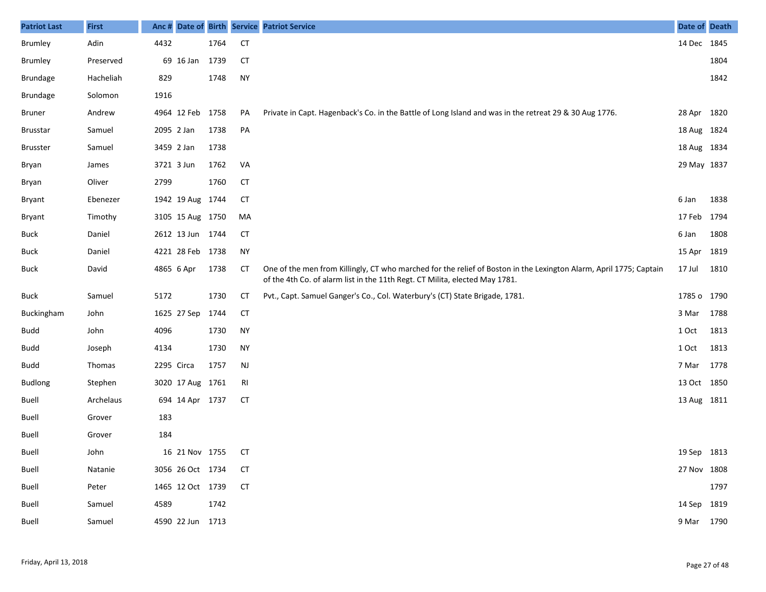| <b>Patriot Last</b> | <b>First</b> | Anc# |                     |      |           | Date of Birth Service Patriot Service                                                                                                                                                             | Date of Death |      |
|---------------------|--------------|------|---------------------|------|-----------|---------------------------------------------------------------------------------------------------------------------------------------------------------------------------------------------------|---------------|------|
| <b>Brumley</b>      | Adin         | 4432 |                     | 1764 | <b>CT</b> |                                                                                                                                                                                                   | 14 Dec 1845   |      |
| Brumley             | Preserved    |      | 69 16 Jan           | 1739 | <b>CT</b> |                                                                                                                                                                                                   |               | 1804 |
| <b>Brundage</b>     | Hacheliah    | 829  |                     | 1748 | <b>NY</b> |                                                                                                                                                                                                   |               | 1842 |
| <b>Brundage</b>     | Solomon      | 1916 |                     |      |           |                                                                                                                                                                                                   |               |      |
| Bruner              | Andrew       |      | 4964 12 Feb         | 1758 | PA        | Private in Capt. Hagenback's Co. in the Battle of Long Island and was in the retreat 29 & 30 Aug 1776.                                                                                            | 28 Apr 1820   |      |
| <b>Brusstar</b>     | Samuel       |      | 2095 2 Jan          | 1738 | PA        |                                                                                                                                                                                                   | 18 Aug 1824   |      |
| <b>Brusster</b>     | Samuel       |      | 3459 2 Jan          | 1738 |           |                                                                                                                                                                                                   | 18 Aug 1834   |      |
| Bryan               | James        |      | 3721 3 Jun          | 1762 | VA        |                                                                                                                                                                                                   | 29 May 1837   |      |
| Bryan               | Oliver       | 2799 |                     | 1760 | <b>CT</b> |                                                                                                                                                                                                   |               |      |
| Bryant              | Ebenezer     |      | 1942 19 Aug 1744    |      | СT        |                                                                                                                                                                                                   | 6 Jan         | 1838 |
| Bryant              | Timothy      |      | 3105 15 Aug 1750    |      | МA        |                                                                                                                                                                                                   | 17 Feb        | 1794 |
| <b>Buck</b>         | Daniel       |      | 2612 13 Jun 1744    |      | CT        |                                                                                                                                                                                                   | 6 Jan         | 1808 |
| <b>Buck</b>         | Daniel       |      | 4221 28 Feb 1738    |      | <b>NY</b> |                                                                                                                                                                                                   | 15 Apr        | 1819 |
| <b>Buck</b>         | David        |      | 4865 6 Apr          | 1738 | CT        | One of the men from Killingly, CT who marched for the relief of Boston in the Lexington Alarm, April 1775; Captain<br>of the 4th Co. of alarm list in the 11th Regt. CT Milita, elected May 1781. | 17 Jul        | 1810 |
| <b>Buck</b>         | Samuel       | 5172 |                     | 1730 | <b>CT</b> | Pvt., Capt. Samuel Ganger's Co., Col. Waterbury's (CT) State Brigade, 1781.                                                                                                                       | 1785 o 1790   |      |
| Buckingham          | John         |      | 1625 27 Sep         | 1744 | <b>CT</b> |                                                                                                                                                                                                   | 3 Mar         | 1788 |
| <b>Budd</b>         | John         | 4096 |                     | 1730 | <b>NY</b> |                                                                                                                                                                                                   | 1 Oct         | 1813 |
| <b>Budd</b>         | Joseph       | 4134 |                     | 1730 | <b>NY</b> |                                                                                                                                                                                                   | 1 Oct         | 1813 |
| <b>Budd</b>         | Thomas       |      | 2295 Circa          | 1757 | NJ        |                                                                                                                                                                                                   | 7 Mar         | 1778 |
| <b>Budlong</b>      | Stephen      |      | 3020 17 Aug 1761    |      | RI        |                                                                                                                                                                                                   | 13 Oct 1850   |      |
| Buell               | Archelaus    |      | 694 14 Apr 1737     |      | <b>CT</b> |                                                                                                                                                                                                   | 13 Aug 1811   |      |
| <b>Buell</b>        | Grover       | 183  |                     |      |           |                                                                                                                                                                                                   |               |      |
| Buell               | Grover       | 184  |                     |      |           |                                                                                                                                                                                                   |               |      |
| Buell               | John         |      | 16 21 Nov 1755 CT   |      |           |                                                                                                                                                                                                   | 19 Sep 1813   |      |
| Buell               | Natanie      |      | 3056 26 Oct 1734 CT |      |           |                                                                                                                                                                                                   | 27 Nov 1808   |      |
| Buell               | Peter        |      | 1465 12 Oct 1739 CT |      |           |                                                                                                                                                                                                   |               | 1797 |
| Buell               | Samuel       | 4589 |                     | 1742 |           |                                                                                                                                                                                                   | 14 Sep 1819   |      |
| Buell               | Samuel       |      | 4590 22 Jun 1713    |      |           |                                                                                                                                                                                                   | 9 Mar 1790    |      |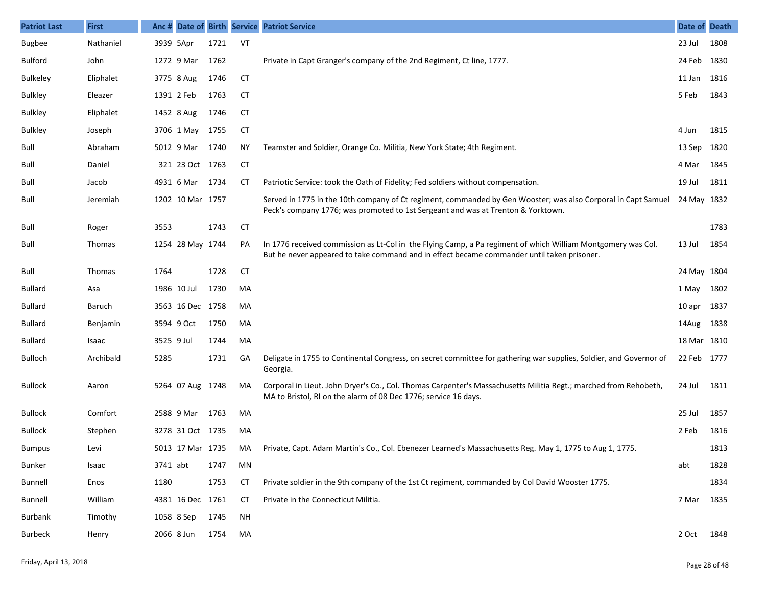| <b>Patriot Last</b> | <b>First</b>  | Anc #      |                  |      |           | Date of Birth Service Patriot Service                                                                                                                                                                      | Date of Death |      |
|---------------------|---------------|------------|------------------|------|-----------|------------------------------------------------------------------------------------------------------------------------------------------------------------------------------------------------------------|---------------|------|
| <b>Bugbee</b>       | Nathaniel     | 3939 5Apr  |                  | 1721 | VT        |                                                                                                                                                                                                            | 23 Jul        | 1808 |
| <b>Bulford</b>      | John          |            | 1272 9 Mar       | 1762 |           | Private in Capt Granger's company of the 2nd Regiment, Ct line, 1777.                                                                                                                                      | 24 Feb 1830   |      |
| <b>Bulkeley</b>     | Eliphalet     |            | 3775 8 Aug       | 1746 | <b>CT</b> |                                                                                                                                                                                                            | 11 Jan        | 1816 |
| <b>Bulkley</b>      | Eleazer       |            | 1391 2 Feb       | 1763 | <b>CT</b> |                                                                                                                                                                                                            | 5 Feb         | 1843 |
| <b>Bulkley</b>      | Eliphalet     |            | 1452 8 Aug       | 1746 | <b>CT</b> |                                                                                                                                                                                                            |               |      |
| <b>Bulkley</b>      | Joseph        |            | 3706 1 May       | 1755 | <b>CT</b> |                                                                                                                                                                                                            | 4 Jun         | 1815 |
| Bull                | Abraham       |            | 5012 9 Mar       | 1740 | ΝY        | Teamster and Soldier, Orange Co. Militia, New York State; 4th Regiment.                                                                                                                                    | 13 Sep        | 1820 |
| Bull                | Daniel        |            | 321 23 Oct 1763  |      | <b>CT</b> |                                                                                                                                                                                                            | 4 Mar         | 1845 |
| Bull                | Jacob         |            | 4931 6 Mar       | 1734 | СT        | Patriotic Service: took the Oath of Fidelity; Fed soldiers without compensation.                                                                                                                           | 19 Jul        | 1811 |
| Bull                | Jeremiah      |            | 1202 10 Mar 1757 |      |           | Served in 1775 in the 10th company of Ct regiment, commanded by Gen Wooster; was also Corporal in Capt Samuel<br>Peck's company 1776; was promoted to 1st Sergeant and was at Trenton & Yorktown.          | 24 May 1832   |      |
| Bull                | Roger         | 3553       |                  | 1743 | <b>CT</b> |                                                                                                                                                                                                            |               | 1783 |
| Bull                | <b>Thomas</b> |            | 1254 28 May 1744 |      | PA        | In 1776 received commission as Lt-Col in the Flying Camp, a Pa regiment of which William Montgomery was Col.<br>But he never appeared to take command and in effect became commander until taken prisoner. | 13 Jul        | 1854 |
| Bull                | <b>Thomas</b> | 1764       |                  | 1728 | <b>CT</b> |                                                                                                                                                                                                            | 24 May 1804   |      |
| <b>Bullard</b>      | Asa           |            | 1986 10 Jul      | 1730 | MA        |                                                                                                                                                                                                            | 1 May 1802    |      |
| <b>Bullard</b>      | Baruch        |            | 3563 16 Dec 1758 |      | MA        |                                                                                                                                                                                                            | 10 apr 1837   |      |
| <b>Bullard</b>      | Benjamin      |            | 3594 9 Oct       | 1750 | MA        |                                                                                                                                                                                                            | 14Aug 1838    |      |
| <b>Bullard</b>      | Isaac         | 3525 9 Jul |                  | 1744 | MA        |                                                                                                                                                                                                            | 18 Mar 1810   |      |
| Bulloch             | Archibald     | 5285       |                  | 1731 | GA        | Deligate in 1755 to Continental Congress, on secret committee for gathering war supplies, Soldier, and Governor of<br>Georgia.                                                                             | 22 Feb 1777   |      |
| <b>Bullock</b>      | Aaron         |            | 5264 07 Aug 1748 |      | MA        | Corporal in Lieut. John Dryer's Co., Col. Thomas Carpenter's Massachusetts Militia Regt.; marched from Rehobeth,<br>MA to Bristol, RI on the alarm of 08 Dec 1776; service 16 days.                        | 24 Jul        | 1811 |
| <b>Bullock</b>      | Comfort       |            | 2588 9 Mar       | 1763 | MA        |                                                                                                                                                                                                            | 25 Jul        | 1857 |
| <b>Bullock</b>      | Stephen       |            | 3278 31 Oct 1735 |      | MA        |                                                                                                                                                                                                            | 2 Feb         | 1816 |
| <b>Bumpus</b>       | Levi          |            | 5013 17 Mar 1735 |      | MA        | Private, Capt. Adam Martin's Co., Col. Ebenezer Learned's Massachusetts Reg. May 1, 1775 to Aug 1, 1775.                                                                                                   |               | 1813 |
| <b>Bunker</b>       | Isaac         | 3741 abt   |                  | 1747 | MN        |                                                                                                                                                                                                            | abt           | 1828 |
| <b>Bunnell</b>      | Enos          | 1180       |                  | 1753 | <b>CT</b> | Private soldier in the 9th company of the 1st Ct regiment, commanded by Col David Wooster 1775.                                                                                                            |               | 1834 |
| <b>Bunnell</b>      | William       |            | 4381 16 Dec 1761 |      | <b>CT</b> | Private in the Connecticut Militia.                                                                                                                                                                        | 7 Mar         | 1835 |
| Burbank             | Timothy       |            | 1058 8 Sep       | 1745 | NH        |                                                                                                                                                                                                            |               |      |
| Burbeck             | Henry         | 2066 8 Jun |                  | 1754 | MA        |                                                                                                                                                                                                            | 2 Oct         | 1848 |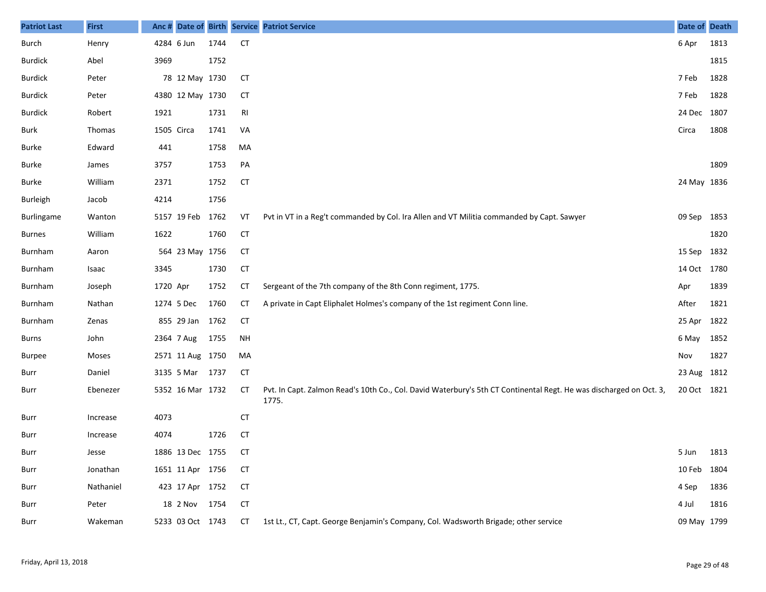| <b>Patriot Last</b> | <b>First</b> |            |                  |      |           | Anc # Date of Birth Service Patriot Service                                                                                 | Date of Death |      |
|---------------------|--------------|------------|------------------|------|-----------|-----------------------------------------------------------------------------------------------------------------------------|---------------|------|
| Burch               | Henry        |            | 4284 6 Jun       | 1744 | <b>CT</b> |                                                                                                                             | 6 Apr         | 1813 |
| <b>Burdick</b>      | Abel         | 3969       |                  | 1752 |           |                                                                                                                             |               | 1815 |
| <b>Burdick</b>      | Peter        |            | 78 12 May 1730   |      | CT        |                                                                                                                             | 7 Feb         | 1828 |
| <b>Burdick</b>      | Peter        |            | 4380 12 May 1730 |      | CT        |                                                                                                                             | 7 Feb         | 1828 |
| <b>Burdick</b>      | Robert       | 1921       |                  | 1731 | RI        |                                                                                                                             | 24 Dec 1807   |      |
| Burk                | Thomas       | 1505 Circa |                  | 1741 | VA        |                                                                                                                             | Circa         | 1808 |
| Burke               | Edward       | 441        |                  | 1758 | MA        |                                                                                                                             |               |      |
| Burke               | James        | 3757       |                  | 1753 | PA        |                                                                                                                             |               | 1809 |
| Burke               | William      | 2371       |                  | 1752 | <b>CT</b> |                                                                                                                             | 24 May 1836   |      |
| <b>Burleigh</b>     | Jacob        | 4214       |                  | 1756 |           |                                                                                                                             |               |      |
| Burlingame          | Wanton       |            | 5157 19 Feb      | 1762 | VT        | Pvt in VT in a Reg't commanded by Col. Ira Allen and VT Militia commanded by Capt. Sawyer                                   | 09 Sep        | 1853 |
| <b>Burnes</b>       | William      | 1622       |                  | 1760 | <b>CT</b> |                                                                                                                             |               | 1820 |
| Burnham             | Aaron        |            | 564 23 May 1756  |      | <b>CT</b> |                                                                                                                             | 15 Sep        | 1832 |
| Burnham             | Isaac        | 3345       |                  | 1730 | <b>CT</b> |                                                                                                                             | 14 Oct 1780   |      |
| Burnham             | Joseph       | 1720 Apr   |                  | 1752 | <b>CT</b> | Sergeant of the 7th company of the 8th Conn regiment, 1775.                                                                 | Apr           | 1839 |
| Burnham             | Nathan       |            | 1274 5 Dec       | 1760 | CT        | A private in Capt Eliphalet Holmes's company of the 1st regiment Conn line.                                                 | After         | 1821 |
| Burnham             | Zenas        |            | 855 29 Jan       | 1762 | <b>CT</b> |                                                                                                                             | 25 Apr        | 1822 |
| <b>Burns</b>        | John         |            | 2364 7 Aug       | 1755 | <b>NH</b> |                                                                                                                             | 6 May         | 1852 |
| <b>Burpee</b>       | Moses        |            | 2571 11 Aug 1750 |      | MA        |                                                                                                                             | Nov           | 1827 |
| Burr                | Daniel       |            | 3135 5 Mar 1737  |      | <b>CT</b> |                                                                                                                             | 23 Aug 1812   |      |
| Burr                | Ebenezer     |            | 5352 16 Mar 1732 |      | <b>CT</b> | Pvt. In Capt. Zalmon Read's 10th Co., Col. David Waterbury's 5th CT Continental Regt. He was discharged on Oct. 3,<br>1775. | 20 Oct 1821   |      |
| Burr                | Increase     | 4073       |                  |      | <b>CT</b> |                                                                                                                             |               |      |
| Burr                | Increase     | 4074       |                  | 1726 | <b>CT</b> |                                                                                                                             |               |      |
| Burr                | Jesse        |            | 1886 13 Dec 1755 |      | CT        |                                                                                                                             | 5 Jun 1813    |      |
| Burr                | Jonathan     |            | 1651 11 Apr 1756 |      | CT        |                                                                                                                             | 10 Feb        | 1804 |
| Burr                | Nathaniel    |            | 423 17 Apr 1752  |      | <b>CT</b> |                                                                                                                             | 4 Sep         | 1836 |
| Burr                | Peter        |            | 18 2 Nov 1754    |      | <b>CT</b> |                                                                                                                             | 4 Jul         | 1816 |
| Burr                | Wakeman      |            | 5233 03 Oct 1743 |      | CT        | 1st Lt., CT, Capt. George Benjamin's Company, Col. Wadsworth Brigade; other service                                         | 09 May 1799   |      |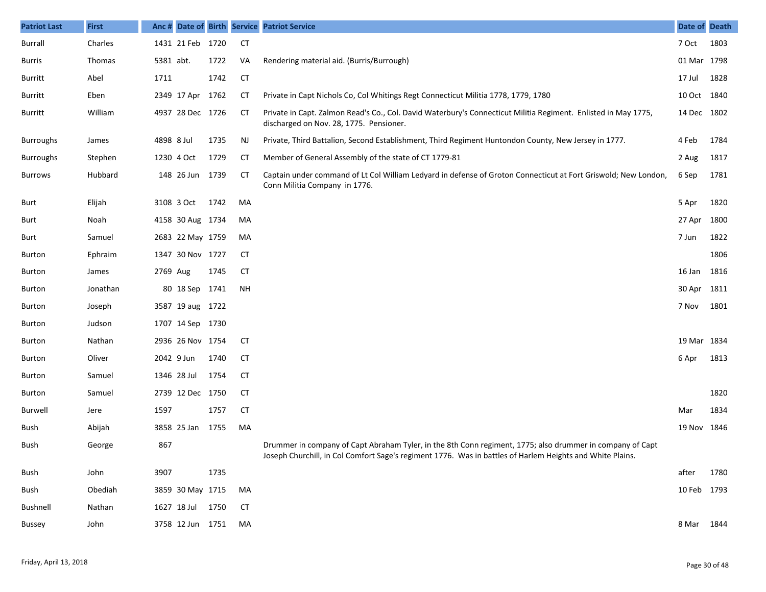| <b>Patriot Last</b> | <b>First</b> |            |                  |      |           | Anc # Date of Birth Service Patriot Service                                                                                                                                                                            | Date of Death |      |
|---------------------|--------------|------------|------------------|------|-----------|------------------------------------------------------------------------------------------------------------------------------------------------------------------------------------------------------------------------|---------------|------|
| Burrall             | Charles      |            | 1431 21 Feb 1720 |      | CT        |                                                                                                                                                                                                                        | 7 Oct         | 1803 |
| Burris              | Thomas       | 5381 abt.  |                  | 1722 | VA        | Rendering material aid. (Burris/Burrough)                                                                                                                                                                              | 01 Mar 1798   |      |
| <b>Burritt</b>      | Abel         | 1711       |                  | 1742 | <b>CT</b> |                                                                                                                                                                                                                        | 17 Jul        | 1828 |
| Burritt             | Eben         |            | 2349 17 Apr      | 1762 | <b>CT</b> | Private in Capt Nichols Co, Col Whitings Regt Connecticut Militia 1778, 1779, 1780                                                                                                                                     | 10 Oct 1840   |      |
| <b>Burritt</b>      | William      |            | 4937 28 Dec 1726 |      | CT        | Private in Capt. Zalmon Read's Co., Col. David Waterbury's Connecticut Militia Regiment. Enlisted in May 1775,<br>discharged on Nov. 28, 1775. Pensioner.                                                              | 14 Dec 1802   |      |
| <b>Burroughs</b>    | James        | 4898 8 Jul |                  | 1735 | <b>NJ</b> | Private, Third Battalion, Second Establishment, Third Regiment Huntondon County, New Jersey in 1777.                                                                                                                   | 4 Feb         | 1784 |
| <b>Burroughs</b>    | Stephen      |            | 1230 4 Oct       | 1729 | СT        | Member of General Assembly of the state of CT 1779-81                                                                                                                                                                  | 2 Aug         | 1817 |
| <b>Burrows</b>      | Hubbard      |            | 148 26 Jun 1739  |      | CT        | Captain under command of Lt Col William Ledyard in defense of Groton Connecticut at Fort Griswold; New London,<br>Conn Militia Company in 1776.                                                                        | 6 Sep         | 1781 |
| Burt                | Elijah       |            | 3108 3 Oct       | 1742 | MA        |                                                                                                                                                                                                                        | 5 Apr         | 1820 |
| Burt                | Noah         |            | 4158 30 Aug 1734 |      | MA        |                                                                                                                                                                                                                        | 27 Apr        | 1800 |
| Burt                | Samuel       |            | 2683 22 May 1759 |      | MA        |                                                                                                                                                                                                                        | 7 Jun         | 1822 |
| Burton              | Ephraim      |            | 1347 30 Nov 1727 |      | CT        |                                                                                                                                                                                                                        |               | 1806 |
| <b>Burton</b>       | James        | 2769 Aug   |                  | 1745 | CT        |                                                                                                                                                                                                                        | 16 Jan        | 1816 |
| <b>Burton</b>       | Jonathan     |            | 80 18 Sep 1741   |      | <b>NH</b> |                                                                                                                                                                                                                        | 30 Apr        | 1811 |
| <b>Burton</b>       | Joseph       |            | 3587 19 aug 1722 |      |           |                                                                                                                                                                                                                        | 7 Nov         | 1801 |
| <b>Burton</b>       | Judson       |            | 1707 14 Sep 1730 |      |           |                                                                                                                                                                                                                        |               |      |
| <b>Burton</b>       | Nathan       |            | 2936 26 Nov 1754 |      | CT        |                                                                                                                                                                                                                        | 19 Mar 1834   |      |
| <b>Burton</b>       | Oliver       |            | 2042 9 Jun       | 1740 | CT        |                                                                                                                                                                                                                        | 6 Apr         | 1813 |
| <b>Burton</b>       | Samuel       |            | 1346 28 Jul      | 1754 | <b>CT</b> |                                                                                                                                                                                                                        |               |      |
| <b>Burton</b>       | Samuel       |            | 2739 12 Dec 1750 |      | CT        |                                                                                                                                                                                                                        |               | 1820 |
| Burwell             | Jere         | 1597       |                  | 1757 | CT        |                                                                                                                                                                                                                        | Mar           | 1834 |
| Bush                | Abijah       |            | 3858 25 Jan      | 1755 | MA        |                                                                                                                                                                                                                        | 19 Nov 1846   |      |
| Bush                | George       | 867        |                  |      |           | Drummer in company of Capt Abraham Tyler, in the 8th Conn regiment, 1775; also drummer in company of Capt<br>Joseph Churchill, in Col Comfort Sage's regiment 1776. Was in battles of Harlem Heights and White Plains. |               |      |
| Bush                | John         | 3907       |                  | 1735 |           |                                                                                                                                                                                                                        | after         | 1780 |
| Bush                | Obediah      |            | 3859 30 May 1715 |      | MA        |                                                                                                                                                                                                                        | 10 Feb 1793   |      |
| <b>Bushnell</b>     | Nathan       |            | 1627 18 Jul      | 1750 | <b>CT</b> |                                                                                                                                                                                                                        |               |      |
| Bussey              | John         |            | 3758 12 Jun 1751 |      | MA        |                                                                                                                                                                                                                        | 8 Mar 1844    |      |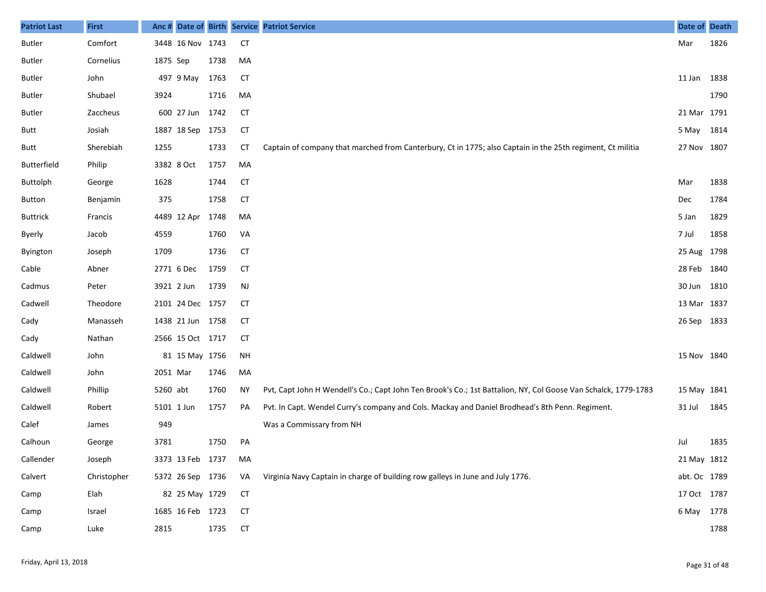| <b>Patriot Last</b> | <b>First</b> |            |                  |      |           | Anc # Date of Birth Service Patriot Service                                                                    | Date of Death |      |
|---------------------|--------------|------------|------------------|------|-----------|----------------------------------------------------------------------------------------------------------------|---------------|------|
| Butler              | Comfort      |            | 3448 16 Nov 1743 |      | <b>CT</b> |                                                                                                                | Mar           | 1826 |
| Butler              | Cornelius    | 1875 Sep   |                  | 1738 | MA        |                                                                                                                |               |      |
| Butler              | John         |            | 497 9 May        | 1763 | CT        |                                                                                                                | 11 Jan        | 1838 |
| Butler              | Shubael      | 3924       |                  | 1716 | MA        |                                                                                                                |               | 1790 |
| Butler              | Zaccheus     |            | 600 27 Jun       | 1742 | <b>CT</b> |                                                                                                                | 21 Mar 1791   |      |
| Butt                | Josiah       |            | 1887 18 Sep 1753 |      | CT        |                                                                                                                | 5 May         | 1814 |
| Butt                | Sherebiah    | 1255       |                  | 1733 | <b>CT</b> | Captain of company that marched from Canterbury, Ct in 1775; also Captain in the 25th regiment, Ct militia     | 27 Nov 1807   |      |
| <b>Butterfield</b>  | Philip       |            | 3382 8 Oct       | 1757 | MA        |                                                                                                                |               |      |
| Buttolph            | George       | 1628       |                  | 1744 | <b>CT</b> |                                                                                                                | Mar           | 1838 |
| <b>Button</b>       | Benjamin     | 375        |                  | 1758 | CT        |                                                                                                                | Dec           | 1784 |
| <b>Buttrick</b>     | Francis      |            | 4489 12 Apr      | 1748 | MA        |                                                                                                                | 5 Jan         | 1829 |
| Byerly              | Jacob        | 4559       |                  | 1760 | VA        |                                                                                                                | 7 Jul         | 1858 |
| Byington            | Joseph       | 1709       |                  | 1736 | <b>CT</b> |                                                                                                                | 25 Aug 1798   |      |
| Cable               | Abner        |            | 2771 6 Dec       | 1759 | CT        |                                                                                                                | 28 Feb        | 1840 |
| Cadmus              | Peter        | 3921 2 Jun |                  | 1739 | <b>NJ</b> |                                                                                                                | 30 Jun        | 1810 |
| Cadwell             | Theodore     |            | 2101 24 Dec 1757 |      | CT        |                                                                                                                | 13 Mar        | 1837 |
| Cady                | Manasseh     |            | 1438 21 Jun 1758 |      | CT        |                                                                                                                | 26 Sep        | 1833 |
| Cady                | Nathan       |            | 2566 15 Oct 1717 |      | CT        |                                                                                                                |               |      |
| Caldwell            | John         |            | 81 15 May 1756   |      | <b>NH</b> |                                                                                                                | 15 Nov 1840   |      |
| Caldwell            | John         | 2051 Mar   |                  | 1746 | MA        |                                                                                                                |               |      |
| Caldwell            | Phillip      | 5260 abt   |                  | 1760 | <b>NY</b> | Pvt, Capt John H Wendell's Co.; Capt John Ten Brook's Co.; 1st Battalion, NY, Col Goose Van Schalck, 1779-1783 | 15 May 1841   |      |
| Caldwell            | Robert       | 5101 1 Jun |                  | 1757 | PA        | Pvt. In Capt. Wendel Curry's company and Cols. Mackay and Daniel Brodhead's 8th Penn. Regiment.                | 31 Jul        | 1845 |
| Calef               | James        | 949        |                  |      |           | Was a Commissary from NH                                                                                       |               |      |
| Calhoun             | George       | 3781       |                  | 1750 | PA        |                                                                                                                | Jul           | 1835 |
| Callender           | Joseph       |            | 3373 13 Feb 1737 |      | MA        |                                                                                                                | 21 May 1812   |      |
| Calvert             | Christopher  |            | 5372 26 Sep 1736 |      | VA        | Virginia Navy Captain in charge of building row galleys in June and July 1776.                                 | abt. Oc 1789  |      |
| Camp                | Elah         |            | 82 25 May 1729   |      | <b>CT</b> |                                                                                                                | 17 Oct 1787   |      |
| Camp                | Israel       |            | 1685 16 Feb 1723 |      | <b>CT</b> |                                                                                                                | 6 May 1778    |      |
| Camp                | Luke         | 2815       |                  | 1735 | <b>CT</b> |                                                                                                                |               | 1788 |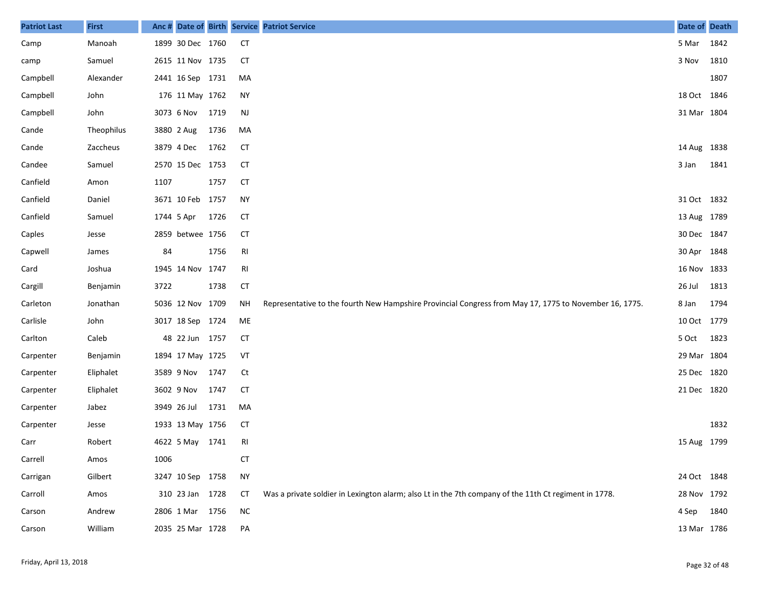| <b>Patriot Last</b> | <b>First</b> | Anc #      |                  |      |           | Date of Birth Service Patriot Service                                                                  | Date of Death |      |
|---------------------|--------------|------------|------------------|------|-----------|--------------------------------------------------------------------------------------------------------|---------------|------|
| Camp                | Manoah       |            | 1899 30 Dec 1760 |      | <b>CT</b> |                                                                                                        | 5 Mar         | 1842 |
| camp                | Samuel       |            | 2615 11 Nov 1735 |      | <b>CT</b> |                                                                                                        | 3 Nov         | 1810 |
| Campbell            | Alexander    |            | 2441 16 Sep 1731 |      | MA        |                                                                                                        |               | 1807 |
| Campbell            | John         |            | 176 11 May 1762  |      | <b>NY</b> |                                                                                                        | 18 Oct 1846   |      |
| Campbell            | John         |            | 3073 6 Nov       | 1719 | NJ        |                                                                                                        | 31 Mar 1804   |      |
| Cande               | Theophilus   |            | 3880 2 Aug       | 1736 | MA        |                                                                                                        |               |      |
| Cande               | Zaccheus     | 3879 4 Dec |                  | 1762 | <b>CT</b> |                                                                                                        | 14 Aug 1838   |      |
| Candee              | Samuel       |            | 2570 15 Dec 1753 |      | СT        |                                                                                                        | 3 Jan         | 1841 |
| Canfield            | Amon         | 1107       |                  | 1757 | <b>CT</b> |                                                                                                        |               |      |
| Canfield            | Daniel       |            | 3671 10 Feb 1757 |      | <b>NY</b> |                                                                                                        | 31 Oct 1832   |      |
| Canfield            | Samuel       | 1744 5 Apr |                  | 1726 | <b>CT</b> |                                                                                                        | 13 Aug 1789   |      |
| Caples              | Jesse        |            | 2859 betwee 1756 |      | <b>CT</b> |                                                                                                        | 30 Dec 1847   |      |
| Capwell             | James        | 84         |                  | 1756 | RI        |                                                                                                        | 30 Apr 1848   |      |
| Card                | Joshua       |            | 1945 14 Nov 1747 |      | RI        |                                                                                                        | 16 Nov 1833   |      |
| Cargill             | Benjamin     | 3722       |                  | 1738 | <b>CT</b> |                                                                                                        | 26 Jul        | 1813 |
| Carleton            | Jonathan     |            | 5036 12 Nov 1709 |      | <b>NH</b> | Representative to the fourth New Hampshire Provincial Congress from May 17, 1775 to November 16, 1775. | 8 Jan         | 1794 |
| Carlisle            | John         |            | 3017 18 Sep 1724 |      | ME        |                                                                                                        | 10 Oct 1779   |      |
| Carlton             | Caleb        |            | 48 22 Jun 1757   |      | <b>CT</b> |                                                                                                        | 5 Oct         | 1823 |
| Carpenter           | Benjamin     |            | 1894 17 May 1725 |      | VT        |                                                                                                        | 29 Mar 1804   |      |
| Carpenter           | Eliphalet    |            | 3589 9 Nov       | 1747 | Ct        |                                                                                                        | 25 Dec 1820   |      |
| Carpenter           | Eliphalet    |            | 3602 9 Nov       | 1747 | <b>CT</b> |                                                                                                        | 21 Dec 1820   |      |
| Carpenter           | Jabez        |            | 3949 26 Jul      | 1731 | MA        |                                                                                                        |               |      |
| Carpenter           | Jesse        |            | 1933 13 May 1756 |      | СT        |                                                                                                        |               | 1832 |
| Carr                | Robert       |            | 4622 5 May 1741  |      | RI        |                                                                                                        | 15 Aug 1799   |      |
| Carrell             | Amos         | 1006       |                  |      | <b>CT</b> |                                                                                                        |               |      |
| Carrigan            | Gilbert      |            | 3247 10 Sep 1758 |      | <b>NY</b> |                                                                                                        | 24 Oct 1848   |      |
| Carroll             | Amos         |            | 310 23 Jan 1728  |      | CT        | Was a private soldier in Lexington alarm; also Lt in the 7th company of the 11th Ct regiment in 1778.  | 28 Nov 1792   |      |
| Carson              | Andrew       |            | 2806 1 Mar 1756  |      | <b>NC</b> |                                                                                                        | 4 Sep 1840    |      |
| Carson              | William      |            | 2035 25 Mar 1728 |      | PA        |                                                                                                        | 13 Mar 1786   |      |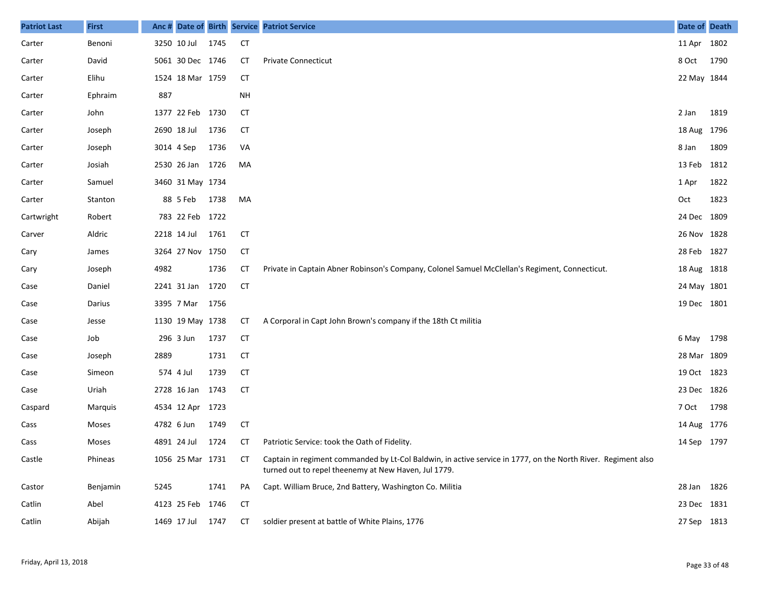| <b>Patriot Last</b> | <b>First</b> | Anc #      |                  |      |           | Date of Birth Service Patriot Service                                                                                                                                 | Date of Death |      |
|---------------------|--------------|------------|------------------|------|-----------|-----------------------------------------------------------------------------------------------------------------------------------------------------------------------|---------------|------|
| Carter              | Benoni       |            | 3250 10 Jul      | 1745 | <b>CT</b> |                                                                                                                                                                       | 11 Apr 1802   |      |
| Carter              | David        |            | 5061 30 Dec 1746 |      | СT        | <b>Private Connecticut</b>                                                                                                                                            | 8 Oct         | 1790 |
| Carter              | Elihu        |            | 1524 18 Mar 1759 |      | СT        |                                                                                                                                                                       | 22 May 1844   |      |
| Carter              | Ephraim      | 887        |                  |      | <b>NH</b> |                                                                                                                                                                       |               |      |
| Carter              | John         |            | 1377 22 Feb 1730 |      | <b>CT</b> |                                                                                                                                                                       | 2 Jan         | 1819 |
| Carter              | Joseph       |            | 2690 18 Jul      | 1736 | СT        |                                                                                                                                                                       | 18 Aug 1796   |      |
| Carter              | Joseph       |            | 3014 4 Sep       | 1736 | VA        |                                                                                                                                                                       | 8 Jan         | 1809 |
| Carter              | Josiah       |            | 2530 26 Jan 1726 |      | MA        |                                                                                                                                                                       | 13 Feb        | 1812 |
| Carter              | Samuel       |            | 3460 31 May 1734 |      |           |                                                                                                                                                                       | 1 Apr         | 1822 |
| Carter              | Stanton      |            | 88 5 Feb         | 1738 | MA        |                                                                                                                                                                       | Oct           | 1823 |
| Cartwright          | Robert       |            | 783 22 Feb 1722  |      |           |                                                                                                                                                                       | 24 Dec 1809   |      |
| Carver              | Aldric       |            | 2218 14 Jul      | 1761 | СT        |                                                                                                                                                                       | 26 Nov 1828   |      |
| Cary                | James        |            | 3264 27 Nov 1750 |      | <b>CT</b> |                                                                                                                                                                       | 28 Feb        | 1827 |
| Cary                | Joseph       | 4982       |                  | 1736 | СT        | Private in Captain Abner Robinson's Company, Colonel Samuel McClellan's Regiment, Connecticut.                                                                        | 18 Aug 1818   |      |
| Case                | Daniel       |            | 2241 31 Jan      | 1720 | <b>CT</b> |                                                                                                                                                                       | 24 May 1801   |      |
| Case                | Darius       |            | 3395 7 Mar       | 1756 |           |                                                                                                                                                                       | 19 Dec 1801   |      |
| Case                | Jesse        |            | 1130 19 May 1738 |      | СT        | A Corporal in Capt John Brown's company if the 18th Ct militia                                                                                                        |               |      |
| Case                | Job          |            | 296 3 Jun        | 1737 | <b>CT</b> |                                                                                                                                                                       | 6 May         | 1798 |
| Case                | Joseph       | 2889       |                  | 1731 | <b>CT</b> |                                                                                                                                                                       | 28 Mar 1809   |      |
| Case                | Simeon       |            | 574 4 Jul        | 1739 | <b>CT</b> |                                                                                                                                                                       | 19 Oct 1823   |      |
| Case                | Uriah        |            | 2728 16 Jan      | 1743 | <b>CT</b> |                                                                                                                                                                       | 23 Dec 1826   |      |
| Caspard             | Marquis      |            | 4534 12 Apr 1723 |      |           |                                                                                                                                                                       | 7 Oct         | 1798 |
| Cass                | Moses        | 4782 6 Jun |                  | 1749 | CT        |                                                                                                                                                                       | 14 Aug 1776   |      |
| Cass                | Moses        |            | 4891 24 Jul      | 1724 | СT        | Patriotic Service: took the Oath of Fidelity.                                                                                                                         | 14 Sep 1797   |      |
| Castle              | Phineas      |            | 1056 25 Mar 1731 |      | СT        | Captain in regiment commanded by Lt-Col Baldwin, in active service in 1777, on the North River. Regiment also<br>turned out to repel theenemy at New Haven, Jul 1779. |               |      |
| Castor              | Benjamin     | 5245       |                  | 1741 | PA        | Capt. William Bruce, 2nd Battery, Washington Co. Militia                                                                                                              | 28 Jan 1826   |      |
| Catlin              | Abel         |            | 4123 25 Feb 1746 |      | <b>CT</b> |                                                                                                                                                                       | 23 Dec 1831   |      |
| Catlin              | Abijah       |            | 1469 17 Jul      | 1747 | CT        | soldier present at battle of White Plains, 1776                                                                                                                       | 27 Sep 1813   |      |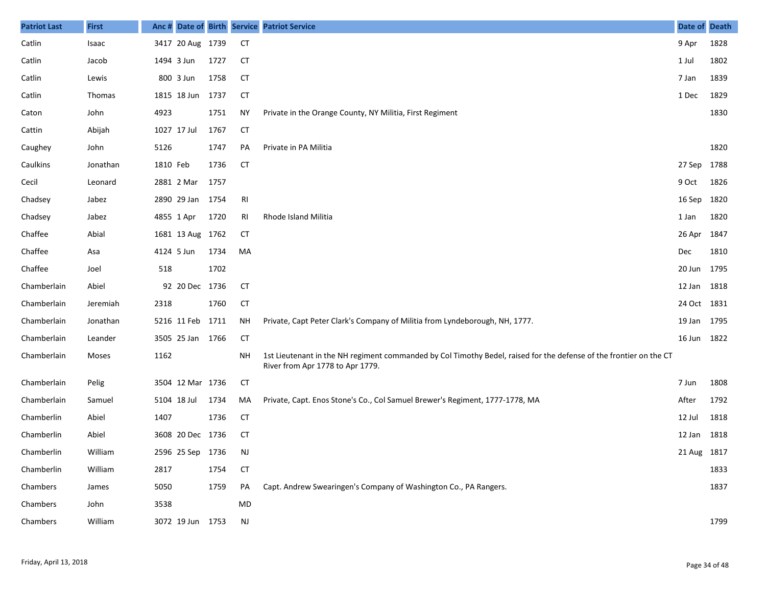| <b>Patriot Last</b> | <b>First</b>  |          |                  |      |           | Anc # Date of Birth Service Patriot Service                                                                                                            | Date of Death |      |
|---------------------|---------------|----------|------------------|------|-----------|--------------------------------------------------------------------------------------------------------------------------------------------------------|---------------|------|
| Catlin              | Isaac         |          | 3417 20 Aug 1739 |      | <b>CT</b> |                                                                                                                                                        | 9 Apr         | 1828 |
| Catlin              | Jacob         |          | 1494 3 Jun       | 1727 | <b>CT</b> |                                                                                                                                                        | 1 Jul         | 1802 |
| Catlin              | Lewis         |          | 800 3 Jun        | 1758 | <b>CT</b> |                                                                                                                                                        | 7 Jan         | 1839 |
| Catlin              | <b>Thomas</b> |          | 1815 18 Jun      | 1737 | <b>CT</b> |                                                                                                                                                        | 1 Dec         | 1829 |
| Caton               | John          | 4923     |                  | 1751 | <b>NY</b> | Private in the Orange County, NY Militia, First Regiment                                                                                               |               | 1830 |
| Cattin              | Abijah        |          | 1027 17 Jul      | 1767 | <b>CT</b> |                                                                                                                                                        |               |      |
| Caughey             | John          | 5126     |                  | 1747 | PA        | Private in PA Militia                                                                                                                                  |               | 1820 |
| Caulkins            | Jonathan      | 1810 Feb |                  | 1736 | <b>CT</b> |                                                                                                                                                        | 27 Sep 1788   |      |
| Cecil               | Leonard       |          | 2881 2 Mar       | 1757 |           |                                                                                                                                                        | 9 Oct         | 1826 |
| Chadsey             | Jabez         |          | 2890 29 Jan      | 1754 | RI        |                                                                                                                                                        | 16 Sep        | 1820 |
| Chadsey             | Jabez         |          | 4855 1 Apr       | 1720 | RI        | Rhode Island Militia                                                                                                                                   | 1 Jan         | 1820 |
| Chaffee             | Abial         |          | 1681 13 Aug 1762 |      | СT        |                                                                                                                                                        | 26 Apr 1847   |      |
| Chaffee             | Asa           |          | 4124 5 Jun       | 1734 | MA        |                                                                                                                                                        | <b>Dec</b>    | 1810 |
| Chaffee             | Joel          | 518      |                  | 1702 |           |                                                                                                                                                        | 20 Jun 1795   |      |
| Chamberlain         | Abiel         |          | 92 20 Dec 1736   |      | <b>CT</b> |                                                                                                                                                        | 12 Jan 1818   |      |
| Chamberlain         | Jeremiah      | 2318     |                  | 1760 | <b>CT</b> |                                                                                                                                                        | 24 Oct 1831   |      |
| Chamberlain         | Jonathan      |          | 5216 11 Feb 1711 |      | <b>NH</b> | Private, Capt Peter Clark's Company of Militia from Lyndeborough, NH, 1777.                                                                            | 19 Jan 1795   |      |
| Chamberlain         | Leander       |          | 3505 25 Jan 1766 |      | <b>CT</b> |                                                                                                                                                        | 16 Jun 1822   |      |
| Chamberlain         | Moses         | 1162     |                  |      | <b>NH</b> | 1st Lieutenant in the NH regiment commanded by Col Timothy Bedel, raised for the defense of the frontier on the CT<br>River from Apr 1778 to Apr 1779. |               |      |
| Chamberlain         | Pelig         |          | 3504 12 Mar 1736 |      | <b>CT</b> |                                                                                                                                                        | 7 Jun         | 1808 |
| Chamberlain         | Samuel        |          | 5104 18 Jul      | 1734 | МA        | Private, Capt. Enos Stone's Co., Col Samuel Brewer's Regiment, 1777-1778, MA                                                                           | After         | 1792 |
| Chamberlin          | Abiel         | 1407     |                  | 1736 | <b>CT</b> |                                                                                                                                                        | 12 Jul        | 1818 |
| Chamberlin          | Abiel         |          | 3608 20 Dec 1736 |      | <b>CT</b> |                                                                                                                                                        | 12 Jan 1818   |      |
| Chamberlin          | William       |          | 2596 25 Sep 1736 |      | NJ        |                                                                                                                                                        | 21 Aug 1817   |      |
| Chamberlin          | William       | 2817     |                  | 1754 | <b>CT</b> |                                                                                                                                                        |               | 1833 |
| Chambers            | James         | 5050     |                  | 1759 | PA        | Capt. Andrew Swearingen's Company of Washington Co., PA Rangers.                                                                                       |               | 1837 |
| Chambers            | John          | 3538     |                  |      | MD        |                                                                                                                                                        |               |      |
| Chambers            | William       |          | 3072 19 Jun 1753 |      | NJ        |                                                                                                                                                        |               | 1799 |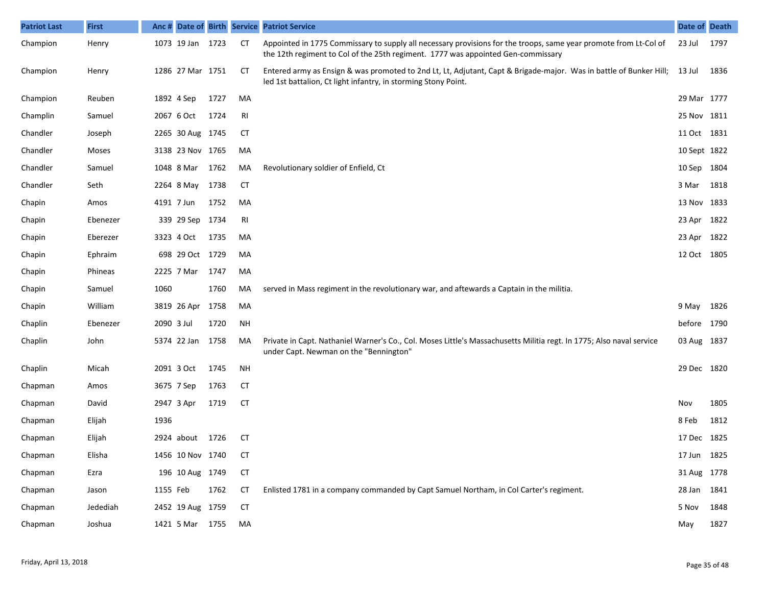| <b>Patriot Last</b> | <b>First</b> |            |                  |      |           | Anc # Date of Birth Service Patriot Service                                                                                                                                                          | Date of Death |      |
|---------------------|--------------|------------|------------------|------|-----------|------------------------------------------------------------------------------------------------------------------------------------------------------------------------------------------------------|---------------|------|
| Champion            | Henry        |            | 1073 19 Jan 1723 |      | <b>CT</b> | Appointed in 1775 Commissary to supply all necessary provisions for the troops, same year promote from Lt-Col of<br>the 12th regiment to Col of the 25th regiment. 1777 was appointed Gen-commissary | 23 Jul        | 1797 |
| Champion            | Henry        |            | 1286 27 Mar 1751 |      | СT        | Entered army as Ensign & was promoted to 2nd Lt, Lt, Adjutant, Capt & Brigade-major. Was in battle of Bunker Hill;<br>led 1st battalion, Ct light infantry, in storming Stony Point.                 | 13 Jul        | 1836 |
| Champion            | Reuben       |            | 1892 4 Sep       | 1727 | MA        |                                                                                                                                                                                                      | 29 Mar 1777   |      |
| Champlin            | Samuel       |            | 2067 6 Oct       | 1724 | RI        |                                                                                                                                                                                                      | 25 Nov 1811   |      |
| Chandler            | Joseph       |            | 2265 30 Aug 1745 |      | <b>CT</b> |                                                                                                                                                                                                      | 11 Oct 1831   |      |
| Chandler            | Moses        |            | 3138 23 Nov 1765 |      | MA        |                                                                                                                                                                                                      | 10 Sept 1822  |      |
| Chandler            | Samuel       |            | 1048 8 Mar       | 1762 | MA        | Revolutionary soldier of Enfield, Ct                                                                                                                                                                 | 10 Sep 1804   |      |
| Chandler            | Seth         |            | 2264 8 May       | 1738 | <b>CT</b> |                                                                                                                                                                                                      | 3 Mar         | 1818 |
| Chapin              | Amos         |            | 4191 7 Jun       | 1752 | MA        |                                                                                                                                                                                                      | 13 Nov 1833   |      |
| Chapin              | Ebenezer     |            | 339 29 Sep 1734  |      | RI        |                                                                                                                                                                                                      | 23 Apr 1822   |      |
| Chapin              | Eberezer     |            | 3323 4 Oct       | 1735 | MA        |                                                                                                                                                                                                      | 23 Apr 1822   |      |
| Chapin              | Ephraim      |            | 698 29 Oct 1729  |      | MA        |                                                                                                                                                                                                      | 12 Oct 1805   |      |
| Chapin              | Phineas      |            | 2225 7 Mar       | 1747 | MA        |                                                                                                                                                                                                      |               |      |
| Chapin              | Samuel       | 1060       |                  | 1760 | MA        | served in Mass regiment in the revolutionary war, and aftewards a Captain in the militia.                                                                                                            |               |      |
| Chapin              | William      |            | 3819 26 Apr      | 1758 | MA        |                                                                                                                                                                                                      | 9 May 1826    |      |
| Chaplin             | Ebenezer     | 2090 3 Jul |                  | 1720 | <b>NH</b> |                                                                                                                                                                                                      | before 1790   |      |
| Chaplin             | John         |            | 5374 22 Jan      | 1758 | MA        | Private in Capt. Nathaniel Warner's Co., Col. Moses Little's Massachusetts Militia regt. In 1775; Also naval service<br>under Capt. Newman on the "Bennington"                                       | 03 Aug 1837   |      |
| Chaplin             | Micah        |            | 2091 3 Oct       | 1745 | <b>NH</b> |                                                                                                                                                                                                      | 29 Dec 1820   |      |
| Chapman             | Amos         |            | 3675 7 Sep       | 1763 | <b>CT</b> |                                                                                                                                                                                                      |               |      |
| Chapman             | David        |            | 2947 3 Apr       | 1719 | <b>CT</b> |                                                                                                                                                                                                      | Nov           | 1805 |
| Chapman             | Elijah       | 1936       |                  |      |           |                                                                                                                                                                                                      | 8 Feb         | 1812 |
| Chapman             | Elijah       |            | 2924 about       | 1726 | СT        |                                                                                                                                                                                                      | 17 Dec 1825   |      |
| Chapman             | Elisha       |            | 1456 10 Nov 1740 |      | СT        |                                                                                                                                                                                                      | 17 Jun 1825   |      |
| Chapman             | Ezra         |            | 196 10 Aug 1749  |      | <b>CT</b> |                                                                                                                                                                                                      | 31 Aug 1778   |      |
| Chapman             | Jason        | 1155 Feb   |                  | 1762 | <b>CT</b> | Enlisted 1781 in a company commanded by Capt Samuel Northam, in Col Carter's regiment.                                                                                                               | 28 Jan 1841   |      |
| Chapman             | Jedediah     |            | 2452 19 Aug 1759 |      | <b>CT</b> |                                                                                                                                                                                                      | 5 Nov         | 1848 |
| Chapman             | Joshua       |            | 1421 5 Mar 1755  |      | MA        |                                                                                                                                                                                                      | May           | 1827 |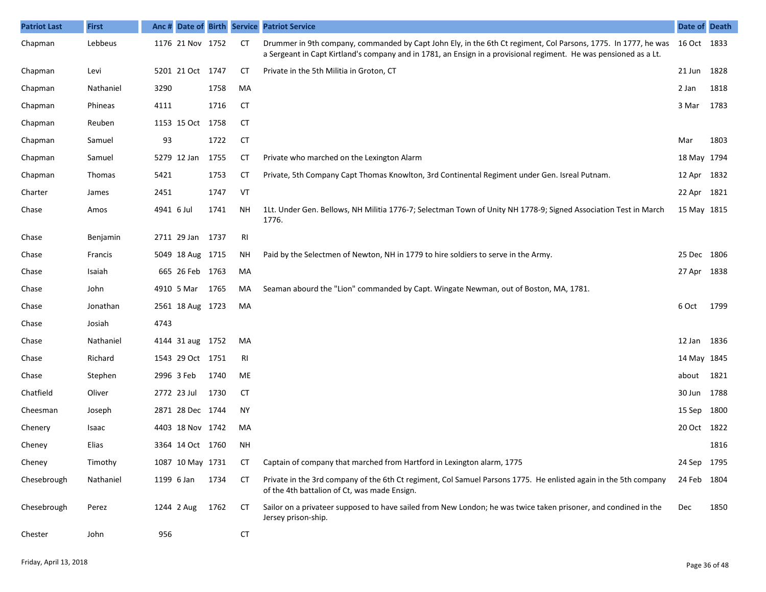| <b>Patriot Last</b> | <b>First</b>  | Anc# |                  |      |           | Date of Birth Service Patriot Service                                                                                                                                                                                                           | Date of Death |      |
|---------------------|---------------|------|------------------|------|-----------|-------------------------------------------------------------------------------------------------------------------------------------------------------------------------------------------------------------------------------------------------|---------------|------|
| Chapman             | Lebbeus       |      | 1176 21 Nov 1752 |      | СT        | Drummer in 9th company, commanded by Capt John Ely, in the 6th Ct regiment, Col Parsons, 1775. In 1777, he was 16 Oct 1833<br>a Sergeant in Capt Kirtland's company and in 1781, an Ensign in a provisional regiment. He was pensioned as a Lt. |               |      |
| Chapman             | Levi          |      | 5201 21 Oct 1747 |      | СT        | Private in the 5th Militia in Groton, CT                                                                                                                                                                                                        | 21 Jun        | 1828 |
| Chapman             | Nathaniel     | 3290 |                  | 1758 | MA        |                                                                                                                                                                                                                                                 | 2 Jan         | 1818 |
| Chapman             | Phineas       | 4111 |                  | 1716 | СT        |                                                                                                                                                                                                                                                 | 3 Mar         | 1783 |
| Chapman             | Reuben        |      | 1153 15 Oct 1758 |      | CT        |                                                                                                                                                                                                                                                 |               |      |
| Chapman             | Samuel        | 93   |                  | 1722 | <b>CT</b> |                                                                                                                                                                                                                                                 | Mar           | 1803 |
| Chapman             | Samuel        |      | 5279 12 Jan      | 1755 | CТ        | Private who marched on the Lexington Alarm                                                                                                                                                                                                      | 18 May 1794   |      |
| Chapman             | <b>Thomas</b> | 5421 |                  | 1753 | <b>CT</b> | Private, 5th Company Capt Thomas Knowlton, 3rd Continental Regiment under Gen. Isreal Putnam.                                                                                                                                                   | 12 Apr 1832   |      |
| Charter             | James         | 2451 |                  | 1747 | VT        |                                                                                                                                                                                                                                                 | 22 Apr 1821   |      |
| Chase               | Amos          |      | 4941 6 Jul       | 1741 | ΝH        | 1Lt. Under Gen. Bellows, NH Militia 1776-7; Selectman Town of Unity NH 1778-9; Signed Association Test in March<br>1776.                                                                                                                        | 15 May 1815   |      |
| Chase               | Benjamin      |      | 2711 29 Jan 1737 |      | RI        |                                                                                                                                                                                                                                                 |               |      |
| Chase               | Francis       |      | 5049 18 Aug 1715 |      | ΝH        | Paid by the Selectmen of Newton, NH in 1779 to hire soldiers to serve in the Army.                                                                                                                                                              | 25 Dec 1806   |      |
| Chase               | Isaiah        |      | 665 26 Feb 1763  |      | MA        |                                                                                                                                                                                                                                                 | 27 Apr        | 1838 |
| Chase               | John          |      | 4910 5 Mar       | 1765 | MA        | Seaman abourd the "Lion" commanded by Capt. Wingate Newman, out of Boston, MA, 1781.                                                                                                                                                            |               |      |
| Chase               | Jonathan      |      | 2561 18 Aug 1723 |      | MA        |                                                                                                                                                                                                                                                 | 6 Oct         | 1799 |
| Chase               | Josiah        | 4743 |                  |      |           |                                                                                                                                                                                                                                                 |               |      |
| Chase               | Nathaniel     |      | 4144 31 aug 1752 |      | MA        |                                                                                                                                                                                                                                                 | 12 Jan        | 1836 |
| Chase               | Richard       |      | 1543 29 Oct 1751 |      | RI        |                                                                                                                                                                                                                                                 | 14 May 1845   |      |
| Chase               | Stephen       |      | 2996 3 Feb       | 1740 | ME        |                                                                                                                                                                                                                                                 | about         | 1821 |
| Chatfield           | Oliver        |      | 2772 23 Jul      | 1730 | CT        |                                                                                                                                                                                                                                                 | 30 Jun        | 1788 |
| Cheesman            | Joseph        |      | 2871 28 Dec 1744 |      | <b>NY</b> |                                                                                                                                                                                                                                                 | 15 Sep        | 1800 |
| Chenery             | Isaac         |      | 4403 18 Nov 1742 |      | MA        |                                                                                                                                                                                                                                                 | 20 Oct 1822   |      |
| Cheney              | Elias         |      | 3364 14 Oct 1760 |      | ΝH        |                                                                                                                                                                                                                                                 |               | 1816 |
| Cheney              | Timothy       |      | 1087 10 May 1731 |      | СT        | Captain of company that marched from Hartford in Lexington alarm, 1775                                                                                                                                                                          | 24 Sep 1795   |      |
| Chesebrough         | Nathaniel     |      | 1199 6 Jan       | 1734 | СT        | Private in the 3rd company of the 6th Ct regiment, Col Samuel Parsons 1775. He enlisted again in the 5th company<br>of the 4th battalion of Ct, was made Ensign.                                                                                | 24 Feb        | 1804 |
| Chesebrough         | Perez         |      | 1244 2 Aug       | 1762 | CT        | Sailor on a privateer supposed to have sailed from New London; he was twice taken prisoner, and condined in the<br>Jersey prison-ship.                                                                                                          | <b>Dec</b>    | 1850 |
| Chester             | John          | 956  |                  |      | <b>CT</b> |                                                                                                                                                                                                                                                 |               |      |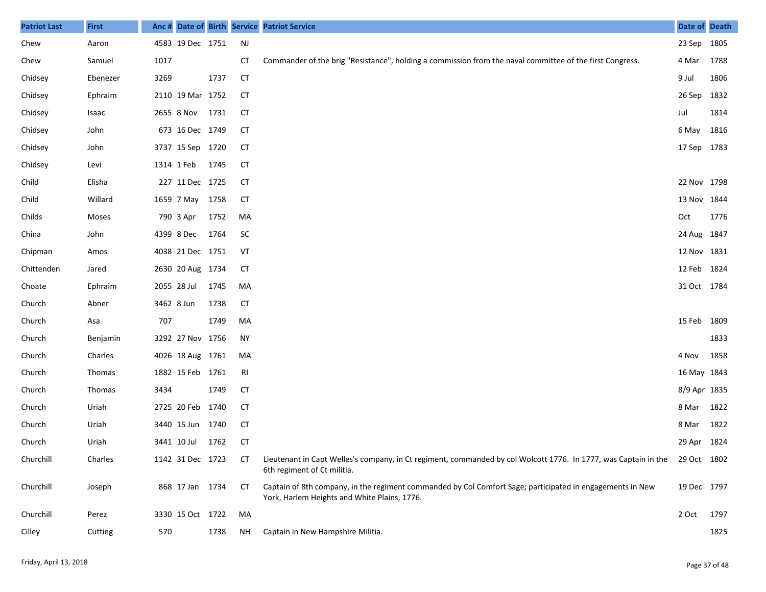| <b>Patriot Last</b> | <b>First</b>  |      |                  |      |           | Anc # Date of Birth Service Patriot Service                                                                                                                | Date of Death |      |
|---------------------|---------------|------|------------------|------|-----------|------------------------------------------------------------------------------------------------------------------------------------------------------------|---------------|------|
| Chew                | Aaron         |      | 4583 19 Dec 1751 |      | NJ        |                                                                                                                                                            | 23 Sep        | 1805 |
| Chew                | Samuel        | 1017 |                  |      | <b>CT</b> | Commander of the brig "Resistance", holding a commission from the naval committee of the first Congress.                                                   | 4 Mar         | 1788 |
| Chidsey             | Ebenezer      | 3269 |                  | 1737 | <b>CT</b> |                                                                                                                                                            | 9 Jul         | 1806 |
| Chidsey             | Ephraim       |      | 2110 19 Mar 1752 |      | <b>CT</b> |                                                                                                                                                            | 26 Sep        | 1832 |
| Chidsey             | Isaac         |      | 2655 8 Nov       | 1731 | <b>CT</b> |                                                                                                                                                            | Jul           | 1814 |
| Chidsey             | John          |      | 673 16 Dec 1749  |      | CT        |                                                                                                                                                            | 6 May         | 1816 |
| Chidsey             | John          |      | 3737 15 Sep 1720 |      | CT        |                                                                                                                                                            | 17 Sep 1783   |      |
| Chidsey             | Levi          |      | 1314 1 Feb       | 1745 | CT        |                                                                                                                                                            |               |      |
| Child               | Elisha        |      | 227 11 Dec 1725  |      | <b>CT</b> |                                                                                                                                                            | 22 Nov 1798   |      |
| Child               | Willard       |      | 1659 7 May       | 1758 | <b>CT</b> |                                                                                                                                                            | 13 Nov        | 1844 |
| Childs              | Moses         |      | 790 3 Apr        | 1752 | MA        |                                                                                                                                                            | Oct           | 1776 |
| China               | John          |      | 4399 8 Dec       | 1764 | <b>SC</b> |                                                                                                                                                            | 24 Aug 1847   |      |
| Chipman             | Amos          |      | 4038 21 Dec 1751 |      | VT        |                                                                                                                                                            | 12 Nov 1831   |      |
| Chittenden          | Jared         |      | 2630 20 Aug 1734 |      | CT        |                                                                                                                                                            | 12 Feb        | 1824 |
| Choate              | Ephraim       |      | 2055 28 Jul      | 1745 | MA        |                                                                                                                                                            | 31 Oct 1784   |      |
| Church              | Abner         |      | 3462 8 Jun       | 1738 | CT        |                                                                                                                                                            |               |      |
| Church              | Asa           | 707  |                  | 1749 | MA        |                                                                                                                                                            | 15 Feb        | 1809 |
| Church              | Benjamin      |      | 3292 27 Nov 1756 |      | <b>NY</b> |                                                                                                                                                            |               | 1833 |
| Church              | Charles       |      | 4026 18 Aug 1761 |      | MA        |                                                                                                                                                            | 4 Nov         | 1858 |
| Church              | <b>Thomas</b> |      | 1882 15 Feb 1761 |      | RI        |                                                                                                                                                            | 16 May 1843   |      |
| Church              | <b>Thomas</b> | 3434 |                  | 1749 | CT        |                                                                                                                                                            | 8/9 Apr 1835  |      |
| Church              | Uriah         |      | 2725 20 Feb 1740 |      | CT        |                                                                                                                                                            | 8 Mar         | 1822 |
| Church              | Uriah         |      | 3440 15 Jun 1740 |      | CT        |                                                                                                                                                            | 8 Mar         | 1822 |
| Church              | Uriah         |      | 3441 10 Jul      | 1762 | <b>CT</b> |                                                                                                                                                            | 29 Apr 1824   |      |
| Churchill           | Charles       |      | 1142 31 Dec 1723 |      | CТ        | Lieutenant in Capt Welles's company, in Ct regiment, commanded by col Wolcott 1776. In 1777, was Captain in the 29 Oct 1802<br>6th regiment of Ct militia. |               |      |
| Churchill           | Joseph        |      | 868 17 Jan 1734  |      | CT        | Captain of 8th company, in the regiment commanded by Col Comfort Sage; participated in engagements in New<br>York, Harlem Heights and White Plains, 1776.  | 19 Dec 1797   |      |
| Churchill           | Perez         |      | 3330 15 Oct 1722 |      | MA        |                                                                                                                                                            | 2 Oct         | 1797 |
| Cilley              | Cutting       | 570  |                  | 1738 | ΝH        | Captain in New Hampshire Militia.                                                                                                                          |               | 1825 |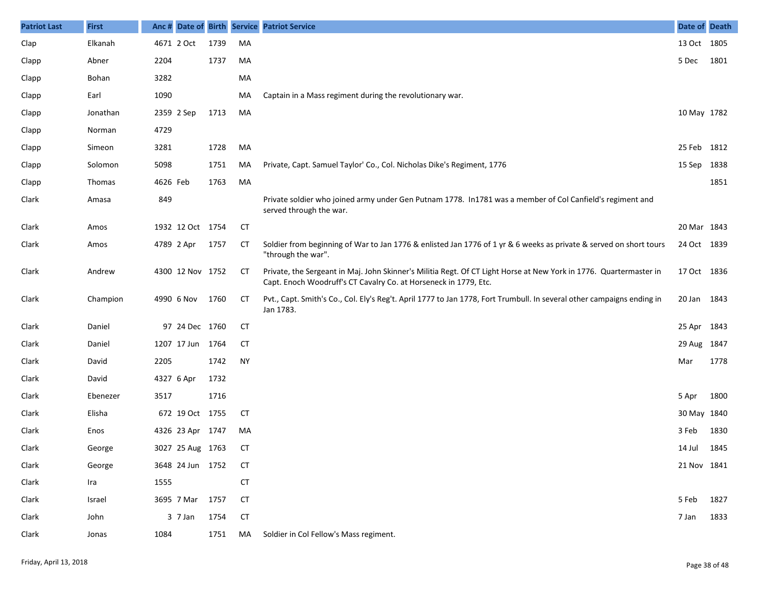| <b>Patriot Last</b> | <b>First</b>  |            |                  |      |           | Anc # Date of Birth Service Patriot Service                                                                                                                                            | Date of Death |      |
|---------------------|---------------|------------|------------------|------|-----------|----------------------------------------------------------------------------------------------------------------------------------------------------------------------------------------|---------------|------|
| Clap                | Elkanah       | 4671 2 Oct |                  | 1739 | MA        |                                                                                                                                                                                        | 13 Oct 1805   |      |
| Clapp               | Abner         | 2204       |                  | 1737 | MA        |                                                                                                                                                                                        | 5 Dec         | 1801 |
| Clapp               | Bohan         | 3282       |                  |      | MA        |                                                                                                                                                                                        |               |      |
| Clapp               | Earl          | 1090       |                  |      | MA        | Captain in a Mass regiment during the revolutionary war.                                                                                                                               |               |      |
| Clapp               | Jonathan      | 2359 2 Sep |                  | 1713 | MA        |                                                                                                                                                                                        | 10 May 1782   |      |
| Clapp               | Norman        | 4729       |                  |      |           |                                                                                                                                                                                        |               |      |
| Clapp               | Simeon        | 3281       |                  | 1728 | MA        |                                                                                                                                                                                        | 25 Feb 1812   |      |
| Clapp               | Solomon       | 5098       |                  | 1751 | MA        | Private, Capt. Samuel Taylor' Co., Col. Nicholas Dike's Regiment, 1776                                                                                                                 | 15 Sep 1838   |      |
| Clapp               | <b>Thomas</b> | 4626 Feb   |                  | 1763 | MA        |                                                                                                                                                                                        |               | 1851 |
| Clark               | Amasa         | 849        |                  |      |           | Private soldier who joined army under Gen Putnam 1778. In1781 was a member of Col Canfield's regiment and<br>served through the war.                                                   |               |      |
| Clark               | Amos          |            | 1932 12 Oct 1754 |      | CT        |                                                                                                                                                                                        | 20 Mar 1843   |      |
| Clark               | Amos          | 4789 2 Apr |                  | 1757 | CТ        | Soldier from beginning of War to Jan 1776 & enlisted Jan 1776 of 1 yr & 6 weeks as private & served on short tours<br>"through the war".                                               | 24 Oct 1839   |      |
| Clark               | Andrew        |            | 4300 12 Nov 1752 |      | <b>CT</b> | Private, the Sergeant in Maj. John Skinner's Militia Regt. Of CT Light Horse at New York in 1776. Quartermaster in<br>Capt. Enoch Woodruff's CT Cavalry Co. at Horseneck in 1779, Etc. | 17 Oct 1836   |      |
| Clark               | Champion      |            | 4990 6 Nov       | 1760 | <b>CT</b> | Pvt., Capt. Smith's Co., Col. Ely's Reg't. April 1777 to Jan 1778, Fort Trumbull. In several other campaigns ending in<br>Jan 1783.                                                    | 20 Jan 1843   |      |
| Clark               | Daniel        |            | 97 24 Dec 1760   |      | <b>CT</b> |                                                                                                                                                                                        | 25 Apr 1843   |      |
| Clark               | Daniel        |            | 1207 17 Jun      | 1764 | <b>CT</b> |                                                                                                                                                                                        | 29 Aug 1847   |      |
| Clark               | David         | 2205       |                  | 1742 | <b>NY</b> |                                                                                                                                                                                        | Mar           | 1778 |
| Clark               | David         | 4327 6 Apr |                  | 1732 |           |                                                                                                                                                                                        |               |      |
| Clark               | Ebenezer      | 3517       |                  | 1716 |           |                                                                                                                                                                                        | 5 Apr         | 1800 |
| Clark               | Elisha        |            | 672 19 Oct 1755  |      | <b>CT</b> |                                                                                                                                                                                        | 30 May 1840   |      |
| Clark               | Enos          |            | 4326 23 Apr 1747 |      | MA        |                                                                                                                                                                                        | 3 Feb         | 1830 |
| Clark               | George        |            | 3027 25 Aug 1763 |      | <b>CT</b> |                                                                                                                                                                                        | 14 Jul        | 1845 |
| Clark               | George        |            | 3648 24 Jun 1752 |      | <b>CT</b> |                                                                                                                                                                                        | 21 Nov 1841   |      |
| Clark               | Ira           | 1555       |                  |      | CT        |                                                                                                                                                                                        |               |      |
| Clark               | Israel        |            | 3695 7 Mar 1757  |      | <b>CT</b> |                                                                                                                                                                                        | 5 Feb         | 1827 |
| Clark               | John          |            | $3$ 7 Jan        | 1754 | <b>CT</b> |                                                                                                                                                                                        | 7 Jan         | 1833 |
| Clark               | Jonas         | 1084       |                  | 1751 | MA        | Soldier in Col Fellow's Mass regiment.                                                                                                                                                 |               |      |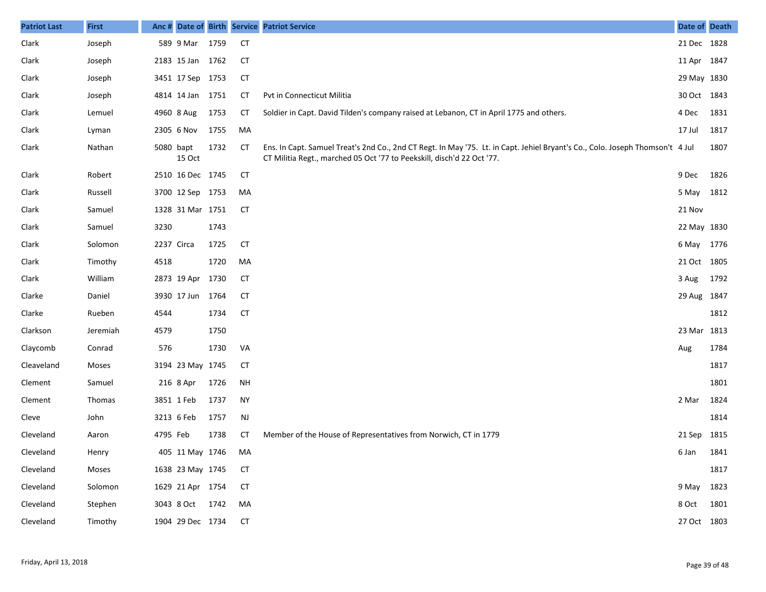| <b>Patriot Last</b> | <b>First</b> | Anc #      |                  |      |           | Date of Birth Service Patriot Service                                                                                                                                                                   | Date of Death |      |
|---------------------|--------------|------------|------------------|------|-----------|---------------------------------------------------------------------------------------------------------------------------------------------------------------------------------------------------------|---------------|------|
| Clark               | Joseph       |            | 589 9 Mar        | 1759 | <b>CT</b> |                                                                                                                                                                                                         | 21 Dec 1828   |      |
| Clark               | Joseph       |            | 2183 15 Jan 1762 |      | <b>CT</b> |                                                                                                                                                                                                         | 11 Apr 1847   |      |
| Clark               | Joseph       |            | 3451 17 Sep 1753 |      | <b>CT</b> |                                                                                                                                                                                                         | 29 May 1830   |      |
| Clark               | Joseph       |            | 4814 14 Jan 1751 |      | СT        | Pvt in Connecticut Militia                                                                                                                                                                              | 30 Oct 1843   |      |
| Clark               | Lemuel       |            | 4960 8 Aug       | 1753 | СT        | Soldier in Capt. David Tilden's company raised at Lebanon, CT in April 1775 and others.                                                                                                                 | 4 Dec         | 1831 |
| Clark               | Lyman        |            | 2305 6 Nov       | 1755 | MA        |                                                                                                                                                                                                         | 17 Jul        | 1817 |
| Clark               | Nathan       | 5080 bapt  | 15 Oct           | 1732 | <b>CT</b> | Ens. In Capt. Samuel Treat's 2nd Co., 2nd CT Regt. In May '75. Lt. in Capt. Jehiel Bryant's Co., Colo. Joseph Thomson't 4 Jul<br>CT Militia Regt., marched 05 Oct '77 to Peekskill, disch'd 22 Oct '77. |               | 1807 |
| Clark               | Robert       |            | 2510 16 Dec 1745 |      | <b>CT</b> |                                                                                                                                                                                                         | 9 Dec         | 1826 |
| Clark               | Russell      |            | 3700 12 Sep 1753 |      | MA        |                                                                                                                                                                                                         | 5 May 1812    |      |
| Clark               | Samuel       |            | 1328 31 Mar 1751 |      | <b>CT</b> |                                                                                                                                                                                                         | 21 Nov        |      |
| Clark               | Samuel       | 3230       |                  | 1743 |           |                                                                                                                                                                                                         | 22 May 1830   |      |
| Clark               | Solomon      | 2237 Circa |                  | 1725 | <b>CT</b> |                                                                                                                                                                                                         | 6 May 1776    |      |
| Clark               | Timothy      | 4518       |                  | 1720 | MA        |                                                                                                                                                                                                         | 21 Oct 1805   |      |
| Clark               | William      |            | 2873 19 Apr 1730 |      | <b>CT</b> |                                                                                                                                                                                                         | 3 Aug         | 1792 |
| Clarke              | Daniel       |            | 3930 17 Jun      | 1764 | <b>CT</b> |                                                                                                                                                                                                         | 29 Aug 1847   |      |
| Clarke              | Rueben       | 4544       |                  | 1734 | <b>CT</b> |                                                                                                                                                                                                         |               | 1812 |
| Clarkson            | Jeremiah     | 4579       |                  | 1750 |           |                                                                                                                                                                                                         | 23 Mar 1813   |      |
| Claycomb            | Conrad       | 576        |                  | 1730 | VA        |                                                                                                                                                                                                         | Aug           | 1784 |
| Cleaveland          | Moses        |            | 3194 23 May 1745 |      | <b>CT</b> |                                                                                                                                                                                                         |               | 1817 |
| Clement             | Samuel       |            | 216 8 Apr        | 1726 | NH        |                                                                                                                                                                                                         |               | 1801 |
| Clement             | Thomas       |            | 3851 1 Feb       | 1737 | <b>NY</b> |                                                                                                                                                                                                         | 2 Mar         | 1824 |
| Cleve               | John         |            | 3213 6 Feb       | 1757 | <b>NJ</b> |                                                                                                                                                                                                         |               | 1814 |
| Cleveland           | Aaron        | 4795 Feb   |                  | 1738 | CТ        | Member of the House of Representatives from Norwich, CT in 1779                                                                                                                                         | 21 Sep 1815   |      |
| Cleveland           | Henry        |            | 405 11 May 1746  |      | MA        |                                                                                                                                                                                                         | 6 Jan 1841    |      |
| Cleveland           | Moses        |            | 1638 23 May 1745 |      | <b>CT</b> |                                                                                                                                                                                                         |               | 1817 |
| Cleveland           | Solomon      |            | 1629 21 Apr 1754 |      | <b>CT</b> |                                                                                                                                                                                                         | 9 May 1823    |      |
| Cleveland           | Stephen      |            | 3043 8 Oct 1742  |      | MA        |                                                                                                                                                                                                         | 8 Oct 1801    |      |
| Cleveland           | Timothy      |            | 1904 29 Dec 1734 |      | CT        |                                                                                                                                                                                                         | 27 Oct 1803   |      |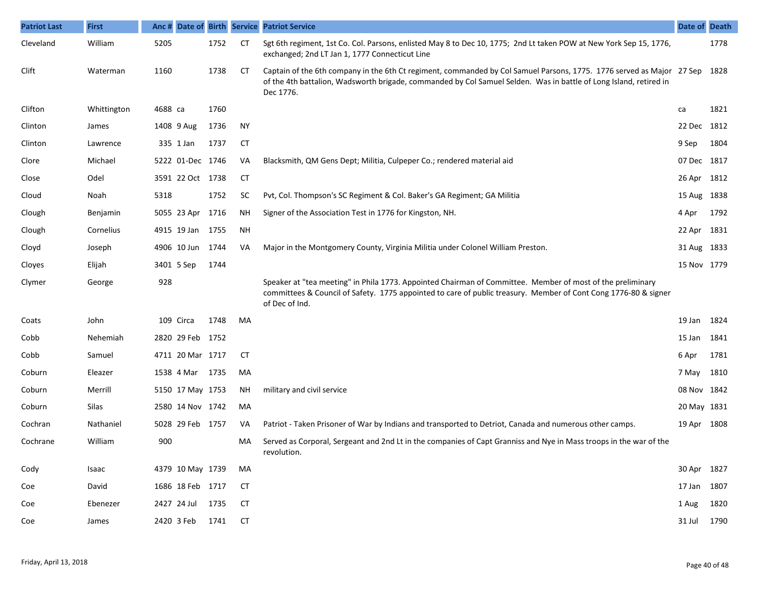| <b>Patriot Last</b> | <b>First</b> | Anc#    |                  |      |           | Date of Birth Service Patriot Service                                                                                                                                                                                                                        | Date of Death |      |
|---------------------|--------------|---------|------------------|------|-----------|--------------------------------------------------------------------------------------------------------------------------------------------------------------------------------------------------------------------------------------------------------------|---------------|------|
| Cleveland           | William      | 5205    |                  | 1752 | <b>CT</b> | Sgt 6th regiment, 1st Co. Col. Parsons, enlisted May 8 to Dec 10, 1775; 2nd Lt taken POW at New York Sep 15, 1776,<br>exchanged; 2nd LT Jan 1, 1777 Connecticut Line                                                                                         |               | 1778 |
| Clift               | Waterman     | 1160    |                  | 1738 | CТ        | Captain of the 6th company in the 6th Ct regiment, commanded by Col Samuel Parsons, 1775. 1776 served as Major 27 Sep 1828<br>of the 4th battalion, Wadsworth brigade, commanded by Col Samuel Selden. Was in battle of Long Island, retired in<br>Dec 1776. |               |      |
| Clifton             | Whittington  | 4688 ca |                  | 1760 |           |                                                                                                                                                                                                                                                              | ca            | 1821 |
| Clinton             | James        |         | 1408 9 Aug       | 1736 | <b>NY</b> |                                                                                                                                                                                                                                                              | 22 Dec 1812   |      |
| Clinton             | Lawrence     |         | 335 1 Jan        | 1737 | <b>CT</b> |                                                                                                                                                                                                                                                              | 9 Sep         | 1804 |
| Clore               | Michael      |         | 5222 01-Dec 1746 |      | VA        | Blacksmith, QM Gens Dept; Militia, Culpeper Co.; rendered material aid                                                                                                                                                                                       | 07 Dec 1817   |      |
| Close               | Odel         |         | 3591 22 Oct 1738 |      | <b>CT</b> |                                                                                                                                                                                                                                                              | 26 Apr 1812   |      |
| Cloud               | Noah         | 5318    |                  | 1752 | <b>SC</b> | Pvt, Col. Thompson's SC Regiment & Col. Baker's GA Regiment; GA Militia                                                                                                                                                                                      | 15 Aug 1838   |      |
| Clough              | Benjamin     |         | 5055 23 Apr 1716 |      | NΗ        | Signer of the Association Test in 1776 for Kingston, NH.                                                                                                                                                                                                     | 4 Apr         | 1792 |
| Clough              | Cornelius    |         | 4915 19 Jan 1755 |      | NH        |                                                                                                                                                                                                                                                              | 22 Apr 1831   |      |
| Cloyd               | Joseph       |         | 4906 10 Jun 1744 |      | VA        | Major in the Montgomery County, Virginia Militia under Colonel William Preston.                                                                                                                                                                              | 31 Aug 1833   |      |
| Cloyes              | Elijah       |         | 3401 5 Sep       | 1744 |           |                                                                                                                                                                                                                                                              | 15 Nov 1779   |      |
| Clymer              | George       | 928     |                  |      |           | Speaker at "tea meeting" in Phila 1773. Appointed Chairman of Committee. Member of most of the preliminary<br>committees & Council of Safety. 1775 appointed to care of public treasury. Member of Cont Cong 1776-80 & signer<br>of Dec of Ind.              |               |      |
| Coats               | John         |         | 109 Circa        | 1748 | MA        |                                                                                                                                                                                                                                                              | 19 Jan        | 1824 |
| Cobb                | Nehemiah     |         | 2820 29 Feb 1752 |      |           |                                                                                                                                                                                                                                                              | 15 Jan        | 1841 |
| Cobb                | Samuel       |         | 4711 20 Mar 1717 |      | <b>CT</b> |                                                                                                                                                                                                                                                              | 6 Apr         | 1781 |
| Coburn              | Eleazer      |         | 1538 4 Mar 1735  |      | MA        |                                                                                                                                                                                                                                                              | 7 May 1810    |      |
| Coburn              | Merrill      |         | 5150 17 May 1753 |      | ΝH        | military and civil service                                                                                                                                                                                                                                   | 08 Nov 1842   |      |
| Coburn              | Silas        |         | 2580 14 Nov 1742 |      | MA        |                                                                                                                                                                                                                                                              | 20 May 1831   |      |
| Cochran             | Nathaniel    |         | 5028 29 Feb 1757 |      | VA        | Patriot - Taken Prisoner of War by Indians and transported to Detriot, Canada and numerous other camps.                                                                                                                                                      | 19 Apr 1808   |      |
| Cochrane            | William      | 900     |                  |      | MA        | Served as Corporal, Sergeant and 2nd Lt in the companies of Capt Granniss and Nye in Mass troops in the war of the<br>revolution.                                                                                                                            |               |      |
| Cody                | Isaac        |         | 4379 10 May 1739 |      | MA        |                                                                                                                                                                                                                                                              | 30 Apr 1827   |      |
| Coe                 | David        |         | 1686 18 Feb 1717 |      | СT        |                                                                                                                                                                                                                                                              | 17 Jan 1807   |      |
| Coe                 | Ebenezer     |         | 2427 24 Jul 1735 |      | <b>CT</b> |                                                                                                                                                                                                                                                              | 1 Aug 1820    |      |
| Coe                 | James        |         | 2420 3 Feb 1741  |      | CT        |                                                                                                                                                                                                                                                              | 31 Jul 1790   |      |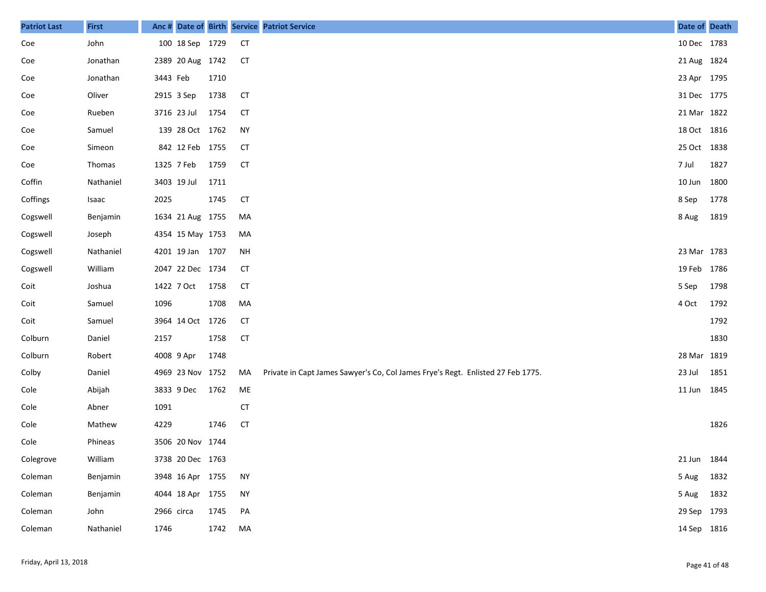| <b>Patriot Last</b> | <b>First</b> |            |                  |      |           | Anc # Date of Birth Service Patriot Service                                     | Date of Death |      |
|---------------------|--------------|------------|------------------|------|-----------|---------------------------------------------------------------------------------|---------------|------|
| Coe                 | John         |            | 100 18 Sep 1729  |      | <b>CT</b> |                                                                                 | 10 Dec 1783   |      |
| Coe                 | Jonathan     |            | 2389 20 Aug 1742 |      | <b>CT</b> |                                                                                 | 21 Aug 1824   |      |
| Coe                 | Jonathan     | 3443 Feb   |                  | 1710 |           |                                                                                 | 23 Apr 1795   |      |
| Coe                 | Oliver       | 2915 3 Sep |                  | 1738 | <b>CT</b> |                                                                                 | 31 Dec 1775   |      |
| Coe                 | Rueben       |            | 3716 23 Jul      | 1754 | <b>CT</b> |                                                                                 | 21 Mar 1822   |      |
| Coe                 | Samuel       |            | 139 28 Oct 1762  |      | <b>NY</b> |                                                                                 | 18 Oct 1816   |      |
| Coe                 | Simeon       |            | 842 12 Feb 1755  |      | <b>CT</b> |                                                                                 | 25 Oct 1838   |      |
| Coe                 | Thomas       | 1325 7 Feb |                  | 1759 | <b>CT</b> |                                                                                 | 7 Jul         | 1827 |
| Coffin              | Nathaniel    |            | 3403 19 Jul      | 1711 |           |                                                                                 | 10 Jun 1800   |      |
| Coffings            | Isaac        | 2025       |                  | 1745 | <b>CT</b> |                                                                                 | 8 Sep         | 1778 |
| Cogswell            | Benjamin     |            | 1634 21 Aug 1755 |      | МA        |                                                                                 | 8 Aug         | 1819 |
| Cogswell            | Joseph       |            | 4354 15 May 1753 |      | МA        |                                                                                 |               |      |
| Cogswell            | Nathaniel    |            | 4201 19 Jan 1707 |      | NH        |                                                                                 | 23 Mar 1783   |      |
| Cogswell            | William      |            | 2047 22 Dec 1734 |      | <b>CT</b> |                                                                                 | 19 Feb 1786   |      |
| Coit                | Joshua       | 1422 7 Oct |                  | 1758 | <b>CT</b> |                                                                                 | 5 Sep         | 1798 |
| Coit                | Samuel       | 1096       |                  | 1708 | MA        |                                                                                 | 4 Oct         | 1792 |
| Coit                | Samuel       |            | 3964 14 Oct      | 1726 | <b>CT</b> |                                                                                 |               | 1792 |
| Colburn             | Daniel       | 2157       |                  | 1758 | <b>CT</b> |                                                                                 |               | 1830 |
| Colburn             | Robert       | 4008 9 Apr |                  | 1748 |           |                                                                                 | 28 Mar 1819   |      |
| Colby               | Daniel       |            | 4969 23 Nov 1752 |      | MA        | Private in Capt James Sawyer's Co, Col James Frye's Regt. Enlisted 27 Feb 1775. | 23 Jul        | 1851 |
| Cole                | Abijah       |            | 3833 9 Dec       | 1762 | ME        |                                                                                 | 11 Jun 1845   |      |
| Cole                | Abner        | 1091       |                  |      | <b>CT</b> |                                                                                 |               |      |
| Cole                | Mathew       | 4229       |                  | 1746 | <b>CT</b> |                                                                                 |               | 1826 |
| Cole                | Phineas      |            | 3506 20 Nov 1744 |      |           |                                                                                 |               |      |
| Colegrove           | William      |            | 3738 20 Dec 1763 |      |           |                                                                                 | 21 Jun 1844   |      |
| Coleman             | Benjamin     |            | 3948 16 Apr 1755 |      | <b>NY</b> |                                                                                 | 5 Aug         | 1832 |
| Coleman             | Benjamin     |            | 4044 18 Apr 1755 |      | <b>NY</b> |                                                                                 | 5 Aug         | 1832 |
| Coleman             | John         | 2966 circa |                  | 1745 | PA        |                                                                                 | 29 Sep 1793   |      |
| Coleman             | Nathaniel    | 1746       |                  | 1742 | MA        |                                                                                 | 14 Sep 1816   |      |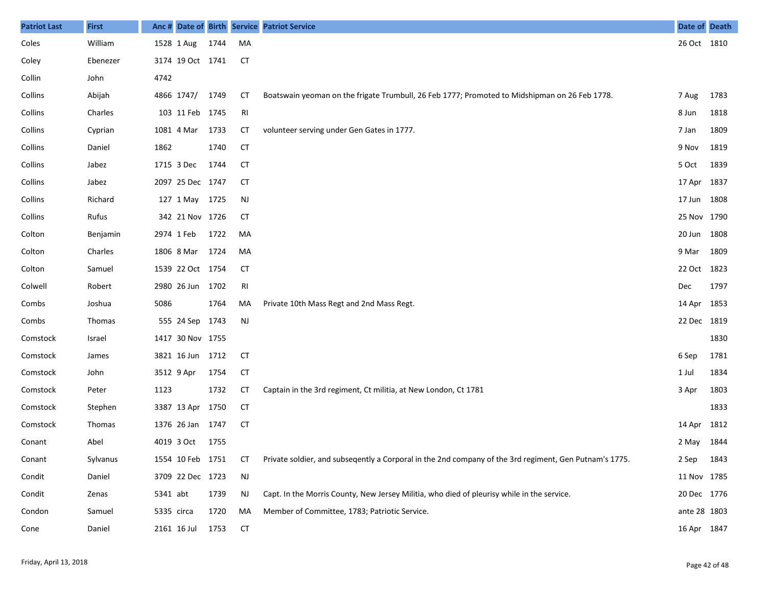| <b>Patriot Last</b> | <b>First</b>  |            |                  |      |           | Anc # Date of Birth Service Patriot Service                                                            | <b>Date of Death</b> |      |
|---------------------|---------------|------------|------------------|------|-----------|--------------------------------------------------------------------------------------------------------|----------------------|------|
| Coles               | William       |            | 1528 1 Aug       | 1744 | MA        |                                                                                                        | 26 Oct 1810          |      |
| Coley               | Ebenezer      |            | 3174 19 Oct 1741 |      | <b>CT</b> |                                                                                                        |                      |      |
| Collin              | John          | 4742       |                  |      |           |                                                                                                        |                      |      |
| Collins             | Abijah        |            | 4866 1747/       | 1749 | СT        | Boatswain yeoman on the frigate Trumbull, 26 Feb 1777; Promoted to Midshipman on 26 Feb 1778.          | 7 Aug                | 1783 |
| Collins             | Charles       |            | 103 11 Feb 1745  |      | RI        |                                                                                                        | 8 Jun                | 1818 |
| Collins             | Cyprian       |            | 1081 4 Mar       | 1733 | СT        | volunteer serving under Gen Gates in 1777.                                                             | 7 Jan                | 1809 |
| Collins             | Daniel        | 1862       |                  | 1740 | <b>CT</b> |                                                                                                        | 9 Nov                | 1819 |
| Collins             | Jabez         |            | 1715 3 Dec       | 1744 | СT        |                                                                                                        | 5 Oct                | 1839 |
| Collins             | Jabez         |            | 2097 25 Dec 1747 |      | <b>CT</b> |                                                                                                        | 17 Apr 1837          |      |
| Collins             | Richard       |            | 127 1 May 1725   |      | <b>NJ</b> |                                                                                                        | 17 Jun 1808          |      |
| Collins             | Rufus         |            | 342 21 Nov 1726  |      | СT        |                                                                                                        | 25 Nov 1790          |      |
| Colton              | Benjamin      | 2974 1 Feb |                  | 1722 | MA        |                                                                                                        | 20 Jun 1808          |      |
| Colton              | Charles       |            | 1806 8 Mar       | 1724 | MA        |                                                                                                        | 9 Mar                | 1809 |
| Colton              | Samuel        |            | 1539 22 Oct 1754 |      | <b>CT</b> |                                                                                                        | 22 Oct 1823          |      |
| Colwell             | Robert        |            | 2980 26 Jun      | 1702 | RI        |                                                                                                        | Dec                  | 1797 |
| Combs               | Joshua        | 5086       |                  | 1764 | MA        | Private 10th Mass Regt and 2nd Mass Regt.                                                              | 14 Apr 1853          |      |
| Combs               | <b>Thomas</b> |            | 555 24 Sep 1743  |      | <b>NJ</b> |                                                                                                        | 22 Dec 1819          |      |
| Comstock            | Israel        |            | 1417 30 Nov 1755 |      |           |                                                                                                        |                      | 1830 |
| Comstock            | James         |            | 3821 16 Jun 1712 |      | <b>CT</b> |                                                                                                        | 6 Sep                | 1781 |
| Comstock            | John          | 3512 9 Apr |                  | 1754 | <b>CT</b> |                                                                                                        | 1 Jul                | 1834 |
| Comstock            | Peter         | 1123       |                  | 1732 | СT        | Captain in the 3rd regiment, Ct militia, at New London, Ct 1781                                        | 3 Apr                | 1803 |
| Comstock            | Stephen       |            | 3387 13 Apr 1750 |      | <b>CT</b> |                                                                                                        |                      | 1833 |
| Comstock            | <b>Thomas</b> |            | 1376 26 Jan 1747 |      | <b>CT</b> |                                                                                                        | 14 Apr               | 1812 |
| Conant              | Abel          |            | 4019 3 Oct       | 1755 |           |                                                                                                        | 2 May 1844           |      |
| Conant              | Sylvanus      |            | 1554 10 Feb 1751 |      | <b>CT</b> | Private soldier, and subsegently a Corporal in the 2nd company of the 3rd regiment, Gen Putnam's 1775. | 2 Sep                | 1843 |
| Condit              | Daniel        |            | 3709 22 Dec 1723 |      | NJ        |                                                                                                        | 11 Nov 1785          |      |
| Condit              | Zenas         | 5341 abt   |                  | 1739 | NJ        | Capt. In the Morris County, New Jersey Militia, who died of pleurisy while in the service.             | 20 Dec 1776          |      |
| Condon              | Samuel        | 5335 circa |                  | 1720 | MA        | Member of Committee, 1783; Patriotic Service.                                                          | ante 28 1803         |      |
| Cone                | Daniel        |            | 2161 16 Jul      | 1753 | <b>CT</b> |                                                                                                        | 16 Apr 1847          |      |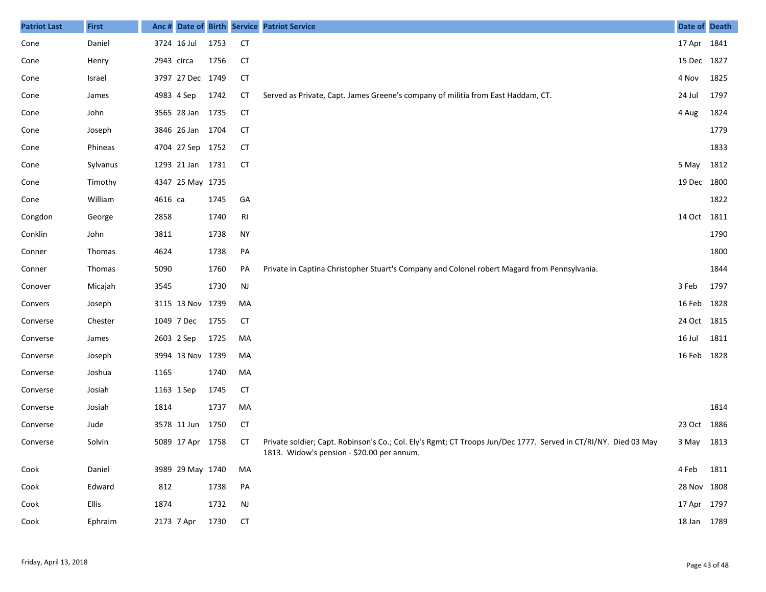| <b>Patriot Last</b> | <b>First</b> | Anc #      |                  |      |                | Date of Birth Service Patriot Service                                                                                                                         | Date of Death |      |
|---------------------|--------------|------------|------------------|------|----------------|---------------------------------------------------------------------------------------------------------------------------------------------------------------|---------------|------|
| Cone                | Daniel       |            | 3724 16 Jul      | 1753 | <b>CT</b>      |                                                                                                                                                               | 17 Apr 1841   |      |
| Cone                | Henry        | 2943 circa |                  | 1756 | <b>CT</b>      |                                                                                                                                                               | 15 Dec 1827   |      |
| Cone                | Israel       |            | 3797 27 Dec 1749 |      | <b>CT</b>      |                                                                                                                                                               | 4 Nov         | 1825 |
| Cone                | James        |            | 4983 4 Sep       | 1742 | <b>CT</b>      | Served as Private, Capt. James Greene's company of militia from East Haddam, CT.                                                                              | 24 Jul        | 1797 |
| Cone                | John         |            | 3565 28 Jan 1735 |      | <b>CT</b>      |                                                                                                                                                               | 4 Aug         | 1824 |
| Cone                | Joseph       |            | 3846 26 Jan 1704 |      | <b>CT</b>      |                                                                                                                                                               |               | 1779 |
| Cone                | Phineas      |            | 4704 27 Sep 1752 |      | <b>CT</b>      |                                                                                                                                                               |               | 1833 |
| Cone                | Sylvanus     |            | 1293 21 Jan 1731 |      | СT             |                                                                                                                                                               | 5 May         | 1812 |
| Cone                | Timothy      |            | 4347 25 May 1735 |      |                |                                                                                                                                                               | 19 Dec 1800   |      |
| Cone                | William      | 4616 са    |                  | 1745 | GA             |                                                                                                                                                               |               | 1822 |
| Congdon             | George       | 2858       |                  | 1740 | R <sub>l</sub> |                                                                                                                                                               | 14 Oct 1811   |      |
| Conklin             | John         | 3811       |                  | 1738 | <b>NY</b>      |                                                                                                                                                               |               | 1790 |
| Conner              | Thomas       | 4624       |                  | 1738 | PA             |                                                                                                                                                               |               | 1800 |
| Conner              | Thomas       | 5090       |                  | 1760 | PA             | Private in Captina Christopher Stuart's Company and Colonel robert Magard from Pennsylvania.                                                                  |               | 1844 |
| Conover             | Micajah      | 3545       |                  | 1730 | $\mathsf{NJ}$  |                                                                                                                                                               | 3 Feb         | 1797 |
| Convers             | Joseph       |            | 3115 13 Nov 1739 |      | MA             |                                                                                                                                                               | 16 Feb 1828   |      |
| Converse            | Chester      |            | 1049 7 Dec       | 1755 | <b>CT</b>      |                                                                                                                                                               | 24 Oct 1815   |      |
| Converse            | James        | 2603 2 Sep |                  | 1725 | MA             |                                                                                                                                                               | 16 Jul        | 1811 |
| Converse            | Joseph       |            | 3994 13 Nov 1739 |      | MA             |                                                                                                                                                               | 16 Feb 1828   |      |
| Converse            | Joshua       | 1165       |                  | 1740 | MA             |                                                                                                                                                               |               |      |
| Converse            | Josiah       | 1163 1 Sep |                  | 1745 | <b>CT</b>      |                                                                                                                                                               |               |      |
| Converse            | Josiah       | 1814       |                  | 1737 | MA             |                                                                                                                                                               |               | 1814 |
| Converse            | Jude         |            | 3578 11 Jun      | 1750 | <b>CT</b>      |                                                                                                                                                               | 23 Oct 1886   |      |
| Converse            | Solvin       |            | 5089 17 Apr 1758 |      | СT             | Private soldier; Capt. Robinson's Co.; Col. Ely's Rgmt; CT Troops Jun/Dec 1777. Served in CT/RI/NY. Died 03 May<br>1813. Widow's pension - \$20.00 per annum. | 3 May 1813    |      |
| Cook                | Daniel       |            | 3989 29 May 1740 |      | MA             |                                                                                                                                                               | 4 Feb 1811    |      |
| Cook                | Edward       | 812        |                  | 1738 | PA             |                                                                                                                                                               | 28 Nov 1808   |      |
| Cook                | Ellis        | 1874       |                  | 1732 | $\mathsf{NJ}$  |                                                                                                                                                               | 17 Apr 1797   |      |
| Cook                | Ephraim      |            | 2173 7 Apr       | 1730 | <b>CT</b>      |                                                                                                                                                               | 18 Jan 1789   |      |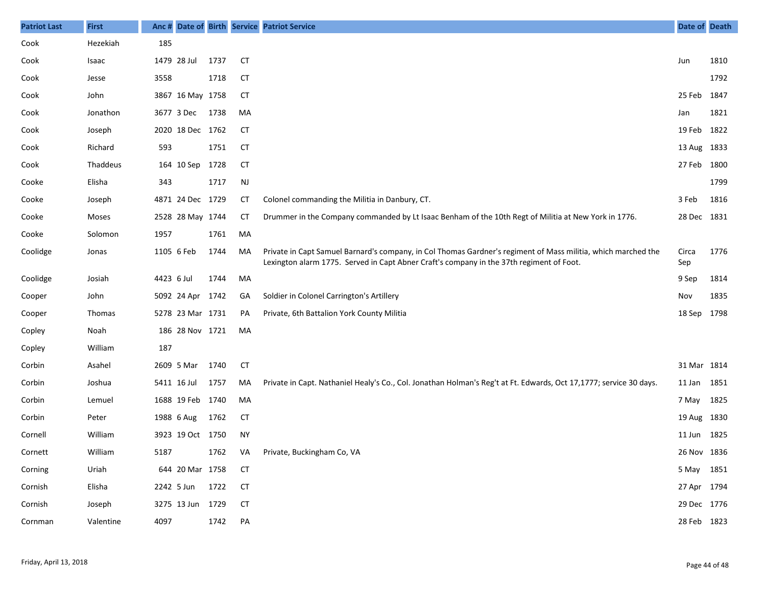| <b>Patriot Last</b> | <b>First</b>  | Anc #      |                  |      |           | Date of Birth Service Patriot Service                                                                                                                                                                     | Date of Death |      |
|---------------------|---------------|------------|------------------|------|-----------|-----------------------------------------------------------------------------------------------------------------------------------------------------------------------------------------------------------|---------------|------|
| Cook                | Hezekiah      | 185        |                  |      |           |                                                                                                                                                                                                           |               |      |
| Cook                | Isaac         |            | 1479 28 Jul      | 1737 | <b>CT</b> |                                                                                                                                                                                                           | Jun           | 1810 |
| Cook                | Jesse         | 3558       |                  | 1718 | <b>CT</b> |                                                                                                                                                                                                           |               | 1792 |
| Cook                | John          |            | 3867 16 May 1758 |      | СT        |                                                                                                                                                                                                           | 25 Feb        | 1847 |
| Cook                | Jonathon      |            | 3677 3 Dec       | 1738 | MA        |                                                                                                                                                                                                           | Jan           | 1821 |
| Cook                | Joseph        |            | 2020 18 Dec 1762 |      | СT        |                                                                                                                                                                                                           | 19 Feb        | 1822 |
| Cook                | Richard       | 593        |                  | 1751 | CT        |                                                                                                                                                                                                           | 13 Aug        | 1833 |
| Cook                | Thaddeus      |            | 164 10 Sep       | 1728 | <b>CT</b> |                                                                                                                                                                                                           | 27 Feb        | 1800 |
| Cooke               | Elisha        | 343        |                  | 1717 | NJ        |                                                                                                                                                                                                           |               | 1799 |
| Cooke               | Joseph        |            | 4871 24 Dec 1729 |      | СT        | Colonel commanding the Militia in Danbury, CT.                                                                                                                                                            | 3 Feb         | 1816 |
| Cooke               | Moses         |            | 2528 28 May 1744 |      | СT        | Drummer in the Company commanded by Lt Isaac Benham of the 10th Regt of Militia at New York in 1776.                                                                                                      | 28 Dec 1831   |      |
| Cooke               | Solomon       | 1957       |                  | 1761 | MA        |                                                                                                                                                                                                           |               |      |
| Coolidge            | Jonas         | 1105 6 Feb |                  | 1744 | MA        | Private in Capt Samuel Barnard's company, in Col Thomas Gardner's regiment of Mass militia, which marched the<br>Lexington alarm 1775. Served in Capt Abner Craft's company in the 37th regiment of Foot. | Circa<br>Sep  | 1776 |
| Coolidge            | Josiah        | 4423 6 Jul |                  | 1744 | MA        |                                                                                                                                                                                                           | 9 Sep         | 1814 |
| Cooper              | John          |            | 5092 24 Apr      | 1742 | GA        | Soldier in Colonel Carrington's Artillery                                                                                                                                                                 | Nov           | 1835 |
| Cooper              | <b>Thomas</b> |            | 5278 23 Mar 1731 |      | PA        | Private, 6th Battalion York County Militia                                                                                                                                                                | 18 Sep        | 1798 |
| Copley              | Noah          |            | 186 28 Nov 1721  |      | MA        |                                                                                                                                                                                                           |               |      |
| Copley              | William       | 187        |                  |      |           |                                                                                                                                                                                                           |               |      |
| Corbin              | Asahel        |            | 2609 5 Mar       | 1740 | <b>CT</b> |                                                                                                                                                                                                           | 31 Mar 1814   |      |
| Corbin              | Joshua        |            | 5411 16 Jul      | 1757 | MA        | Private in Capt. Nathaniel Healy's Co., Col. Jonathan Holman's Reg't at Ft. Edwards, Oct 17,1777; service 30 days.                                                                                        | 11 Jan        | 1851 |
| Corbin              | Lemuel        |            | 1688 19 Feb 1740 |      | MA        |                                                                                                                                                                                                           | 7 May         | 1825 |
| Corbin              | Peter         |            | 1988 6 Aug       | 1762 | CT        |                                                                                                                                                                                                           | 19 Aug 1830   |      |
| Cornell             | William       |            | 3923 19 Oct 1750 |      | <b>NY</b> |                                                                                                                                                                                                           | 11 Jun        | 1825 |
| Cornett             | William       | 5187       |                  | 1762 |           | VA Private, Buckingham Co, VA                                                                                                                                                                             | 26 Nov 1836   |      |
| Corning             | Uriah         |            | 644 20 Mar 1758  |      | СT        |                                                                                                                                                                                                           | 5 May 1851    |      |
| Cornish             | Elisha        |            | 2242 5 Jun 1722  |      | <b>CT</b> |                                                                                                                                                                                                           | 27 Apr 1794   |      |
| Cornish             | Joseph        |            | 3275 13 Jun 1729 |      | <b>CT</b> |                                                                                                                                                                                                           | 29 Dec 1776   |      |
| Cornman             | Valentine     | 4097       |                  | 1742 | PA        |                                                                                                                                                                                                           | 28 Feb 1823   |      |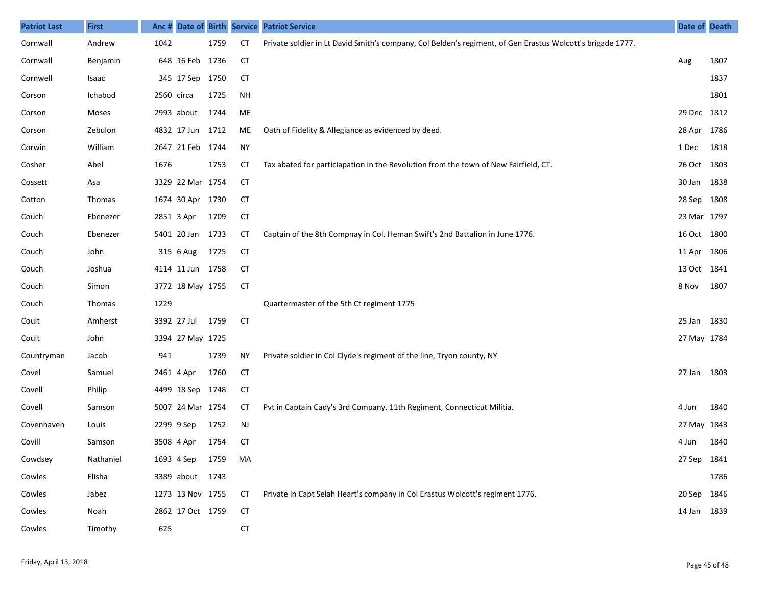| <b>Patriot Last</b> | <b>First</b>  |             |                  |      |           | Anc # Date of Birth Service Patriot Service                                                                | Date of Death |      |
|---------------------|---------------|-------------|------------------|------|-----------|------------------------------------------------------------------------------------------------------------|---------------|------|
| Cornwall            | Andrew        | 1042        |                  | 1759 | <b>CT</b> | Private soldier in Lt David Smith's company, Col Belden's regiment, of Gen Erastus Wolcott's brigade 1777. |               |      |
| Cornwall            | Benjamin      |             | 648 16 Feb 1736  |      | <b>CT</b> |                                                                                                            | Aug           | 1807 |
| Cornwell            | Isaac         |             | 345 17 Sep       | 1750 | <b>CT</b> |                                                                                                            |               | 1837 |
| Corson              | Ichabod       | 2560 circa  |                  | 1725 | <b>NH</b> |                                                                                                            |               | 1801 |
| Corson              | Moses         |             | 2993 about       | 1744 | ME        |                                                                                                            | 29 Dec 1812   |      |
| Corson              | Zebulon       |             | 4832 17 Jun 1712 |      | ME        | Oath of Fidelity & Allegiance as evidenced by deed.                                                        | 28 Apr 1786   |      |
| Corwin              | William       |             | 2647 21 Feb 1744 |      | <b>NY</b> |                                                                                                            | 1 Dec         | 1818 |
| Cosher              | Abel          | 1676        |                  | 1753 | СT        | Tax abated for particiapation in the Revolution from the town of New Fairfield, CT.                        | 26 Oct 1803   |      |
| Cossett             | Asa           |             | 3329 22 Mar 1754 |      | <b>CT</b> |                                                                                                            | 30 Jan        | 1838 |
| Cotton              | Thomas        |             | 1674 30 Apr 1730 |      | <b>CT</b> |                                                                                                            | 28 Sep 1808   |      |
| Couch               | Ebenezer      | 2851 3 Apr  |                  | 1709 | <b>CT</b> |                                                                                                            | 23 Mar 1797   |      |
| Couch               | Ebenezer      |             | 5401 20 Jan      | 1733 | <b>CT</b> | Captain of the 8th Compnay in Col. Heman Swift's 2nd Battalion in June 1776.                               | 16 Oct 1800   |      |
| Couch               | John          |             | 315 6 Aug        | 1725 | <b>CT</b> |                                                                                                            | 11 Apr        | 1806 |
| Couch               | Joshua        |             | 4114 11 Jun 1758 |      | <b>CT</b> |                                                                                                            | 13 Oct 1841   |      |
| Couch               | Simon         |             | 3772 18 May 1755 |      | <b>CT</b> |                                                                                                            | 8 Nov         | 1807 |
| Couch               | <b>Thomas</b> | 1229        |                  |      |           | Quartermaster of the 5th Ct regiment 1775                                                                  |               |      |
| Coult               | Amherst       | 3392 27 Jul |                  | 1759 | <b>CT</b> |                                                                                                            | 25 Jan        | 1830 |
| Coult               | John          |             | 3394 27 May 1725 |      |           |                                                                                                            | 27 May 1784   |      |
| Countryman          | Jacob         | 941         |                  | 1739 | <b>NY</b> | Private soldier in Col Clyde's regiment of the line, Tryon county, NY                                      |               |      |
| Covel               | Samuel        | 2461 4 Apr  |                  | 1760 | <b>CT</b> |                                                                                                            | 27 Jan        | 1803 |
| Covell              | Philip        |             | 4499 18 Sep 1748 |      | <b>CT</b> |                                                                                                            |               |      |
| Covell              | Samson        |             | 5007 24 Mar 1754 |      | СT        | Pvt in Captain Cady's 3rd Company, 11th Regiment, Connecticut Militia.                                     | 4 Jun         | 1840 |
| Covenhaven          | Louis         | 2299 9 Sep  |                  | 1752 | NJ        |                                                                                                            | 27 May 1843   |      |
| Covill              | Samson        | 3508 4 Apr  |                  | 1754 | <b>CT</b> |                                                                                                            | 4 Jun         | 1840 |
| Cowdsey             | Nathaniel     | 1693 4 Sep  |                  | 1759 | MA        |                                                                                                            | 27 Sep 1841   |      |
| Cowles              | Elisha        |             | 3389 about 1743  |      |           |                                                                                                            |               | 1786 |
| Cowles              | Jabez         |             | 1273 13 Nov 1755 |      | СT        | Private in Capt Selah Heart's company in Col Erastus Wolcott's regiment 1776.                              | 20 Sep 1846   |      |
| Cowles              | Noah          |             | 2862 17 Oct 1759 |      | <b>CT</b> |                                                                                                            | 14 Jan 1839   |      |
| Cowles              | Timothy       | 625         |                  |      | <b>CT</b> |                                                                                                            |               |      |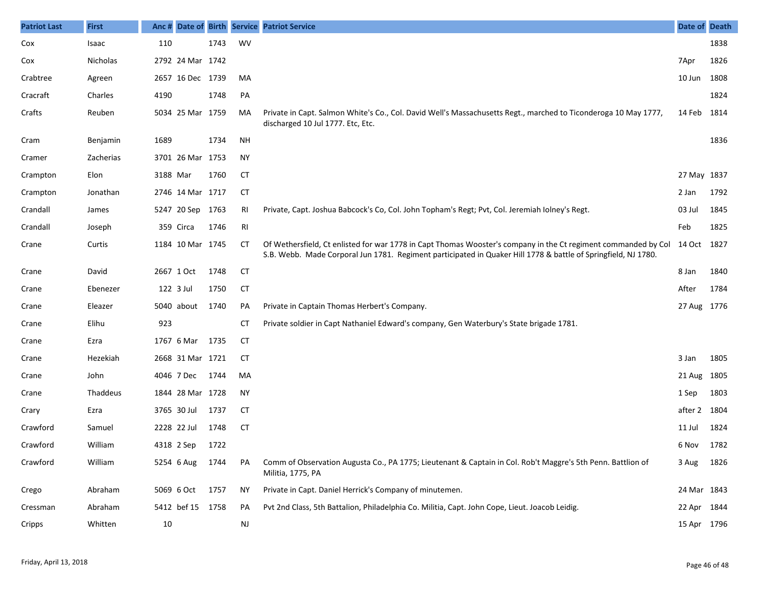| <b>Patriot Last</b> | <b>First</b> | Anc#     |                  |      |           | Date of Birth Service Patriot Service                                                                                                                                                                                            | Date of     | <b>Death</b> |
|---------------------|--------------|----------|------------------|------|-----------|----------------------------------------------------------------------------------------------------------------------------------------------------------------------------------------------------------------------------------|-------------|--------------|
| Cox                 | Isaac        | 110      |                  | 1743 | WV        |                                                                                                                                                                                                                                  |             | 1838         |
| Cox                 | Nicholas     |          | 2792 24 Mar 1742 |      |           |                                                                                                                                                                                                                                  | 7Apr        | 1826         |
| Crabtree            | Agreen       |          | 2657 16 Dec 1739 |      | MA        |                                                                                                                                                                                                                                  | 10 Jun      | 1808         |
| Cracraft            | Charles      | 4190     |                  | 1748 | PA        |                                                                                                                                                                                                                                  |             | 1824         |
| Crafts              | Reuben       |          | 5034 25 Mar 1759 |      | MA        | Private in Capt. Salmon White's Co., Col. David Well's Massachusetts Regt., marched to Ticonderoga 10 May 1777,<br>discharged 10 Jul 1777. Etc, Etc.                                                                             | 14 Feb      | 1814         |
| Cram                | Benjamin     | 1689     |                  | 1734 | <b>NH</b> |                                                                                                                                                                                                                                  |             | 1836         |
| Cramer              | Zacherias    |          | 3701 26 Mar 1753 |      | <b>NY</b> |                                                                                                                                                                                                                                  |             |              |
| Crampton            | Elon         | 3188 Mar |                  | 1760 | CT        |                                                                                                                                                                                                                                  | 27 May 1837 |              |
| Crampton            | Jonathan     |          | 2746 14 Mar 1717 |      | CT        |                                                                                                                                                                                                                                  | 2 Jan       | 1792         |
| Crandall            | James        |          | 5247 20 Sep 1763 |      | RI        | Private, Capt. Joshua Babcock's Co, Col. John Topham's Regt; Pvt, Col. Jeremiah Iolney's Regt.                                                                                                                                   | 03 Jul      | 1845         |
| Crandall            | Joseph       |          | 359 Circa        | 1746 | RI        |                                                                                                                                                                                                                                  | Feb         | 1825         |
| Crane               | Curtis       |          | 1184 10 Mar 1745 |      | СT        | Of Wethersfield, Ct enlisted for war 1778 in Capt Thomas Wooster's company in the Ct regiment commanded by Col<br>S.B. Webb. Made Corporal Jun 1781. Regiment participated in Quaker Hill 1778 & battle of Springfield, NJ 1780. | 14 Oct 1827 |              |
| Crane               | David        |          | 2667 1 Oct       | 1748 | <b>CT</b> |                                                                                                                                                                                                                                  | 8 Jan       | 1840         |
| Crane               | Ebenezer     |          | 122 3 Jul        | 1750 | CT        |                                                                                                                                                                                                                                  | After       | 1784         |
| Crane               | Eleazer      |          | 5040 about       | 1740 | PA        | Private in Captain Thomas Herbert's Company.                                                                                                                                                                                     | 27 Aug 1776 |              |
| Crane               | Elihu        | 923      |                  |      | <b>CT</b> | Private soldier in Capt Nathaniel Edward's company, Gen Waterbury's State brigade 1781.                                                                                                                                          |             |              |
| Crane               | Ezra         |          | 1767 6 Mar       | 1735 | CT        |                                                                                                                                                                                                                                  |             |              |
| Crane               | Hezekiah     |          | 2668 31 Mar 1721 |      | СT        |                                                                                                                                                                                                                                  | 3 Jan       | 1805         |
| Crane               | John         |          | 4046 7 Dec       | 1744 | MA        |                                                                                                                                                                                                                                  | 21 Aug      | 1805         |
| Crane               | Thaddeus     |          | 1844 28 Mar 1728 |      | <b>NY</b> |                                                                                                                                                                                                                                  | 1 Sep       | 1803         |
| Crary               | Ezra         |          | 3765 30 Jul      | 1737 | CT        |                                                                                                                                                                                                                                  | after 2     | 1804         |
| Crawford            | Samuel       |          | 2228 22 Jul      | 1748 | <b>CT</b> |                                                                                                                                                                                                                                  | 11 Jul      | 1824         |
| Crawford            | William      |          | 4318 2 Sep       | 1722 |           |                                                                                                                                                                                                                                  | 6 Nov       | 1782         |
| Crawford            | William      |          | 5254 6 Aug       | 1744 | PA        | Comm of Observation Augusta Co., PA 1775; Lieutenant & Captain in Col. Rob't Maggre's 5th Penn. Battlion of<br>Militia, 1775, PA                                                                                                 | 3 Aug       | 1826         |
| Crego               | Abraham      |          | 5069 6 Oct       | 1757 | ΝY        | Private in Capt. Daniel Herrick's Company of minutemen.                                                                                                                                                                          | 24 Mar 1843 |              |
| Cressman            | Abraham      |          | 5412 bef 15 1758 |      | PA        | Pvt 2nd Class, 5th Battalion, Philadelphia Co. Militia, Capt. John Cope, Lieut. Joacob Leidig.                                                                                                                                   | 22 Apr 1844 |              |
| Cripps              | Whitten      | 10       |                  |      | <b>NJ</b> |                                                                                                                                                                                                                                  | 15 Apr 1796 |              |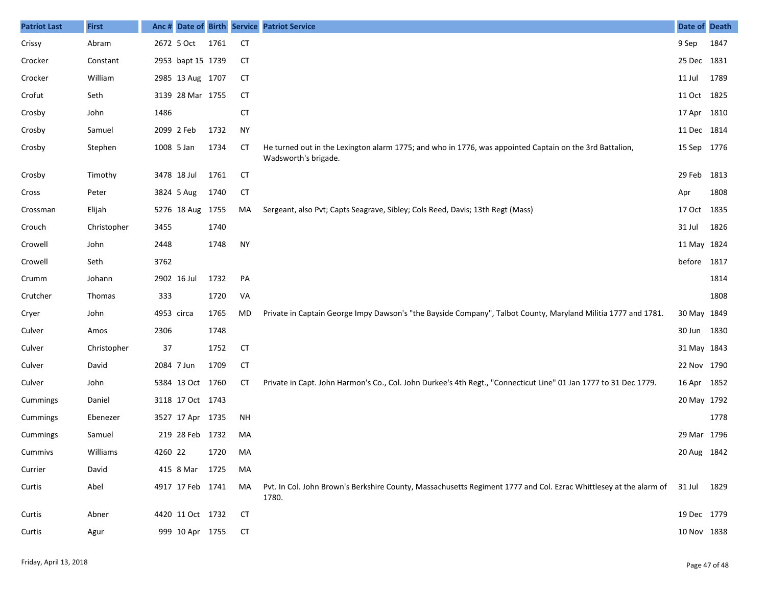| <b>Patriot Last</b> | <b>First</b> | Anc#       |                   |      |           | Date of Birth Service Patriot Service                                                                                                  | Date of Death |      |
|---------------------|--------------|------------|-------------------|------|-----------|----------------------------------------------------------------------------------------------------------------------------------------|---------------|------|
| Crissy              | Abram        |            | 2672 5 Oct        | 1761 | <b>CT</b> |                                                                                                                                        | 9 Sep         | 1847 |
| Crocker             | Constant     |            | 2953 bapt 15 1739 |      | CТ        |                                                                                                                                        | 25 Dec 1831   |      |
| Crocker             | William      |            | 2985 13 Aug 1707  |      | <b>CT</b> |                                                                                                                                        | 11 Jul        | 1789 |
| Crofut              | Seth         |            | 3139 28 Mar 1755  |      | CТ        |                                                                                                                                        | 11 Oct 1825   |      |
| Crosby              | John         | 1486       |                   |      | <b>CT</b> |                                                                                                                                        | 17 Apr 1810   |      |
| Crosby              | Samuel       |            | 2099 2 Feb        | 1732 | <b>NY</b> |                                                                                                                                        | 11 Dec 1814   |      |
| Crosby              | Stephen      | 1008 5 Jan |                   | 1734 | СT        | He turned out in the Lexington alarm 1775; and who in 1776, was appointed Captain on the 3rd Battalion,<br>Wadsworth's brigade.        | 15 Sep 1776   |      |
| Crosby              | Timothy      |            | 3478 18 Jul       | 1761 | CT        |                                                                                                                                        | 29 Feb        | 1813 |
| Cross               | Peter        |            | 3824 5 Aug        | 1740 | <b>CT</b> |                                                                                                                                        | Apr           | 1808 |
| Crossman            | Elijah       |            | 5276 18 Aug 1755  |      | MA        | Sergeant, also Pvt; Capts Seagrave, Sibley; Cols Reed, Davis; 13th Regt (Mass)                                                         | 17 Oct 1835   |      |
| Crouch              | Christopher  | 3455       |                   | 1740 |           |                                                                                                                                        | 31 Jul        | 1826 |
| Crowell             | John         | 2448       |                   | 1748 | <b>NY</b> |                                                                                                                                        | 11 May 1824   |      |
| Crowell             | Seth         | 3762       |                   |      |           |                                                                                                                                        | before 1817   |      |
| Crumm               | Johann       |            | 2902 16 Jul       | 1732 | PA        |                                                                                                                                        |               | 1814 |
| Crutcher            | Thomas       | 333        |                   | 1720 | VA        |                                                                                                                                        |               | 1808 |
| Cryer               | John         | 4953 circa |                   | 1765 | MD        | Private in Captain George Impy Dawson's "the Bayside Company", Talbot County, Maryland Militia 1777 and 1781.                          | 30 May 1849   |      |
| Culver              | Amos         | 2306       |                   | 1748 |           |                                                                                                                                        | 30 Jun 1830   |      |
| Culver              | Christopher  | 37         |                   | 1752 | <b>CT</b> |                                                                                                                                        | 31 May 1843   |      |
| Culver              | David        | 2084 7 Jun |                   | 1709 | CT        |                                                                                                                                        | 22 Nov 1790   |      |
| Culver              | John         |            | 5384 13 Oct 1760  |      | CТ        | Private in Capt. John Harmon's Co., Col. John Durkee's 4th Regt., "Connecticut Line" 01 Jan 1777 to 31 Dec 1779.                       | 16 Apr 1852   |      |
| Cummings            | Daniel       |            | 3118 17 Oct 1743  |      |           |                                                                                                                                        | 20 May 1792   |      |
| Cummings            | Ebenezer     |            | 3527 17 Apr 1735  |      | ΝH        |                                                                                                                                        |               | 1778 |
| Cummings            | Samuel       |            | 219 28 Feb 1732   |      | MA        |                                                                                                                                        | 29 Mar 1796   |      |
| Cummivs             | Williams     | 4260 22    |                   | 1720 | MA        |                                                                                                                                        | 20 Aug 1842   |      |
| Currier             | David        |            | 415 8 Mar 1725    |      | MA        |                                                                                                                                        |               |      |
| Curtis              | Abel         |            | 4917 17 Feb 1741  |      | MA        | Pvt. In Col. John Brown's Berkshire County, Massachusetts Regiment 1777 and Col. Ezrac Whittlesey at the alarm of 31 Jul 1829<br>1780. |               |      |
| Curtis              | Abner        |            | 4420 11 Oct 1732  |      | CТ        |                                                                                                                                        | 19 Dec 1779   |      |
| Curtis              | Agur         |            | 999 10 Apr 1755   |      | CT        |                                                                                                                                        | 10 Nov 1838   |      |